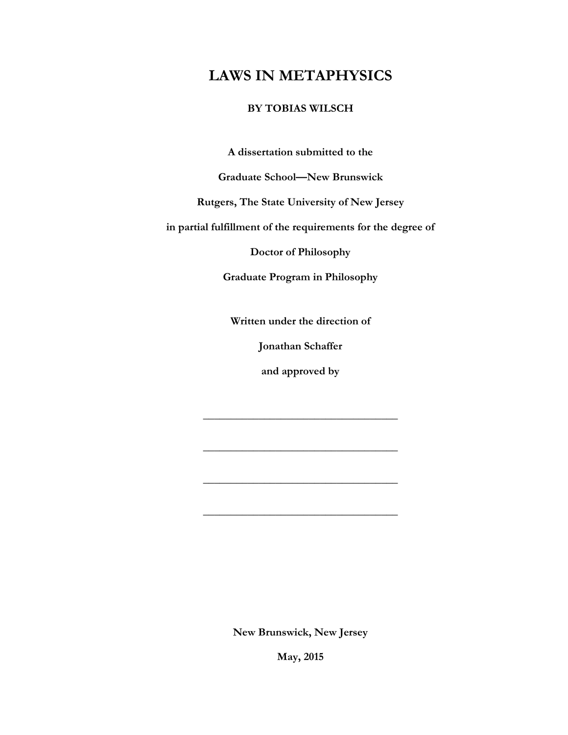# **LAWS IN METAPHYSICS**

## **BY TOBIAS WILSCH**

**A dissertation submitted to the**

**Graduate School—New Brunswick**

**Rutgers, The State University of New Jersey**

**in partial fulfillment of the requirements for the degree of**

**Doctor of Philosophy**

**Graduate Program in Philosophy**

**Written under the direction of**

**Jonathan Schaffer**

**and approved by**

**\_\_\_\_\_\_\_\_\_\_\_\_\_\_\_\_\_\_\_\_\_\_\_\_\_\_\_\_\_\_\_\_\_\_\_**

**\_\_\_\_\_\_\_\_\_\_\_\_\_\_\_\_\_\_\_\_\_\_\_\_\_\_\_\_\_\_\_\_\_\_\_**

**\_\_\_\_\_\_\_\_\_\_\_\_\_\_\_\_\_\_\_\_\_\_\_\_\_\_\_\_\_\_\_\_\_\_\_**

**\_\_\_\_\_\_\_\_\_\_\_\_\_\_\_\_\_\_\_\_\_\_\_\_\_\_\_\_\_\_\_\_\_\_\_**

**New Brunswick, New Jersey**

**May, 2015**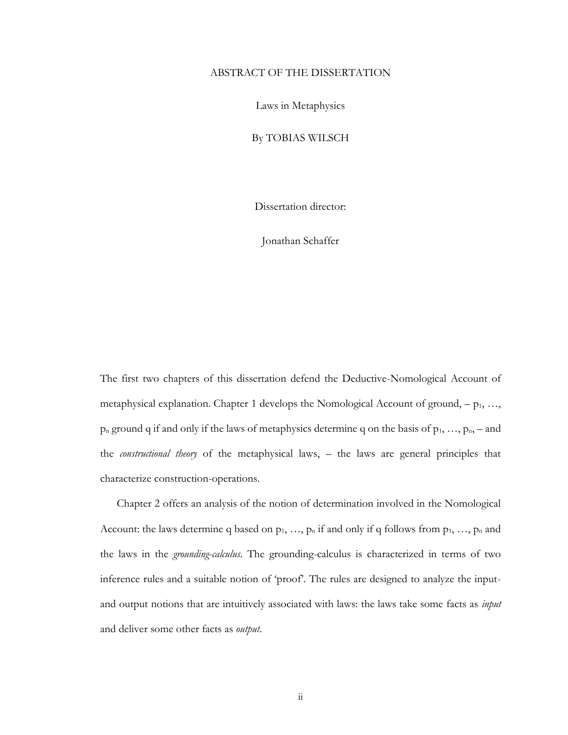#### ABSTRACT OF THE DISSERTATION

Laws in Metaphysics

By TOBIAS WILSCH

Dissertation director:

Jonathan Schaffer

The first two chapters of this dissertation defend the Deductive-Nomological Account of metaphysical explanation. Chapter 1 develops the Nomological Account of ground,  $-p_1, ...,$  $p_n$  ground q if and only if the laws of metaphysics determine q on the basis of  $p_1, ..., p_n$ , – and the *constructional theory* of the metaphysical laws, – the laws are general principles that characterize construction-operations.

Chapter 2 offers an analysis of the notion of determination involved in the Nomological Account: the laws determine q based on  $p_1, ..., p_n$  if and only if q follows from  $p_1, ..., p_n$  and the laws in the *grounding-calculus*. The grounding-calculus is characterized in terms of two inference rules and a suitable notion of 'proof'. The rules are designed to analyze the inputand output notions that are intuitively associated with laws: the laws take some facts as *input* and deliver some other facts as *output*.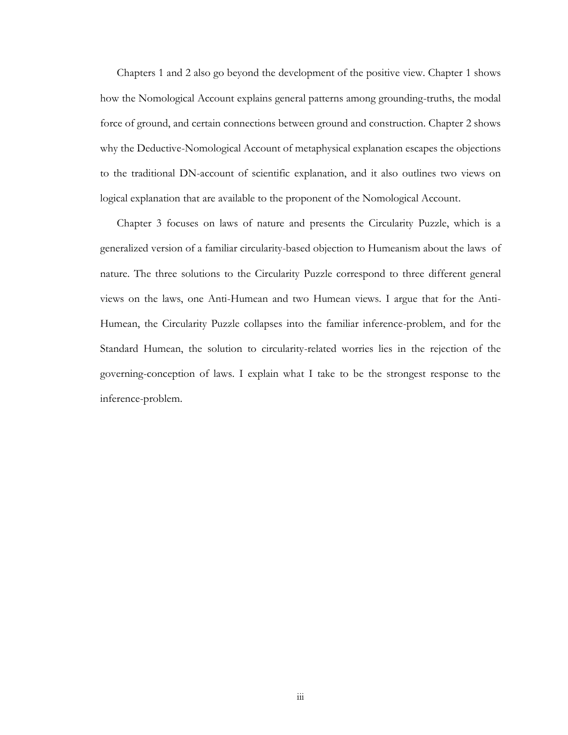Chapters 1 and 2 also go beyond the development of the positive view. Chapter 1 shows how the Nomological Account explains general patterns among grounding-truths, the modal force of ground, and certain connections between ground and construction. Chapter 2 shows why the Deductive-Nomological Account of metaphysical explanation escapes the objections to the traditional DN-account of scientific explanation, and it also outlines two views on logical explanation that are available to the proponent of the Nomological Account.

Chapter 3 focuses on laws of nature and presents the Circularity Puzzle, which is a generalized version of a familiar circularity-based objection to Humeanism about the laws of nature. The three solutions to the Circularity Puzzle correspond to three different general views on the laws, one Anti-Humean and two Humean views. I argue that for the Anti-Humean, the Circularity Puzzle collapses into the familiar inference-problem, and for the Standard Humean, the solution to circularity-related worries lies in the rejection of the governing-conception of laws. I explain what I take to be the strongest response to the inference-problem.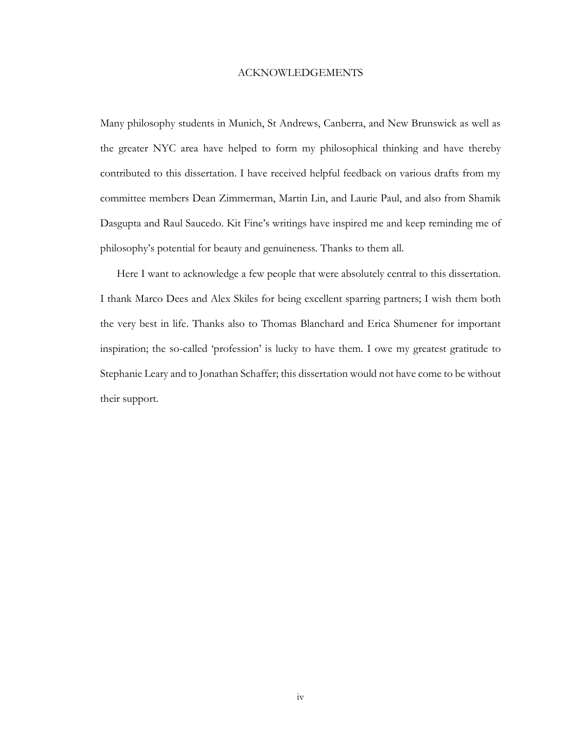#### ACKNOWLEDGEMENTS

Many philosophy students in Munich, St Andrews, Canberra, and New Brunswick as well as the greater NYC area have helped to form my philosophical thinking and have thereby contributed to this dissertation. I have received helpful feedback on various drafts from my committee members Dean Zimmerman, Martin Lin, and Laurie Paul, and also from Shamik Dasgupta and Raul Saucedo. Kit Fine's writings have inspired me and keep reminding me of philosophy's potential for beauty and genuineness. Thanks to them all.

Here I want to acknowledge a few people that were absolutely central to this dissertation. I thank Marco Dees and Alex Skiles for being excellent sparring partners; I wish them both the very best in life. Thanks also to Thomas Blanchard and Erica Shumener for important inspiration; the so-called 'profession' is lucky to have them. I owe my greatest gratitude to Stephanie Leary and to Jonathan Schaffer; this dissertation would not have come to be without their support.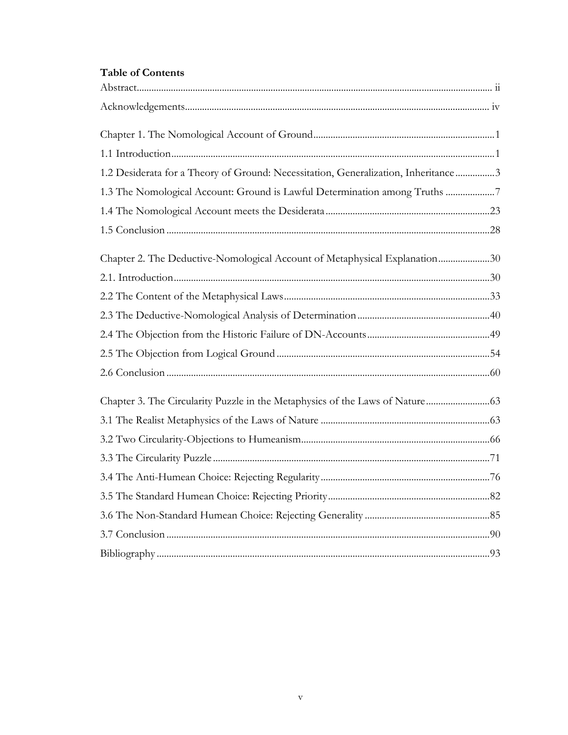## **Table of Contents**

| 1.2 Desiderata for a Theory of Ground: Necessitation, Generalization, Inheritance3 |  |
|------------------------------------------------------------------------------------|--|
| 1.3 The Nomological Account: Ground is Lawful Determination among Truths 7         |  |
|                                                                                    |  |
|                                                                                    |  |
| Chapter 2. The Deductive-Nomological Account of Metaphysical Explanation30         |  |
|                                                                                    |  |
|                                                                                    |  |
|                                                                                    |  |
|                                                                                    |  |
|                                                                                    |  |
|                                                                                    |  |
|                                                                                    |  |
|                                                                                    |  |
|                                                                                    |  |
|                                                                                    |  |
|                                                                                    |  |
|                                                                                    |  |
|                                                                                    |  |
|                                                                                    |  |
|                                                                                    |  |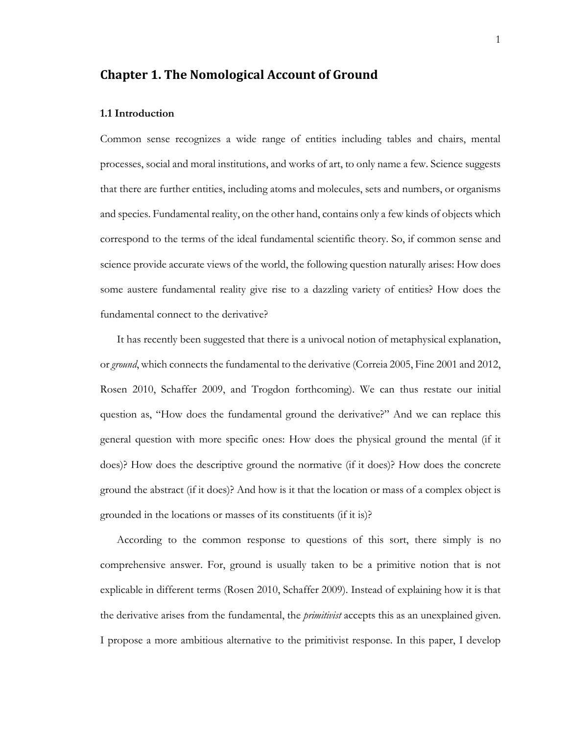## <span id="page-5-1"></span><span id="page-5-0"></span>**Chapter 1. The Nomological Account of Ground**

#### **1.1 Introduction**

Common sense recognizes a wide range of entities including tables and chairs, mental processes, social and moral institutions, and works of art, to only name a few. Science suggests that there are further entities, including atoms and molecules, sets and numbers, or organisms and species. Fundamental reality, on the other hand, contains only a few kinds of objects which correspond to the terms of the ideal fundamental scientific theory. So, if common sense and science provide accurate views of the world, the following question naturally arises: How does some austere fundamental reality give rise to a dazzling variety of entities? How does the fundamental connect to the derivative?

It has recently been suggested that there is a univocal notion of metaphysical explanation, or *ground*, which connects the fundamental to the derivative (Correia 2005, Fine 2001 and 2012, Rosen 2010, Schaffer 2009, and Trogdon forthcoming). We can thus restate our initial question as, "How does the fundamental ground the derivative?" And we can replace this general question with more specific ones: How does the physical ground the mental (if it does)? How does the descriptive ground the normative (if it does)? How does the concrete ground the abstract (if it does)? And how is it that the location or mass of a complex object is grounded in the locations or masses of its constituents (if it is)?

According to the common response to questions of this sort, there simply is no comprehensive answer. For, ground is usually taken to be a primitive notion that is not explicable in different terms (Rosen 2010, Schaffer 2009). Instead of explaining how it is that the derivative arises from the fundamental, the *primitivist* accepts this as an unexplained given. I propose a more ambitious alternative to the primitivist response. In this paper, I develop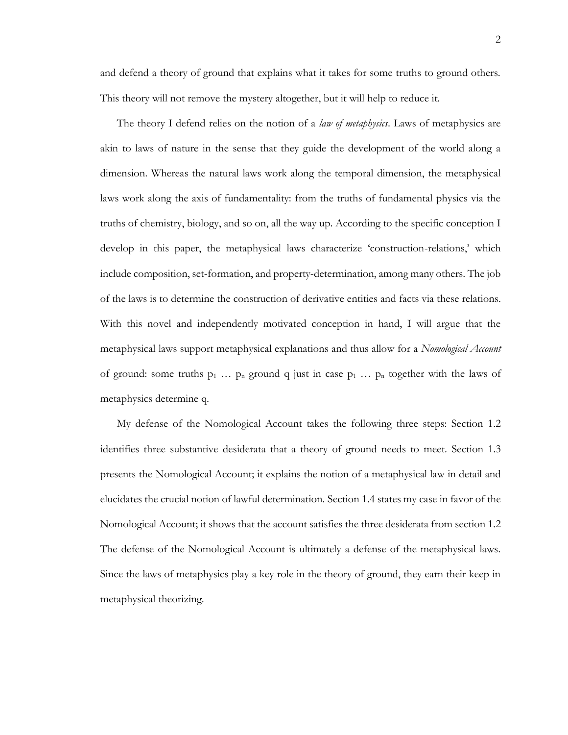and defend a theory of ground that explains what it takes for some truths to ground others. This theory will not remove the mystery altogether, but it will help to reduce it.

The theory I defend relies on the notion of a *law of metaphysics*. Laws of metaphysics are akin to laws of nature in the sense that they guide the development of the world along a dimension. Whereas the natural laws work along the temporal dimension, the metaphysical laws work along the axis of fundamentality: from the truths of fundamental physics via the truths of chemistry, biology, and so on, all the way up. According to the specific conception I develop in this paper, the metaphysical laws characterize 'construction-relations,' which include composition, set-formation, and property-determination, among many others. The job of the laws is to determine the construction of derivative entities and facts via these relations. With this novel and independently motivated conception in hand, I will argue that the metaphysical laws support metaphysical explanations and thus allow for a *Nomological Account* of ground: some truths  $p_1 \ldots p_n$  ground q just in case  $p_1 \ldots p_n$  together with the laws of metaphysics determine q.

My defense of the Nomological Account takes the following three steps: Section 1.2 identifies three substantive desiderata that a theory of ground needs to meet. Section 1.3 presents the Nomological Account; it explains the notion of a metaphysical law in detail and elucidates the crucial notion of lawful determination. Section 1.4 states my case in favor of the Nomological Account; it shows that the account satisfies the three desiderata from section 1.2 The defense of the Nomological Account is ultimately a defense of the metaphysical laws. Since the laws of metaphysics play a key role in the theory of ground, they earn their keep in metaphysical theorizing.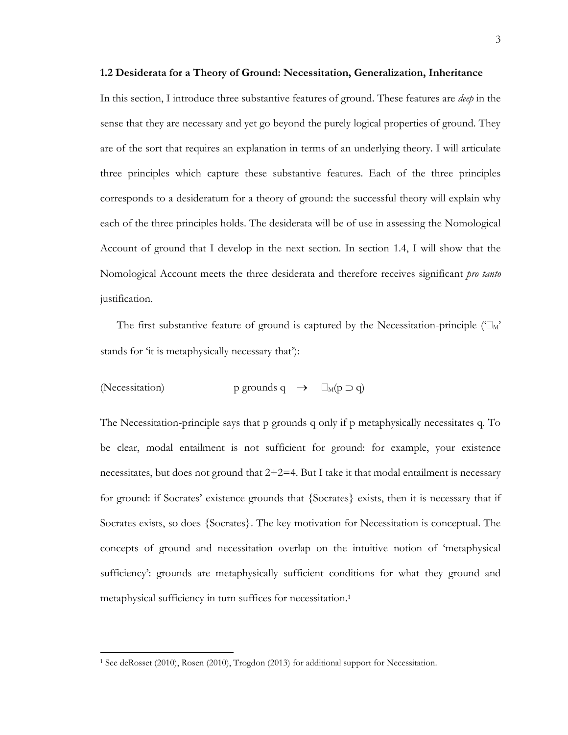<span id="page-7-0"></span>In this section, I introduce three substantive features of ground. These features are *deep* in the sense that they are necessary and yet go beyond the purely logical properties of ground. They are of the sort that requires an explanation in terms of an underlying theory. I will articulate three principles which capture these substantive features. Each of the three principles corresponds to a desideratum for a theory of ground: the successful theory will explain why each of the three principles holds. The desiderata will be of use in assessing the Nomological Account of ground that I develop in the next section. In section 1.4, I will show that the Nomological Account meets the three desiderata and therefore receives significant *pro tanto* justification.

The first substantive feature of ground is captured by the Necessitation-principle  $(\Box_{M})$ stands for 'it is metaphysically necessary that'):

(Necessitation) 
$$
\rho
$$
 grounds  $q \rightarrow \Box_M(p \supset q)$ 

The Necessitation-principle says that p grounds q only if p metaphysically necessitates q. To be clear, modal entailment is not sufficient for ground: for example, your existence necessitates, but does not ground that  $2+2=4$ . But I take it that modal entailment is necessary for ground: if Socrates' existence grounds that {Socrates} exists, then it is necessary that if Socrates exists, so does {Socrates}. The key motivation for Necessitation is conceptual. The concepts of ground and necessitation overlap on the intuitive notion of 'metaphysical sufficiency': grounds are metaphysically sufficient conditions for what they ground and metaphysical sufficiency in turn suffices for necessitation.<sup>1</sup>

 $\overline{a}$ 

<sup>1</sup> See deRosset (2010), Rosen (2010), Trogdon (2013) for additional support for Necessitation.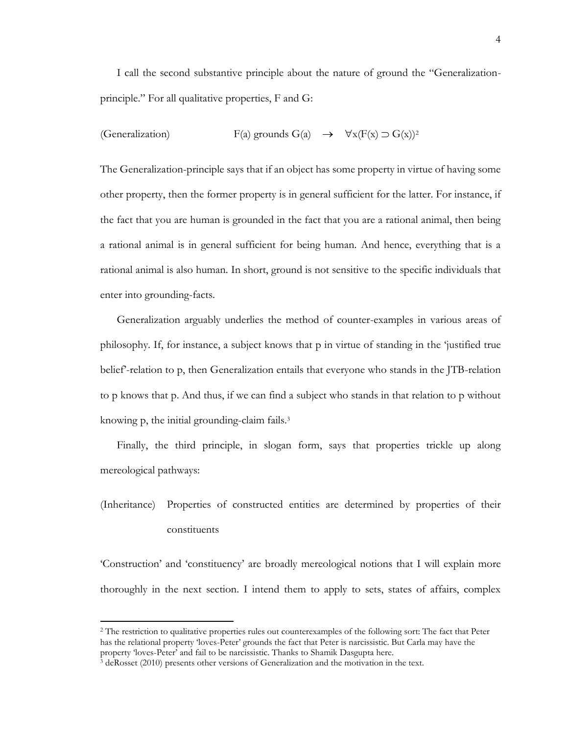I call the second substantive principle about the nature of ground the "Generalizationprinciple." For all qualitative properties, F and G:

(Generalization) 
$$
F(a)
$$
 grounds  $G(a) \rightarrow \forall x (F(x) \supset G(x))^2$ 

The Generalization-principle says that if an object has some property in virtue of having some other property, then the former property is in general sufficient for the latter. For instance, if the fact that you are human is grounded in the fact that you are a rational animal, then being a rational animal is in general sufficient for being human. And hence, everything that is a rational animal is also human. In short, ground is not sensitive to the specific individuals that enter into grounding-facts.

Generalization arguably underlies the method of counter-examples in various areas of philosophy. If, for instance, a subject knows that p in virtue of standing in the 'justified true belief'-relation to p, then Generalization entails that everyone who stands in the JTB-relation to p knows that p. And thus, if we can find a subject who stands in that relation to p without knowing p, the initial grounding-claim fails.<sup>3</sup>

Finally, the third principle, in slogan form, says that properties trickle up along mereological pathways:

# (Inheritance) Properties of constructed entities are determined by properties of their constituents

'Construction' and 'constituency' are broadly mereological notions that I will explain more thoroughly in the next section. I intend them to apply to sets, states of affairs, complex

<sup>2</sup> The restriction to qualitative properties rules out counterexamples of the following sort: The fact that Peter has the relational property 'loves-Peter' grounds the fact that Peter is narcissistic. But Carla may have the property 'loves-Peter' and fail to be narcissistic. Thanks to Shamik Dasgupta here.

<sup>3</sup> deRosset (2010) presents other versions of Generalization and the motivation in the text.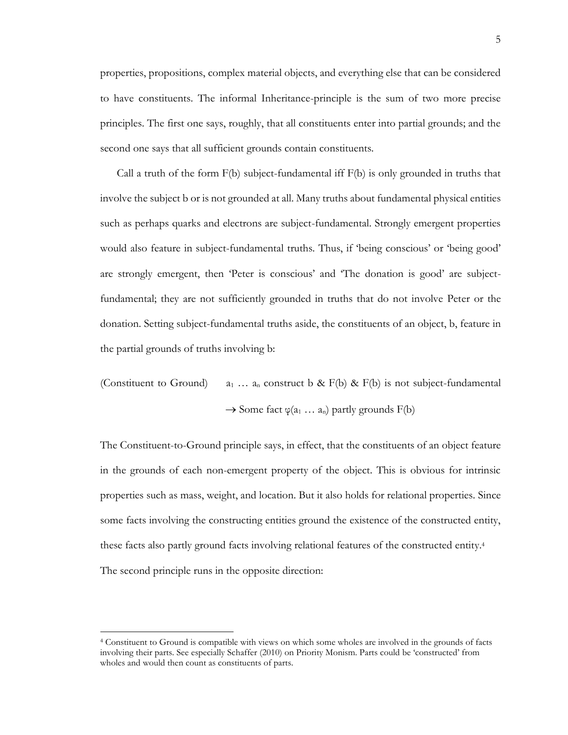properties, propositions, complex material objects, and everything else that can be considered to have constituents. The informal Inheritance-principle is the sum of two more precise principles. The first one says, roughly, that all constituents enter into partial grounds; and the second one says that all sufficient grounds contain constituents.

Call a truth of the form  $F(b)$  subject-fundamental iff  $F(b)$  is only grounded in truths that involve the subject b or is not grounded at all. Many truths about fundamental physical entities such as perhaps quarks and electrons are subject-fundamental. Strongly emergent properties would also feature in subject-fundamental truths. Thus, if 'being conscious' or 'being good' are strongly emergent, then 'Peter is conscious' and 'The donation is good' are subjectfundamental; they are not sufficiently grounded in truths that do not involve Peter or the donation. Setting subject-fundamental truths aside, the constituents of an object, b, feature in the partial grounds of truths involving b:

(Construct to Ground) 
$$
a_1 \ldots a_n
$$
 construct b & F(b) & F(b) is not subject-functional  
\n $\rightarrow$  Some fact  $\varphi(a_1 \ldots a_n)$  partly grounds F(b)

The Constituent-to-Ground principle says, in effect, that the constituents of an object feature in the grounds of each non-emergent property of the object. This is obvious for intrinsic properties such as mass, weight, and location. But it also holds for relational properties. Since some facts involving the constructing entities ground the existence of the constructed entity, these facts also partly ground facts involving relational features of the constructed entity.<sup>4</sup> The second principle runs in the opposite direction:

<sup>4</sup> Constituent to Ground is compatible with views on which some wholes are involved in the grounds of facts involving their parts. See especially Schaffer (2010) on Priority Monism. Parts could be 'constructed' from wholes and would then count as constituents of parts.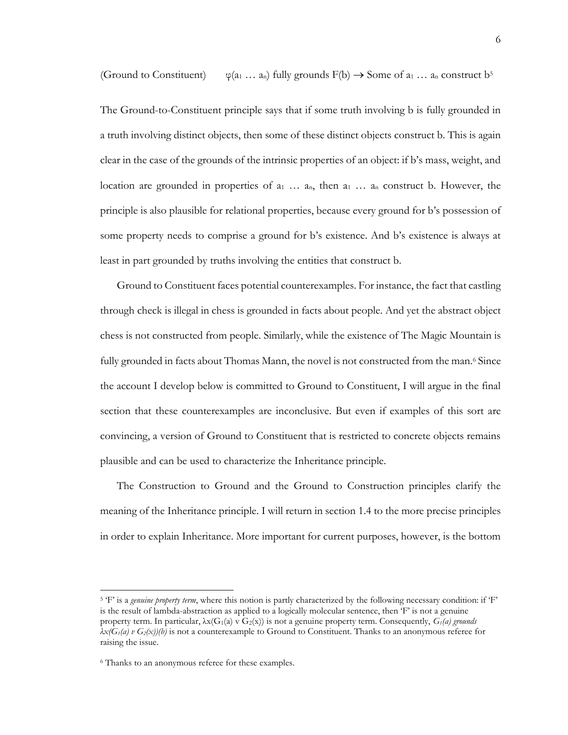(Ground to Constituent)  $\varphi(a_1 \ldots a_n)$  fully grounds  $F(b) \rightarrow$  Some of  $a_1 \ldots a_n$  construct  $b^5$ 

The Ground-to-Constituent principle says that if some truth involving b is fully grounded in a truth involving distinct objects, then some of these distinct objects construct b. This is again clear in the case of the grounds of the intrinsic properties of an object: if b's mass, weight, and location are grounded in properties of  $a_1 \ldots a_n$ , then  $a_1 \ldots a_n$  construct b. However, the principle is also plausible for relational properties, because every ground for b's possession of some property needs to comprise a ground for b's existence. And b's existence is always at least in part grounded by truths involving the entities that construct b.

Ground to Constituent faces potential counterexamples. For instance, the fact that castling through check is illegal in chess is grounded in facts about people. And yet the abstract object chess is not constructed from people. Similarly, while the existence of The Magic Mountain is fully grounded in facts about Thomas Mann, the novel is not constructed from the man.<sup>6</sup> Since the account I develop below is committed to Ground to Constituent, I will argue in the final section that these counterexamples are inconclusive. But even if examples of this sort are convincing, a version of Ground to Constituent that is restricted to concrete objects remains plausible and can be used to characterize the Inheritance principle.

The Construction to Ground and the Ground to Construction principles clarify the meaning of the Inheritance principle. I will return in section 1.4 to the more precise principles in order to explain Inheritance. More important for current purposes, however, is the bottom

<sup>&</sup>lt;sup>5</sup> <sup>T</sup>' is a *genuine property term*, where this notion is partly characterized by the following necessary condition: if 'F' is the result of lambda-abstraction as applied to a logically molecular sentence, then 'F' is not a genuine property term. In particular,  $\lambda x(G_1(a) \vee G_2(x))$  is not a genuine property term. Consequently,  $G_1(a)$  grounds *λx(G1(a) v G2(x))(b)* is not a counterexample to Ground to Constituent. Thanks to an anonymous referee for raising the issue.

<sup>6</sup> Thanks to an anonymous referee for these examples.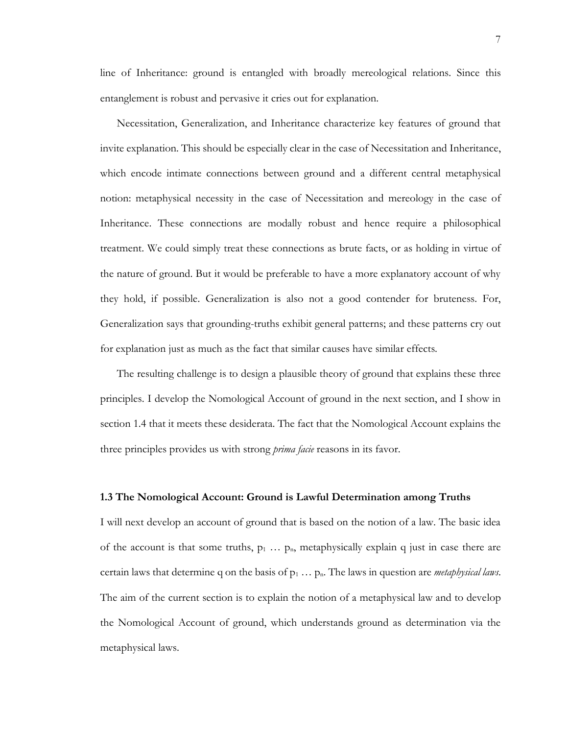line of Inheritance: ground is entangled with broadly mereological relations. Since this entanglement is robust and pervasive it cries out for explanation.

Necessitation, Generalization, and Inheritance characterize key features of ground that invite explanation. This should be especially clear in the case of Necessitation and Inheritance, which encode intimate connections between ground and a different central metaphysical notion: metaphysical necessity in the case of Necessitation and mereology in the case of Inheritance. These connections are modally robust and hence require a philosophical treatment. We could simply treat these connections as brute facts, or as holding in virtue of the nature of ground. But it would be preferable to have a more explanatory account of why they hold, if possible. Generalization is also not a good contender for bruteness. For, Generalization says that grounding-truths exhibit general patterns; and these patterns cry out for explanation just as much as the fact that similar causes have similar effects.

The resulting challenge is to design a plausible theory of ground that explains these three principles. I develop the Nomological Account of ground in the next section, and I show in section 1.4 that it meets these desiderata. The fact that the Nomological Account explains the three principles provides us with strong *prima facie* reasons in its favor.

#### <span id="page-11-0"></span>**1.3 The Nomological Account: Ground is Lawful Determination among Truths**

I will next develop an account of ground that is based on the notion of a law. The basic idea of the account is that some truths,  $p_1 \ldots p_n$ , metaphysically explain q just in case there are certain laws that determine q on the basis of  $p_1 \dots p_n$ . The laws in question are *metaphysical laws*. The aim of the current section is to explain the notion of a metaphysical law and to develop the Nomological Account of ground, which understands ground as determination via the metaphysical laws.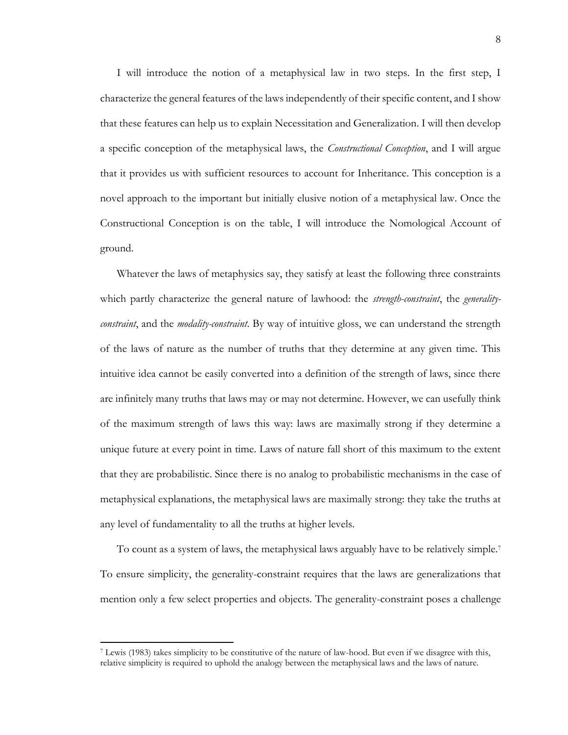I will introduce the notion of a metaphysical law in two steps. In the first step, I characterize the general features of the laws independently of their specific content, and I show that these features can help us to explain Necessitation and Generalization. I will then develop a specific conception of the metaphysical laws, the *Constructional Conception*, and I will argue that it provides us with sufficient resources to account for Inheritance. This conception is a novel approach to the important but initially elusive notion of a metaphysical law. Once the Constructional Conception is on the table, I will introduce the Nomological Account of ground.

Whatever the laws of metaphysics say, they satisfy at least the following three constraints which partly characterize the general nature of lawhood: the *strength-constraint*, the *generalityconstraint*, and the *modality-constraint*. By way of intuitive gloss, we can understand the strength of the laws of nature as the number of truths that they determine at any given time. This intuitive idea cannot be easily converted into a definition of the strength of laws, since there are infinitely many truths that laws may or may not determine. However, we can usefully think of the maximum strength of laws this way: laws are maximally strong if they determine a unique future at every point in time. Laws of nature fall short of this maximum to the extent that they are probabilistic. Since there is no analog to probabilistic mechanisms in the case of metaphysical explanations, the metaphysical laws are maximally strong: they take the truths at any level of fundamentality to all the truths at higher levels.

To count as a system of laws, the metaphysical laws arguably have to be relatively simple.<sup>7</sup> To ensure simplicity, the generality-constraint requires that the laws are generalizations that mention only a few select properties and objects. The generality-constraint poses a challenge

 $\overline{\phantom{a}}$ 

<sup>7</sup> Lewis (1983) takes simplicity to be constitutive of the nature of law-hood. But even if we disagree with this, relative simplicity is required to uphold the analogy between the metaphysical laws and the laws of nature.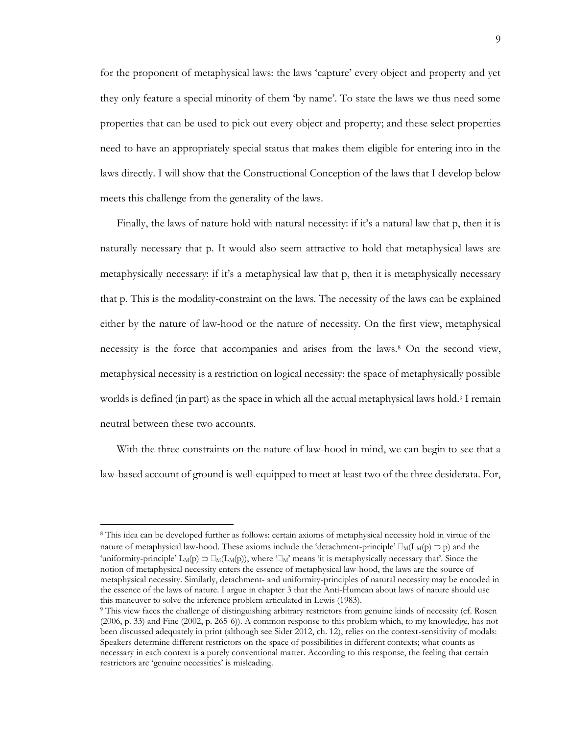for the proponent of metaphysical laws: the laws 'capture' every object and property and yet they only feature a special minority of them 'by name'. To state the laws we thus need some properties that can be used to pick out every object and property; and these select properties need to have an appropriately special status that makes them eligible for entering into in the laws directly. I will show that the Constructional Conception of the laws that I develop below meets this challenge from the generality of the laws.

Finally, the laws of nature hold with natural necessity: if it's a natural law that p, then it is naturally necessary that p. It would also seem attractive to hold that metaphysical laws are metaphysically necessary: if it's a metaphysical law that p, then it is metaphysically necessary that p. This is the modality-constraint on the laws. The necessity of the laws can be explained either by the nature of law-hood or the nature of necessity. On the first view, metaphysical necessity is the force that accompanies and arises from the laws.<sup>8</sup> On the second view, metaphysical necessity is a restriction on logical necessity: the space of metaphysically possible worlds is defined (in part) as the space in which all the actual metaphysical laws hold.<sup>9</sup> I remain neutral between these two accounts.

With the three constraints on the nature of law-hood in mind, we can begin to see that a law-based account of ground is well-equipped to meet at least two of the three desiderata. For,

 $\overline{\phantom{a}}$ 

<sup>8</sup> This idea can be developed further as follows: certain axioms of metaphysical necessity hold in virtue of the nature of metaphysical law-hood. These axioms include the 'detachment-principle'  $\Box_M(L_M(p) \supset p)$  and the 'uniformity-principle'  $L_M(p) \supset \Box_M(L_M(p))$ , where ' $\Box_M$ ' means 'it is metaphysically necessary that'. Since the notion of metaphysical necessity enters the essence of metaphysical law-hood, the laws are the source of metaphysical necessity. Similarly, detachment- and uniformity-principles of natural necessity may be encoded in the essence of the laws of nature. I argue in chapter 3 that the Anti-Humean about laws of nature should use this maneuver to solve the inference problem articulated in Lewis (1983).

<sup>9</sup> This view faces the challenge of distinguishing arbitrary restrictors from genuine kinds of necessity (cf. Rosen (2006, p. 33) and Fine (2002, p. 265-6)). A common response to this problem which, to my knowledge, has not been discussed adequately in print (although see Sider 2012, ch. 12), relies on the context-sensitivity of modals: Speakers determine different restrictors on the space of possibilities in different contexts; what counts as necessary in each context is a purely conventional matter. According to this response, the feeling that certain restrictors are 'genuine necessities' is misleading.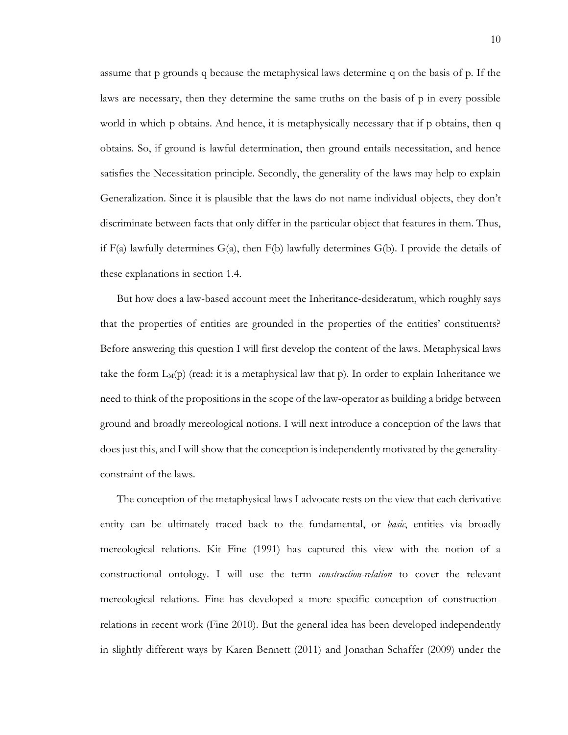assume that p grounds q because the metaphysical laws determine q on the basis of p. If the laws are necessary, then they determine the same truths on the basis of p in every possible world in which p obtains. And hence, it is metaphysically necessary that if p obtains, then q obtains. So, if ground is lawful determination, then ground entails necessitation, and hence satisfies the Necessitation principle. Secondly, the generality of the laws may help to explain Generalization. Since it is plausible that the laws do not name individual objects, they don't discriminate between facts that only differ in the particular object that features in them. Thus, if F(a) lawfully determines G(a), then F(b) lawfully determines G(b). I provide the details of these explanations in section 1.4.

But how does a law-based account meet the Inheritance-desideratum, which roughly says that the properties of entities are grounded in the properties of the entities' constituents? Before answering this question I will first develop the content of the laws. Metaphysical laws take the form  $L_M(p)$  (read: it is a metaphysical law that p). In order to explain Inheritance we need to think of the propositions in the scope of the law-operator as building a bridge between ground and broadly mereological notions. I will next introduce a conception of the laws that does just this, and I will show that the conception is independently motivated by the generalityconstraint of the laws.

The conception of the metaphysical laws I advocate rests on the view that each derivative entity can be ultimately traced back to the fundamental, or *basic*, entities via broadly mereological relations. Kit Fine (1991) has captured this view with the notion of a constructional ontology. I will use the term *construction-relation* to cover the relevant mereological relations. Fine has developed a more specific conception of constructionrelations in recent work (Fine 2010). But the general idea has been developed independently in slightly different ways by Karen Bennett (2011) and Jonathan Schaffer (2009) under the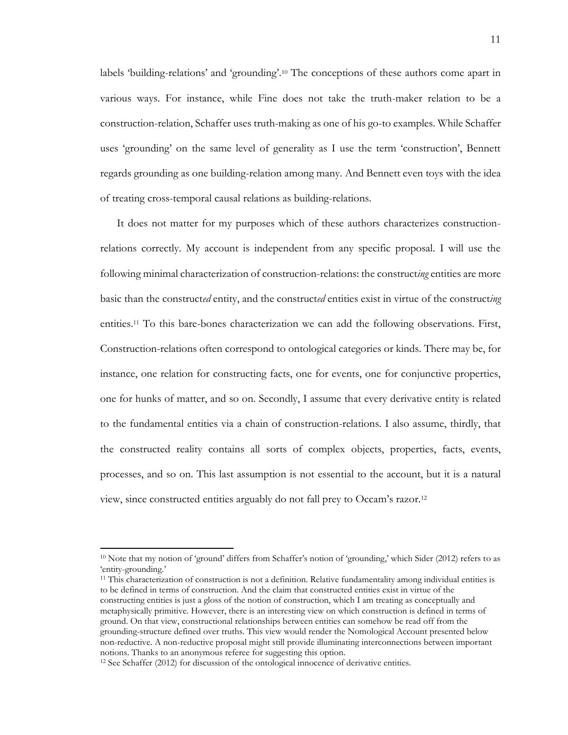labels 'building-relations' and 'grounding'.<sup>10</sup> The conceptions of these authors come apart in various ways. For instance, while Fine does not take the truth-maker relation to be a construction-relation, Schaffer uses truth-making as one of his go-to examples. While Schaffer uses 'grounding' on the same level of generality as I use the term 'construction', Bennett regards grounding as one building-relation among many. And Bennett even toys with the idea of treating cross-temporal causal relations as building-relations.

It does not matter for my purposes which of these authors characterizes constructionrelations correctly. My account is independent from any specific proposal. I will use the following minimal characterization of construction-relations: the construct*ing* entities are more basic than the construct*ed* entity, and the construct*ed* entities exist in virtue of the construct*ing* entities.<sup>11</sup> To this bare-bones characterization we can add the following observations. First, Construction-relations often correspond to ontological categories or kinds. There may be, for instance, one relation for constructing facts, one for events, one for conjunctive properties, one for hunks of matter, and so on. Secondly, I assume that every derivative entity is related to the fundamental entities via a chain of construction-relations. I also assume, thirdly, that the constructed reality contains all sorts of complex objects, properties, facts, events, processes, and so on. This last assumption is not essential to the account, but it is a natural view, since constructed entities arguably do not fall prey to Occam's razor.<sup>12</sup>

<sup>10</sup> Note that my notion of 'ground' differs from Schaffer's notion of 'grounding,' which Sider (2012) refers to as 'entity-grounding.'

 $11$  This characterization of construction is not a definition. Relative fundamentality among individual entities is to be defined in terms of construction. And the claim that constructed entities exist in virtue of the constructing entities is just a gloss of the notion of construction, which I am treating as conceptually and metaphysically primitive. However, there is an interesting view on which construction is defined in terms of ground. On that view, constructional relationships between entities can somehow be read off from the grounding-structure defined over truths. This view would render the Nomological Account presented below non-reductive. A non-reductive proposal might still provide illuminating interconnections between important notions. Thanks to an anonymous referee for suggesting this option.

<sup>12</sup> See Schaffer (2012) for discussion of the ontological innocence of derivative entities.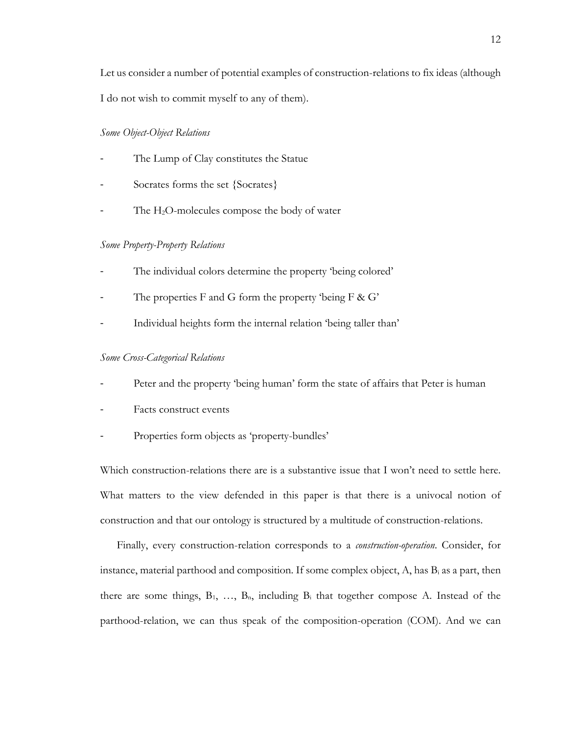Let us consider a number of potential examples of construction-relations to fix ideas (although I do not wish to commit myself to any of them).

#### *Some Object-Object Relations*

- The Lump of Clay constitutes the Statue
- Socrates forms the set {Socrates}
- The  $H_2O$ -molecules compose the body of water

#### *Some Property-Property Relations*

- The individual colors determine the property 'being colored'
- The properties F and G form the property 'being  $F \& G'$
- Individual heights form the internal relation 'being taller than'

#### *Some Cross-Categorical Relations*

- Peter and the property 'being human' form the state of affairs that Peter is human
- Facts construct events
- Properties form objects as 'property-bundles'

Which construction-relations there are is a substantive issue that I won't need to settle here. What matters to the view defended in this paper is that there is a univocal notion of construction and that our ontology is structured by a multitude of construction-relations.

Finally, every construction-relation corresponds to a *construction-operation*. Consider, for instance, material parthood and composition. If some complex object,  $A$ , has  $B_i$  as a part, then there are some things,  $B_1$ , ...,  $B_n$ , including  $B_i$  that together compose A. Instead of the parthood-relation, we can thus speak of the composition-operation (COM). And we can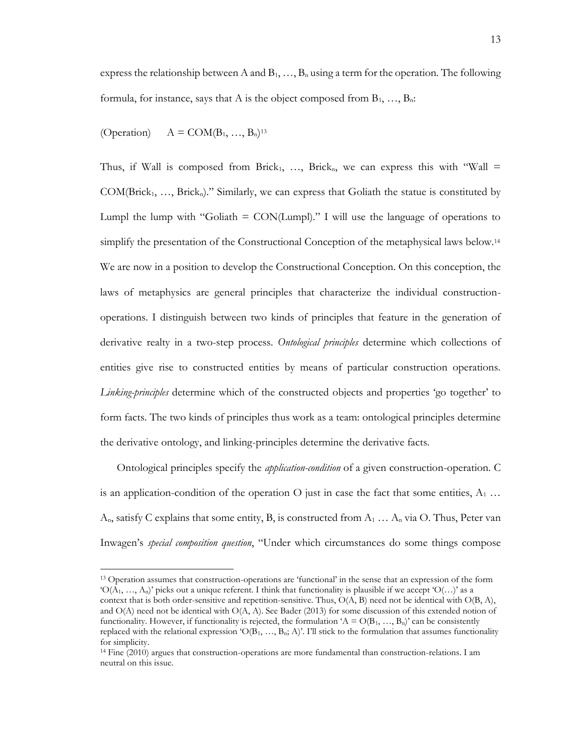express the relationship between A and  $B_1, \ldots, B_n$  using a term for the operation. The following formula, for instance, says that A is the object composed from  $B_1, \ldots, B_n$ :

$$
(Operation) \qquad A = COM(B1, ..., Bn)13
$$

 $\overline{a}$ 

Thus, if Wall is composed from Brick<sub>1</sub>, ..., Brick<sub>n</sub>, we can express this with "Wall =  $COM(Brick<sub>1</sub>, ..., Brick<sub>n</sub>)$ ." Similarly, we can express that Goliath the statue is constituted by Lumpl the lump with "Goliath  $=$  CON(Lumpl)." I will use the language of operations to simplify the presentation of the Constructional Conception of the metaphysical laws below.<sup>14</sup> We are now in a position to develop the Constructional Conception. On this conception, the laws of metaphysics are general principles that characterize the individual constructionoperations. I distinguish between two kinds of principles that feature in the generation of derivative realty in a two-step process. *Ontological principles* determine which collections of entities give rise to constructed entities by means of particular construction operations. *Linking-principles* determine which of the constructed objects and properties 'go together' to form facts. The two kinds of principles thus work as a team: ontological principles determine the derivative ontology, and linking-principles determine the derivative facts.

Ontological principles specify the *application-condition* of a given construction-operation. C is an application-condition of the operation O just in case the fact that some entities,  $A_1 \ldots$  $A_n$ , satisfy C explains that some entity, B, is constructed from  $A_1 \dots A_n$  via O. Thus, Peter van Inwagen's *special composition question*, "Under which circumstances do some things compose

<sup>13</sup> Operation assumes that construction-operations are 'functional' in the sense that an expression of the form  $(O(A_1, ..., A_n))$  picks out a unique referent. I think that functionality is plausible if we accept  $(O...)$  as a context that is both order-sensitive and repetition-sensitive. Thus,  $O(A, B)$  need not be identical with  $O(B, A)$ ,

and O(A) need not be identical with O(A, A). See Bader (2013) for some discussion of this extended notion of functionality. However, if functionality is rejected, the formulation 'A =  $O(B_1, ..., B_n)$ ' can be consistently replaced with the relational expression ' $O(B_1, ..., B_n; A)$ '. I'll stick to the formulation that assumes functionality for simplicity.

<sup>14</sup> Fine (2010) argues that construction-operations are more fundamental than construction-relations. I am neutral on this issue.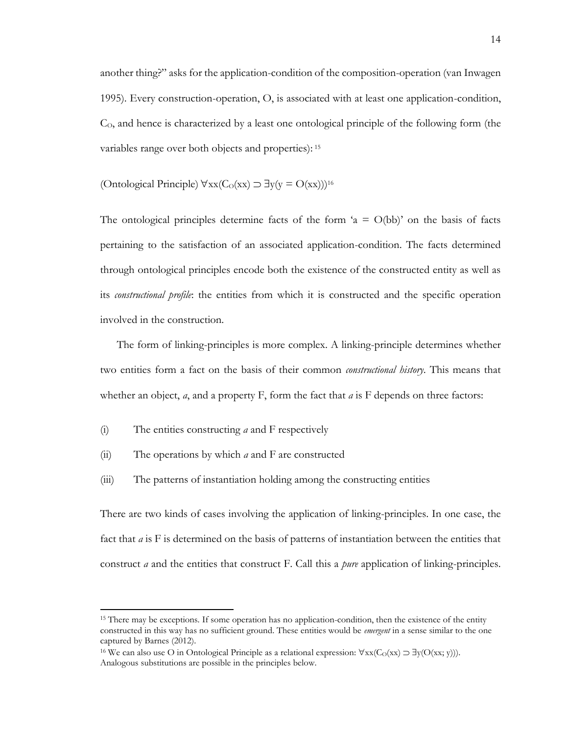another thing?" asks for the application-condition of the composition-operation (van Inwagen 1995). Every construction-operation, O, is associated with at least one application-condition, C<sub>O</sub>, and hence is characterized by a least one ontological principle of the following form (the variables range over both objects and properties): <sup>15</sup>

(Ontological Principle) 
$$
\forall xx(C_O(xx) \supset \exists y(y = O(xx)))^{16}
$$

The ontological principles determine facts of the form  $a = O(bb)$  on the basis of facts pertaining to the satisfaction of an associated application-condition. The facts determined through ontological principles encode both the existence of the constructed entity as well as its *constructional profile*: the entities from which it is constructed and the specific operation involved in the construction.

The form of linking-principles is more complex. A linking-principle determines whether two entities form a fact on the basis of their common *constructional history*. This means that whether an object,  $a$ , and a property  $F$ , form the fact that  $a$  is  $F$  depends on three factors:

(i) The entities constructing *a* and F respectively

l

- (ii) The operations by which *a* and F are constructed
- (iii) The patterns of instantiation holding among the constructing entities

There are two kinds of cases involving the application of linking-principles. In one case, the fact that *a* is F is determined on the basis of patterns of instantiation between the entities that construct *a* and the entities that construct F. Call this a *pure* application of linking-principles.

<sup>&</sup>lt;sup>15</sup> There may be exceptions. If some operation has no application-condition, then the existence of the entity constructed in this way has no sufficient ground. These entities would be *emergent* in a sense similar to the one captured by Barnes (2012).

<sup>&</sup>lt;sup>16</sup> We can also use O in Ontological Principle as a relational expression:  $\forall xx(C_O(xx) \supset \exists y(O(xx, y))$ . Analogous substitutions are possible in the principles below.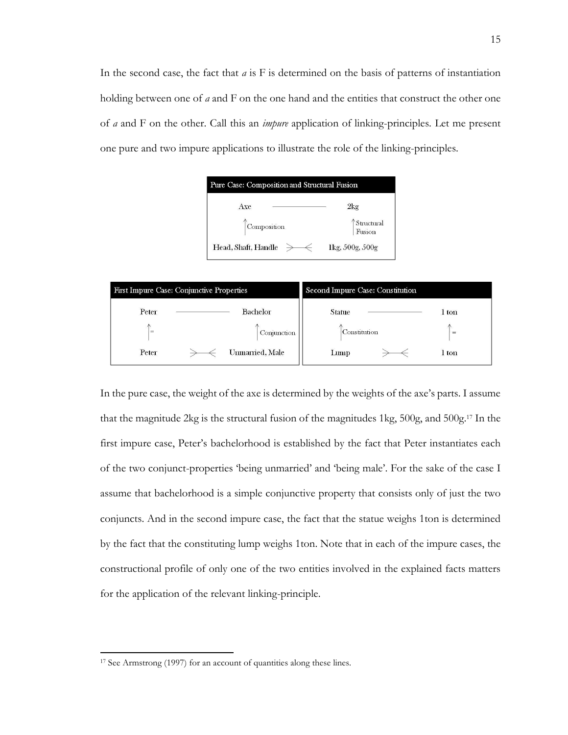In the second case, the fact that  $a$  is  $F$  is determined on the basis of patterns of instantiation holding between one of *a* and F on the one hand and the entities that construct the other one of *a* and F on the other. Call this an *impure* application of linking-principles. Let me present one pure and two impure applications to illustrate the role of the linking-principles.

| Pure Case: Composition and Structural Fusion |                                           |  |  |  |
|----------------------------------------------|-------------------------------------------|--|--|--|
| Axe                                          | 2kg                                       |  |  |  |
| Composition                                  | $\int_{\text{Fusion}}^{\text{Stuctural}}$ |  |  |  |
| Head, Shaft, Handle                          | $1\text{kg}, 500\text{g}, 500\text{g}$    |  |  |  |

|       | <b>First Impure Case: Conjunctive Properties</b> | Second Impure Case: Constitution |       |
|-------|--------------------------------------------------|----------------------------------|-------|
| Peter | Bachelor                                         | Statue                           | 1 ton |
| $=$   | Conjunction                                      | Constitution                     | $=$   |
| Peter | Unmarried, Male                                  | Lump                             | 1 ton |

In the pure case, the weight of the axe is determined by the weights of the axe's parts. I assume that the magnitude 2kg is the structural fusion of the magnitudes 1kg, 500g, and 500g.<sup>17</sup> In the first impure case, Peter's bachelorhood is established by the fact that Peter instantiates each of the two conjunct-properties 'being unmarried' and 'being male'. For the sake of the case I assume that bachelorhood is a simple conjunctive property that consists only of just the two conjuncts. And in the second impure case, the fact that the statue weighs 1ton is determined by the fact that the constituting lump weighs 1ton. Note that in each of the impure cases, the constructional profile of only one of the two entities involved in the explained facts matters for the application of the relevant linking-principle.

 $\overline{a}$ 

<sup>&</sup>lt;sup>17</sup> See Armstrong (1997) for an account of quantities along these lines.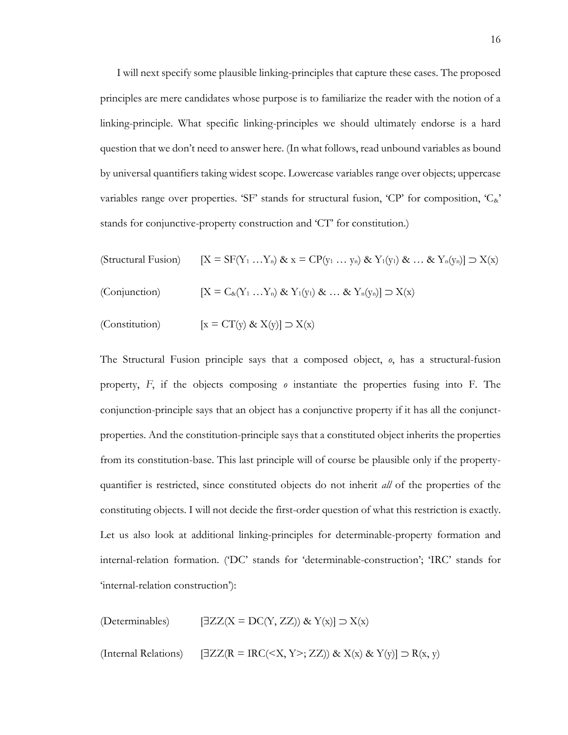I will next specify some plausible linking-principles that capture these cases. The proposed principles are mere candidates whose purpose is to familiarize the reader with the notion of a linking-principle. What specific linking-principles we should ultimately endorse is a hard question that we don't need to answer here. (In what follows, read unbound variables as bound by universal quantifiers taking widest scope. Lowercase variables range over objects; uppercase variables range over properties. 'SF' stands for structural fusion, 'CP' for composition, ' $C_{\alpha}$ ' stands for conjunctive-property construction and 'CT' for constitution.)

(Structural Fusion)

\n
$$
[X = SF(Y_1 ... Y_n) & x = CP(y_1 ... y_n) & Y_1(y_1) & ... & Y_n(y_n)] \supset X(x)
$$
\n(Conjunction)

\n
$$
[X = C_{\alpha}(Y_1 ... Y_n) & Y_1(y_1) & ... & Y_n(y_n)] \supset X(x)
$$
\n(Constitution)

\n
$$
[x = CT(y) & X(y)] \supset X(x)
$$

The Structural Fusion principle says that a composed object, *o*, has a structural-fusion property,  $F$ , if the objects composing  $\rho$  instantiate the properties fusing into  $F$ . The conjunction-principle says that an object has a conjunctive property if it has all the conjunctproperties. And the constitution-principle says that a constituted object inherits the properties from its constitution-base. This last principle will of course be plausible only if the propertyquantifier is restricted, since constituted objects do not inherit *all* of the properties of the constituting objects. I will not decide the first-order question of what this restriction is exactly. Let us also look at additional linking-principles for determinable-property formation and internal-relation formation. ('DC' stands for 'determinable-construction'; 'IRC' stands for 'internal-relation construction'):

(Determinables)  $[\exists ZZ(X = DC(Y, ZZ)) \& Y(x)] \supset X(x)]$ (Internal Relations)  $[\exists ZZ(R = \text{IRC}(\leq X, Y >; ZZ)) \& X(x) \& Y(y)] \supset R(x, y)$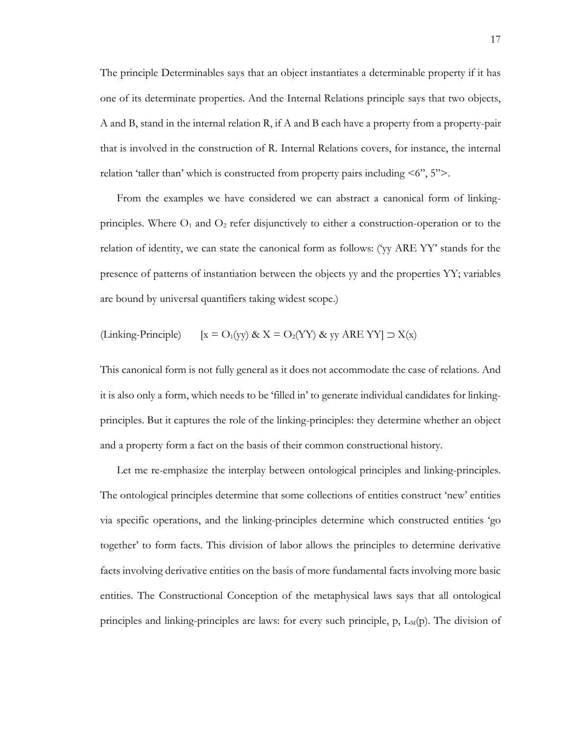The principle Determinables says that an object instantiates a determinable property if it has one of its determinate properties. And the Internal Relations principle says that two objects, A and B, stand in the internal relation R, if A and B each have a property from a property-pair that is involved in the construction of R. Internal Relations covers, for instance, the internal relation 'taller than' which is constructed from property pairs including  $\langle 6 \rangle$ ,  $5 \rangle$ .

From the examples we have considered we can abstract a canonical form of linkingprinciples. Where  $O_1$  and  $O_2$  refer disjunctively to either a construction-operation or to the relation of identity, we can state the canonical form as follows: ('yy ARE YY' stands for the presence of patterns of instantiation between the objects yy and the properties YY; variables are bound by universal quantifiers taking widest scope.)

(Linking-Principle) 
$$
[x = O_1(yy) \& X = O_2(YY) \& yy \text{ ARE } YY] \supset X(x)
$$

This canonical form is not fully general as it does not accommodate the case of relations. And it is also only a form, which needs to be 'filled in' to generate individual candidates for linkingprinciples. But it captures the role of the linking-principles: they determine whether an object and a property form a fact on the basis of their common constructional history.

Let me re-emphasize the interplay between ontological principles and linking-principles. The ontological principles determine that some collections of entities construct 'new' entities via specific operations, and the linking-principles determine which constructed entities 'go together' to form facts. This division of labor allows the principles to determine derivative facts involving derivative entities on the basis of more fundamental facts involving more basic entities. The Constructional Conception of the metaphysical laws says that all ontological principles and linking-principles are laws: for every such principle,  $p$ ,  $L_M(p)$ . The division of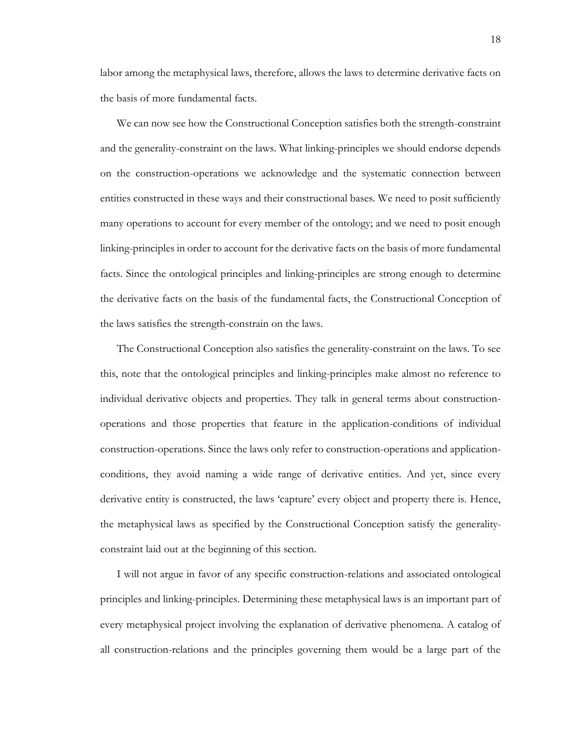labor among the metaphysical laws, therefore, allows the laws to determine derivative facts on the basis of more fundamental facts.

We can now see how the Constructional Conception satisfies both the strength-constraint and the generality-constraint on the laws. What linking-principles we should endorse depends on the construction-operations we acknowledge and the systematic connection between entities constructed in these ways and their constructional bases. We need to posit sufficiently many operations to account for every member of the ontology; and we need to posit enough linking-principles in order to account for the derivative facts on the basis of more fundamental facts. Since the ontological principles and linking-principles are strong enough to determine the derivative facts on the basis of the fundamental facts, the Constructional Conception of the laws satisfies the strength-constrain on the laws.

The Constructional Conception also satisfies the generality-constraint on the laws. To see this, note that the ontological principles and linking-principles make almost no reference to individual derivative objects and properties. They talk in general terms about constructionoperations and those properties that feature in the application-conditions of individual construction-operations. Since the laws only refer to construction-operations and applicationconditions, they avoid naming a wide range of derivative entities. And yet, since every derivative entity is constructed, the laws 'capture' every object and property there is. Hence, the metaphysical laws as specified by the Constructional Conception satisfy the generalityconstraint laid out at the beginning of this section.

I will not argue in favor of any specific construction-relations and associated ontological principles and linking-principles. Determining these metaphysical laws is an important part of every metaphysical project involving the explanation of derivative phenomena. A catalog of all construction-relations and the principles governing them would be a large part of the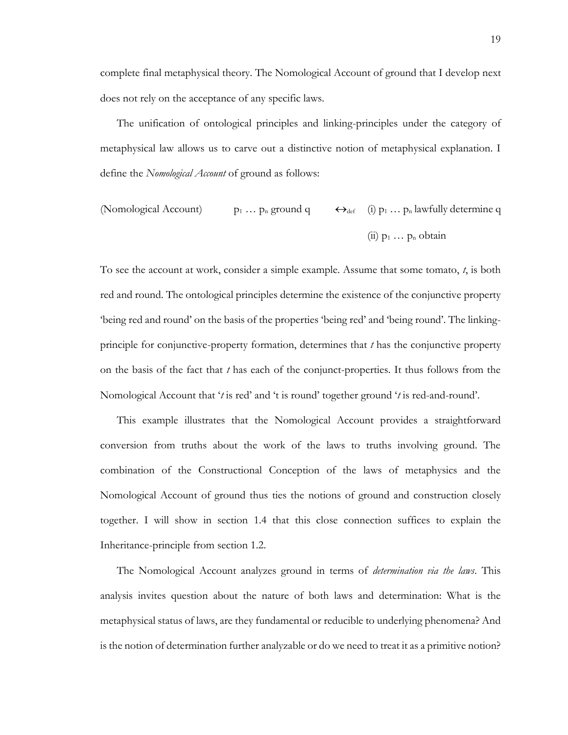complete final metaphysical theory. The Nomological Account of ground that I develop next does not rely on the acceptance of any specific laws.

The unification of ontological principles and linking-principles under the category of metaphysical law allows us to carve out a distinctive notion of metaphysical explanation. I define the *Nomological Account* of ground as follows:

(Nomological Account)

\n
$$
p_1 \ldots p_n \text{ ground } q \qquad \leftrightarrow_{\text{def}} \quad (i) \ p_1 \ldots p_n \text{ lawfully determine } q
$$
\n(ii)  $p_1 \ldots p_n \text{ obtain}$ 

To see the account at work, consider a simple example. Assume that some tomato, *t*, is both red and round. The ontological principles determine the existence of the conjunctive property 'being red and round' on the basis of the properties 'being red' and 'being round'. The linkingprinciple for conjunctive-property formation, determines that *t* has the conjunctive property on the basis of the fact that *t* has each of the conjunct-properties. It thus follows from the Nomological Account that '*t* is red' and 't is round' together ground '*t* is red-and-round'.

This example illustrates that the Nomological Account provides a straightforward conversion from truths about the work of the laws to truths involving ground. The combination of the Constructional Conception of the laws of metaphysics and the Nomological Account of ground thus ties the notions of ground and construction closely together. I will show in section 1.4 that this close connection suffices to explain the Inheritance-principle from section 1.2.

The Nomological Account analyzes ground in terms of *determination via the laws*. This analysis invites question about the nature of both laws and determination: What is the metaphysical status of laws, are they fundamental or reducible to underlying phenomena? And is the notion of determination further analyzable or do we need to treat it as a primitive notion?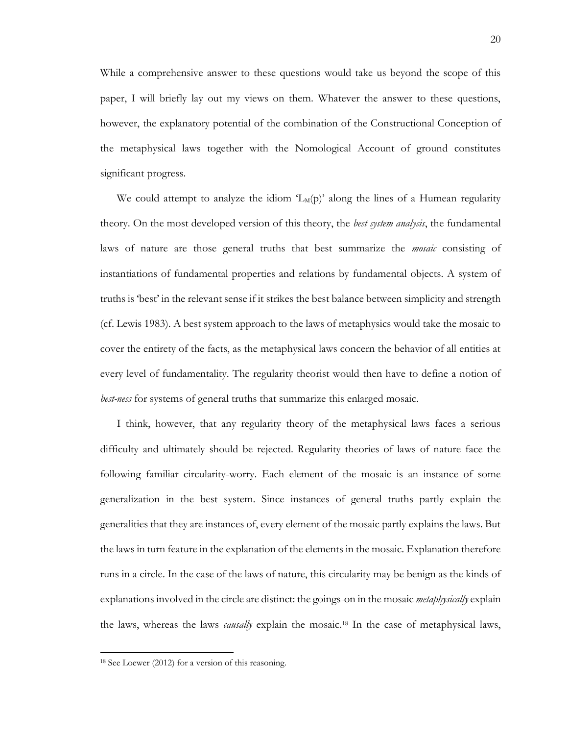While a comprehensive answer to these questions would take us beyond the scope of this paper, I will briefly lay out my views on them. Whatever the answer to these questions, however, the explanatory potential of the combination of the Constructional Conception of the metaphysical laws together with the Nomological Account of ground constitutes significant progress.

We could attempt to analyze the idiom ' $L_M(p)$ ' along the lines of a Humean regularity theory. On the most developed version of this theory, the *best system analysis*, the fundamental laws of nature are those general truths that best summarize the *mosaic* consisting of instantiations of fundamental properties and relations by fundamental objects. A system of truths is 'best' in the relevant sense if it strikes the best balance between simplicity and strength (cf. Lewis 1983). A best system approach to the laws of metaphysics would take the mosaic to cover the entirety of the facts, as the metaphysical laws concern the behavior of all entities at every level of fundamentality. The regularity theorist would then have to define a notion of *best-ness* for systems of general truths that summarize this enlarged mosaic.

I think, however, that any regularity theory of the metaphysical laws faces a serious difficulty and ultimately should be rejected. Regularity theories of laws of nature face the following familiar circularity-worry. Each element of the mosaic is an instance of some generalization in the best system. Since instances of general truths partly explain the generalities that they are instances of, every element of the mosaic partly explains the laws. But the laws in turn feature in the explanation of the elements in the mosaic. Explanation therefore runs in a circle. In the case of the laws of nature, this circularity may be benign as the kinds of explanations involved in the circle are distinct: the goings-on in the mosaic *metaphysically* explain the laws, whereas the laws *causally* explain the mosaic.<sup>18</sup> In the case of metaphysical laws,

 $\overline{a}$ 

<sup>18</sup> See Loewer (2012) for a version of this reasoning.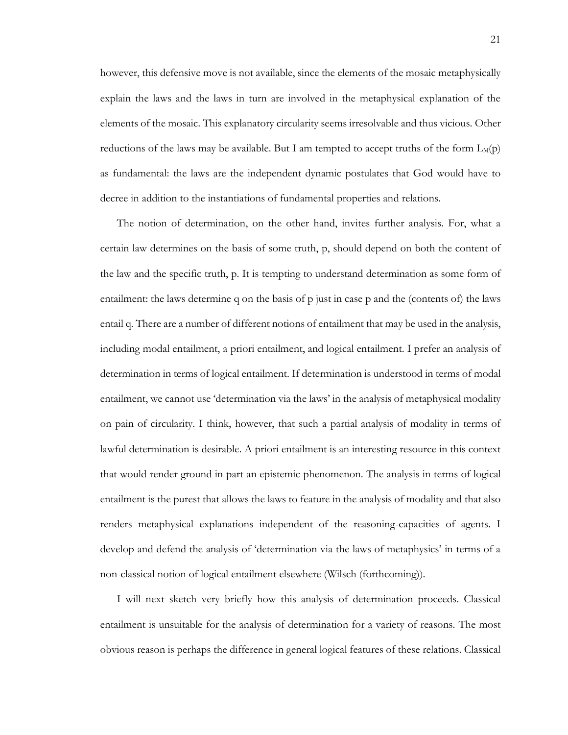however, this defensive move is not available, since the elements of the mosaic metaphysically explain the laws and the laws in turn are involved in the metaphysical explanation of the elements of the mosaic. This explanatory circularity seems irresolvable and thus vicious. Other reductions of the laws may be available. But I am tempted to accept truths of the form  $L_M(p)$ as fundamental: the laws are the independent dynamic postulates that God would have to decree in addition to the instantiations of fundamental properties and relations.

The notion of determination, on the other hand, invites further analysis. For, what a certain law determines on the basis of some truth, p, should depend on both the content of the law and the specific truth, p. It is tempting to understand determination as some form of entailment: the laws determine q on the basis of p just in case p and the (contents of) the laws entail q. There are a number of different notions of entailment that may be used in the analysis, including modal entailment, a priori entailment, and logical entailment. I prefer an analysis of determination in terms of logical entailment. If determination is understood in terms of modal entailment, we cannot use 'determination via the laws' in the analysis of metaphysical modality on pain of circularity. I think, however, that such a partial analysis of modality in terms of lawful determination is desirable. A priori entailment is an interesting resource in this context that would render ground in part an epistemic phenomenon. The analysis in terms of logical entailment is the purest that allows the laws to feature in the analysis of modality and that also renders metaphysical explanations independent of the reasoning-capacities of agents. I develop and defend the analysis of 'determination via the laws of metaphysics' in terms of a non-classical notion of logical entailment elsewhere (Wilsch (forthcoming)).

I will next sketch very briefly how this analysis of determination proceeds. Classical entailment is unsuitable for the analysis of determination for a variety of reasons. The most obvious reason is perhaps the difference in general logical features of these relations. Classical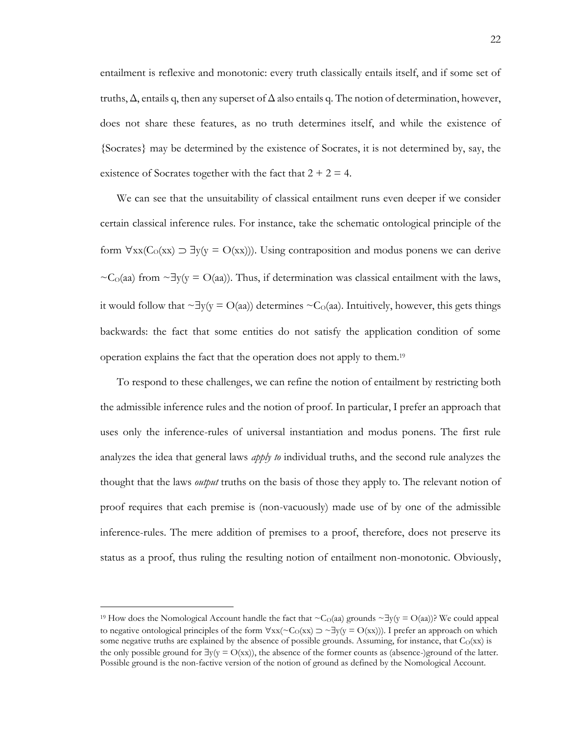entailment is reflexive and monotonic: every truth classically entails itself, and if some set of truths, Δ, entails q, then any superset of Δ also entails q. The notion of determination, however, does not share these features, as no truth determines itself, and while the existence of {Socrates} may be determined by the existence of Socrates, it is not determined by, say, the existence of Socrates together with the fact that  $2 + 2 = 4$ .

We can see that the unsuitability of classical entailment runs even deeper if we consider certain classical inference rules. For instance, take the schematic ontological principle of the form  $\forall xx(C_0(xx) \supset \exists y(y = O(xx))$ . Using contraposition and modus ponens we can derive ~C<sub>O</sub>(aa) from ~ $\exists y(y = O(aa))$ . Thus, if determination was classical entailment with the laws, it would follow that  $\neg \exists y(y = O(aa))$  determines  $\neg C_O(aa)$ . Intuitively, however, this gets things backwards: the fact that some entities do not satisfy the application condition of some operation explains the fact that the operation does not apply to them.<sup>19</sup>

To respond to these challenges, we can refine the notion of entailment by restricting both the admissible inference rules and the notion of proof. In particular, I prefer an approach that uses only the inference-rules of universal instantiation and modus ponens. The first rule analyzes the idea that general laws *apply to* individual truths, and the second rule analyzes the thought that the laws *output* truths on the basis of those they apply to. The relevant notion of proof requires that each premise is (non-vacuously) made use of by one of the admissible inference-rules. The mere addition of premises to a proof, therefore, does not preserve its status as a proof, thus ruling the resulting notion of entailment non-monotonic. Obviously,

 $\overline{\phantom{a}}$ 

<sup>&</sup>lt;sup>19</sup> How does the Nomological Account handle the fact that  ${}^{\sim}C_0$ (aa) grounds  ${}^{\sim}$   $\exists y(y = O(aa))$ ? We could appeal to negative ontological principles of the form  $\forall xx(\sim C_O(xx) \supset \neg \exists y(y = O(xx))$ . I prefer an approach on which some negative truths are explained by the absence of possible grounds. Assuming, for instance, that  $C<sub>O</sub>(xx)$  is the only possible ground for  $\exists y(y = O(xx))$ , the absence of the former counts as (absence-)ground of the latter. Possible ground is the non-factive version of the notion of ground as defined by the Nomological Account.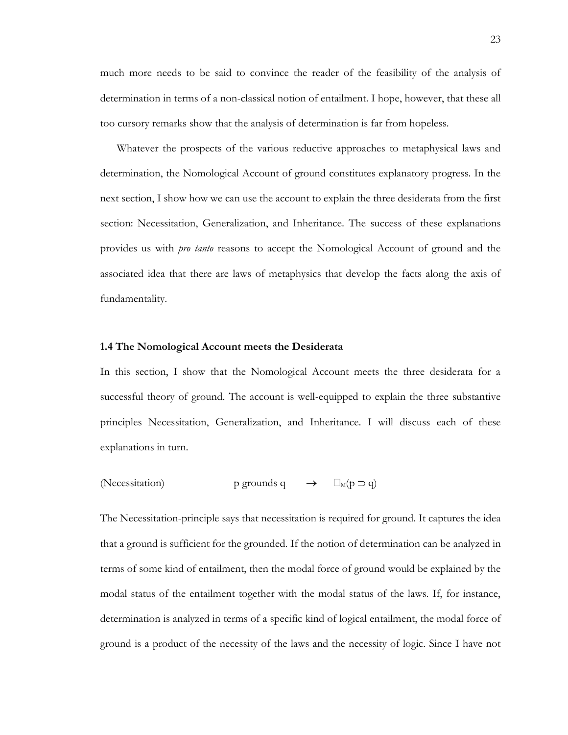much more needs to be said to convince the reader of the feasibility of the analysis of determination in terms of a non-classical notion of entailment. I hope, however, that these all too cursory remarks show that the analysis of determination is far from hopeless.

Whatever the prospects of the various reductive approaches to metaphysical laws and determination, the Nomological Account of ground constitutes explanatory progress. In the next section, I show how we can use the account to explain the three desiderata from the first section: Necessitation, Generalization, and Inheritance. The success of these explanations provides us with *pro tanto* reasons to accept the Nomological Account of ground and the associated idea that there are laws of metaphysics that develop the facts along the axis of fundamentality.

#### <span id="page-27-0"></span>**1.4 The Nomological Account meets the Desiderata**

In this section, I show that the Nomological Account meets the three desiderata for a successful theory of ground. The account is well-equipped to explain the three substantive principles Necessitation, Generalization, and Inheritance. I will discuss each of these explanations in turn.

(Necessitation) 
$$
p
$$
 grounds  $q \rightarrow \Box_M(p \supset q)$ 

The Necessitation-principle says that necessitation is required for ground. It captures the idea that a ground is sufficient for the grounded. If the notion of determination can be analyzed in terms of some kind of entailment, then the modal force of ground would be explained by the modal status of the entailment together with the modal status of the laws. If, for instance, determination is analyzed in terms of a specific kind of logical entailment, the modal force of ground is a product of the necessity of the laws and the necessity of logic. Since I have not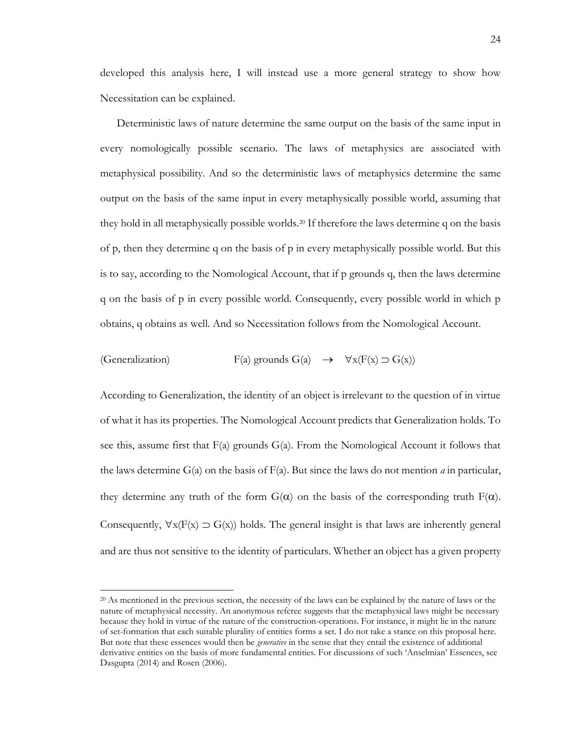developed this analysis here, I will instead use a more general strategy to show how Necessitation can be explained.

Deterministic laws of nature determine the same output on the basis of the same input in every nomologically possible scenario. The laws of metaphysics are associated with metaphysical possibility. And so the deterministic laws of metaphysics determine the same output on the basis of the same input in every metaphysically possible world, assuming that they hold in all metaphysically possible worlds.<sup>20</sup> If therefore the laws determine q on the basis of p, then they determine q on the basis of  $p$  in every metaphysically possible world. But this is to say, according to the Nomological Account, that if p grounds q, then the laws determine q on the basis of  $p$  in every possible world. Consequently, every possible world in which  $p$ obtains, q obtains as well. And so Necessitation follows from the Nomological Account.

(Generalization) 
$$
F(a)
$$
 grounds  $G(a) \rightarrow \forall x (F(x) \supset G(x))$ 

l

According to Generalization, the identity of an object is irrelevant to the question of in virtue of what it has its properties. The Nomological Account predicts that Generalization holds. To see this, assume first that  $F(a)$  grounds  $G(a)$ . From the Nomological Account it follows that the laws determine  $G(a)$  on the basis of  $F(a)$ . But since the laws do not mention *a* in particular, they determine any truth of the form  $G(\alpha)$  on the basis of the corresponding truth  $F(\alpha)$ . Consequently,  $\forall x(F(x) \supset G(x))$  holds. The general insight is that laws are inherently general and are thus not sensitive to the identity of particulars. Whether an object has a given property

<sup>&</sup>lt;sup>20</sup> As mentioned in the previous section, the necessity of the laws can be explained by the nature of laws or the nature of metaphysical necessity. An anonymous referee suggests that the metaphysical laws might be necessary because they hold in virtue of the nature of the construction-operations. For instance, it might lie in the nature of set-formation that each suitable plurality of entities forms a set. I do not take a stance on this proposal here. But note that these essences would then be *generative* in the sense that they entail the existence of additional derivative entities on the basis of more fundamental entities. For discussions of such 'Anselmian' Essences, see Dasgupta (2014) and Rosen (2006).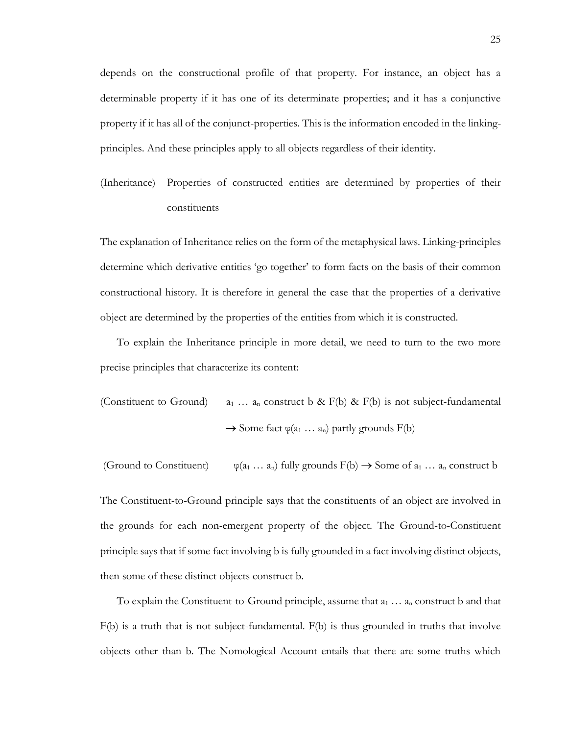depends on the constructional profile of that property. For instance, an object has a determinable property if it has one of its determinate properties; and it has a conjunctive property if it has all of the conjunct-properties. This is the information encoded in the linkingprinciples. And these principles apply to all objects regardless of their identity.

(Inheritance) Properties of constructed entities are determined by properties of their constituents

The explanation of Inheritance relies on the form of the metaphysical laws. Linking-principles determine which derivative entities 'go together' to form facts on the basis of their common constructional history. It is therefore in general the case that the properties of a derivative object are determined by the properties of the entities from which it is constructed.

To explain the Inheritance principle in more detail, we need to turn to the two more precise principles that characterize its content:

(Construct to Ground) 
$$
a_1 \ldots a_n
$$
 construct b & F(b) & F(b) is not subject-functional  
\n $\rightarrow$  Some fact  $\varphi(a_1 \ldots a_n)$  partly grounds F(b)

(Ground to Constituent)  $\varphi(a_1 \ldots a_n)$  fully grounds  $F(b) \rightarrow$  Some of  $a_1 \ldots a_n$  construct b

The Constituent-to-Ground principle says that the constituents of an object are involved in the grounds for each non-emergent property of the object. The Ground-to-Constituent principle says that if some fact involving b is fully grounded in a fact involving distinct objects, then some of these distinct objects construct b.

To explain the Constituent-to-Ground principle, assume that  $a_1 \ldots a_n$  construct b and that  $F(b)$  is a truth that is not subject-fundamental.  $F(b)$  is thus grounded in truths that involve objects other than b. The Nomological Account entails that there are some truths which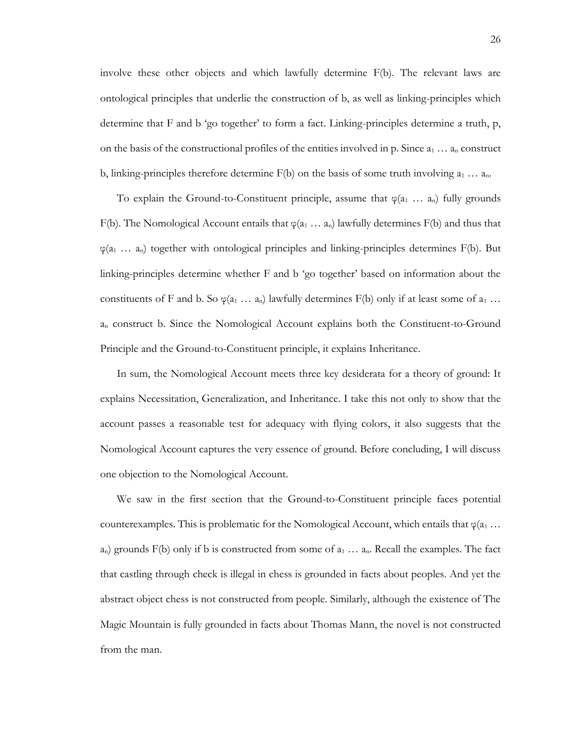involve these other objects and which lawfully determine F(b). The relevant laws are ontological principles that underlie the construction of b, as well as linking-principles which determine that F and b 'go together' to form a fact. Linking-principles determine a truth, p, on the basis of the constructional profiles of the entities involved in p. Since  $a_1 \ldots a_n$  construct b, linking-principles therefore determine  $F(b)$  on the basis of some truth involving  $a_1 \ldots a_n$ .

To explain the Ground-to-Constituent principle, assume that  $\varphi$ (a<sub>1</sub> ... a<sub>n</sub>) fully grounds F(b). The Nomological Account entails that  $\varphi(a_1 \ldots a_n)$  lawfully determines F(b) and thus that  $\varphi$ (a<sub>1</sub> ... a<sub>n</sub>) together with ontological principles and linking-principles determines F(b). But linking-principles determine whether F and b 'go together' based on information about the constituents of F and b. So  $\varphi$ (a<sub>1</sub> ... a<sub>n</sub>) lawfully determines F(b) only if at least some of a<sub>1</sub> ... a<sup>n</sup> construct b. Since the Nomological Account explains both the Constituent-to-Ground Principle and the Ground-to-Constituent principle, it explains Inheritance.

In sum, the Nomological Account meets three key desiderata for a theory of ground: It explains Necessitation, Generalization, and Inheritance. I take this not only to show that the account passes a reasonable test for adequacy with flying colors, it also suggests that the Nomological Account captures the very essence of ground. Before concluding, I will discuss one objection to the Nomological Account.

We saw in the first section that the Ground-to-Constituent principle faces potential counterexamples. This is problematic for the Nomological Account, which entails that  $\varphi$ (a<sub>1</sub> ...  $a_n$ ) grounds F(b) only if b is constructed from some of  $a_1 \ldots a_n$ . Recall the examples. The fact that castling through check is illegal in chess is grounded in facts about peoples. And yet the abstract object chess is not constructed from people. Similarly, although the existence of The Magic Mountain is fully grounded in facts about Thomas Mann, the novel is not constructed from the man.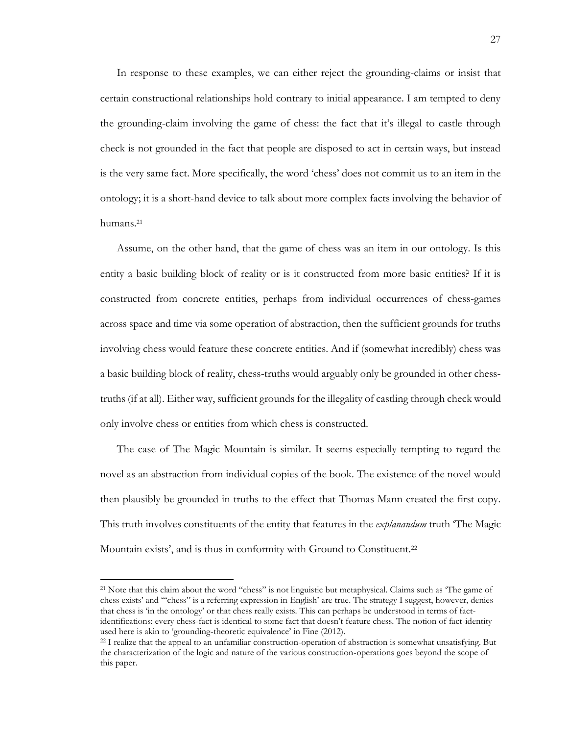In response to these examples, we can either reject the grounding-claims or insist that certain constructional relationships hold contrary to initial appearance. I am tempted to deny the grounding-claim involving the game of chess: the fact that it's illegal to castle through check is not grounded in the fact that people are disposed to act in certain ways, but instead is the very same fact. More specifically, the word 'chess' does not commit us to an item in the ontology; it is a short-hand device to talk about more complex facts involving the behavior of humans.<sup>21</sup>

Assume, on the other hand, that the game of chess was an item in our ontology. Is this entity a basic building block of reality or is it constructed from more basic entities? If it is constructed from concrete entities, perhaps from individual occurrences of chess-games across space and time via some operation of abstraction, then the sufficient grounds for truths involving chess would feature these concrete entities. And if (somewhat incredibly) chess was a basic building block of reality, chess-truths would arguably only be grounded in other chesstruths (if at all). Either way, sufficient grounds for the illegality of castling through check would only involve chess or entities from which chess is constructed.

The case of The Magic Mountain is similar. It seems especially tempting to regard the novel as an abstraction from individual copies of the book. The existence of the novel would then plausibly be grounded in truths to the effect that Thomas Mann created the first copy. This truth involves constituents of the entity that features in the *explanandum* truth 'The Magic Mountain exists', and is thus in conformity with Ground to Constituent.<sup>22</sup>

<sup>21</sup> Note that this claim about the word "chess" is not linguistic but metaphysical. Claims such as 'The game of chess exists' and '"chess" is a referring expression in English' are true. The strategy I suggest, however, denies that chess is 'in the ontology' or that chess really exists. This can perhaps be understood in terms of factidentifications: every chess-fact is identical to some fact that doesn't feature chess. The notion of fact-identity used here is akin to 'grounding-theoretic equivalence' in Fine (2012).

 $22$  I realize that the appeal to an unfamiliar construction-operation of abstraction is somewhat unsatisfying. But the characterization of the logic and nature of the various construction-operations goes beyond the scope of this paper.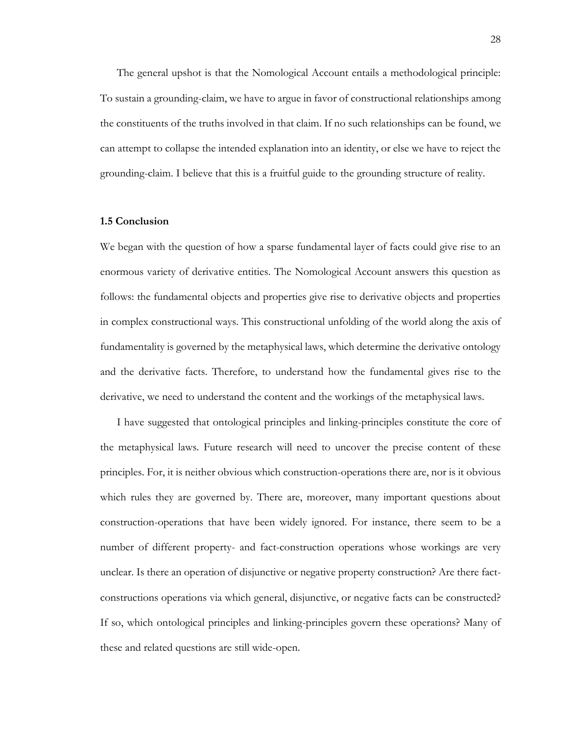The general upshot is that the Nomological Account entails a methodological principle: To sustain a grounding-claim, we have to argue in favor of constructional relationships among the constituents of the truths involved in that claim. If no such relationships can be found, we can attempt to collapse the intended explanation into an identity, or else we have to reject the grounding-claim. I believe that this is a fruitful guide to the grounding structure of reality.

#### <span id="page-32-0"></span>**1.5 Conclusion**

We began with the question of how a sparse fundamental layer of facts could give rise to an enormous variety of derivative entities. The Nomological Account answers this question as follows: the fundamental objects and properties give rise to derivative objects and properties in complex constructional ways. This constructional unfolding of the world along the axis of fundamentality is governed by the metaphysical laws, which determine the derivative ontology and the derivative facts. Therefore, to understand how the fundamental gives rise to the derivative, we need to understand the content and the workings of the metaphysical laws.

I have suggested that ontological principles and linking-principles constitute the core of the metaphysical laws. Future research will need to uncover the precise content of these principles. For, it is neither obvious which construction-operations there are, nor is it obvious which rules they are governed by. There are, moreover, many important questions about construction-operations that have been widely ignored. For instance, there seem to be a number of different property- and fact-construction operations whose workings are very unclear. Is there an operation of disjunctive or negative property construction? Are there factconstructions operations via which general, disjunctive, or negative facts can be constructed? If so, which ontological principles and linking-principles govern these operations? Many of these and related questions are still wide-open.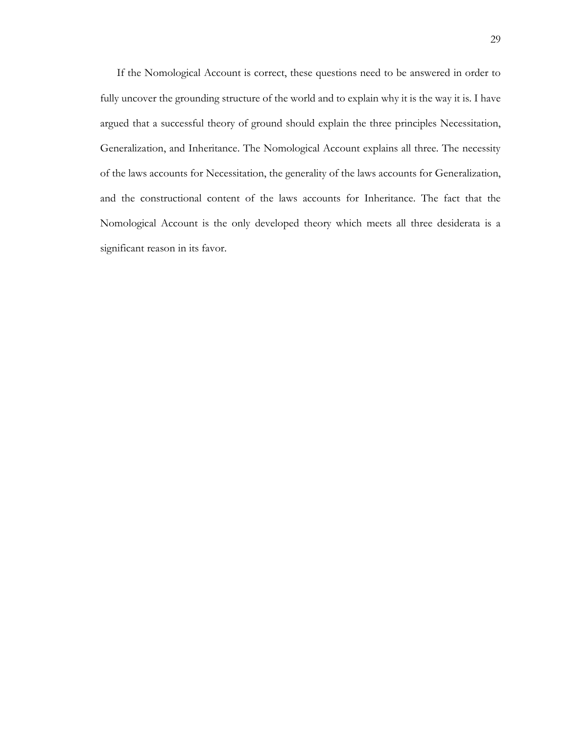If the Nomological Account is correct, these questions need to be answered in order to fully uncover the grounding structure of the world and to explain why it is the way it is. I have argued that a successful theory of ground should explain the three principles Necessitation, Generalization, and Inheritance. The Nomological Account explains all three. The necessity of the laws accounts for Necessitation, the generality of the laws accounts for Generalization, and the constructional content of the laws accounts for Inheritance. The fact that the Nomological Account is the only developed theory which meets all three desiderata is a significant reason in its favor.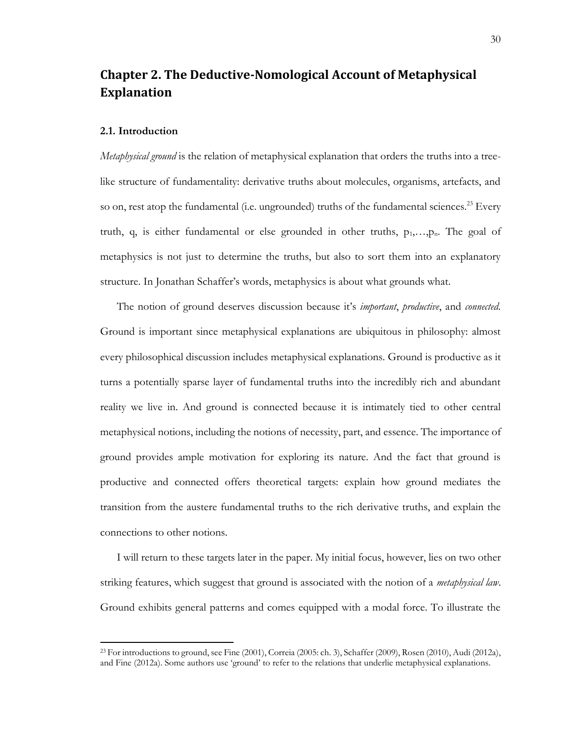## <span id="page-34-0"></span>**Chapter 2. The Deductive-Nomological Account of Metaphysical Explanation**

#### <span id="page-34-1"></span>**2.1. Introduction**

 $\overline{\phantom{a}}$ 

*Metaphysical ground* is the relation of metaphysical explanation that orders the truths into a treelike structure of fundamentality: derivative truths about molecules, organisms, artefacts, and so on, rest atop the fundamental (i.e. ungrounded) truths of the fundamental sciences.<sup>23</sup> Every truth, q, is either fundamental or else grounded in other truths,  $p_1, \ldots, p_n$ . The goal of metaphysics is not just to determine the truths, but also to sort them into an explanatory structure. In Jonathan Schaffer's words, metaphysics is about what grounds what.

The notion of ground deserves discussion because it's *important*, *productive*, and *connected*. Ground is important since metaphysical explanations are ubiquitous in philosophy: almost every philosophical discussion includes metaphysical explanations. Ground is productive as it turns a potentially sparse layer of fundamental truths into the incredibly rich and abundant reality we live in. And ground is connected because it is intimately tied to other central metaphysical notions, including the notions of necessity, part, and essence. The importance of ground provides ample motivation for exploring its nature. And the fact that ground is productive and connected offers theoretical targets: explain how ground mediates the transition from the austere fundamental truths to the rich derivative truths, and explain the connections to other notions.

I will return to these targets later in the paper. My initial focus, however, lies on two other striking features, which suggest that ground is associated with the notion of a *metaphysical law*. Ground exhibits general patterns and comes equipped with a modal force. To illustrate the

<sup>23</sup> For introductions to ground, see Fine (2001), Correia (2005: ch. 3), Schaffer (2009), Rosen (2010), Audi (2012a), and Fine (2012a). Some authors use 'ground' to refer to the relations that underlie metaphysical explanations.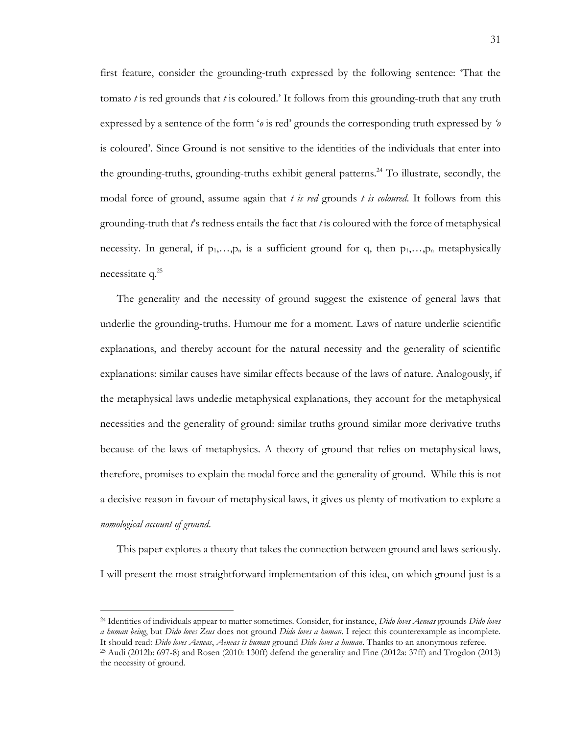first feature, consider the grounding-truth expressed by the following sentence: 'That the tomato *t* is red grounds that *t* is coloured.' It follows from this grounding-truth that any truth expressed by a sentence of the form '*o* is red' grounds the corresponding truth expressed by *'o* is coloured'. Since Ground is not sensitive to the identities of the individuals that enter into the grounding-truths, grounding-truths exhibit general patterns.<sup>24</sup> To illustrate, secondly, the modal force of ground, assume again that *t is red* grounds *t is coloured*. It follows from this grounding-truth that *t*'s redness entails the fact that *t* is coloured with the force of metaphysical necessity. In general, if  $p_1,...,p_n$  is a sufficient ground for q, then  $p_1,...,p_n$  metaphysically necessitate q.<sup>25</sup>

The generality and the necessity of ground suggest the existence of general laws that underlie the grounding-truths. Humour me for a moment. Laws of nature underlie scientific explanations, and thereby account for the natural necessity and the generality of scientific explanations: similar causes have similar effects because of the laws of nature. Analogously, if the metaphysical laws underlie metaphysical explanations, they account for the metaphysical necessities and the generality of ground: similar truths ground similar more derivative truths because of the laws of metaphysics. A theory of ground that relies on metaphysical laws, therefore, promises to explain the modal force and the generality of ground. While this is not a decisive reason in favour of metaphysical laws, it gives us plenty of motivation to explore a *nomological account of ground*.

This paper explores a theory that takes the connection between ground and laws seriously. I will present the most straightforward implementation of this idea, on which ground just is a

 $\overline{a}$ 

<sup>24</sup> Identities of individuals appear to matter sometimes. Consider, for instance, *Dido loves Aeneas* grounds *Dido loves a human being*, but *Dido loves Zeus* does not ground *Dido loves a human*. I reject this counterexample as incomplete. It should read: *Dido loves Aeneas*, *Aeneas is human* ground *Dido loves a human*. Thanks to an anonymous referee.

<sup>25</sup> Audi (2012b: 697-8) and Rosen (2010: 130ff) defend the generality and Fine (2012a: 37ff) and Trogdon (2013) the necessity of ground.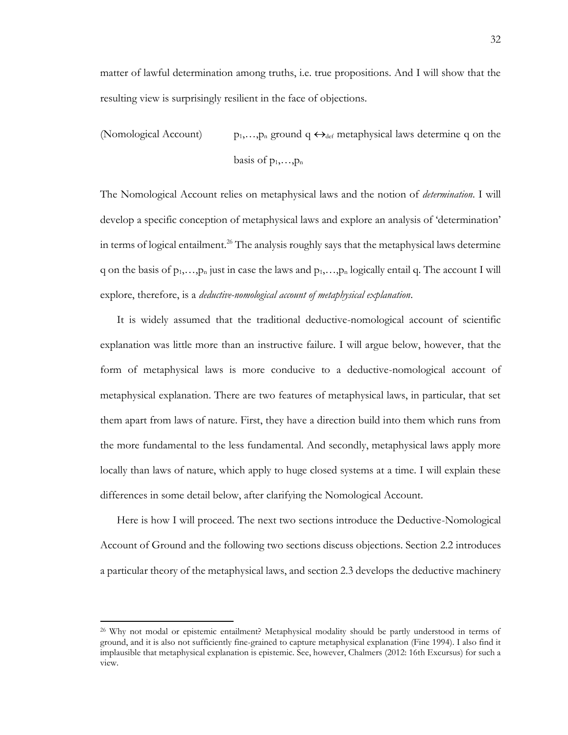matter of lawful determination among truths, i.e. true propositions. And I will show that the resulting view is surprisingly resilient in the face of objections.

(Nomological Account)  $p_1,...,p_n$  ground  $q \leftrightarrow_{def}$  metaphysical laws determine q on the basis of  $p_1, \ldots, p_n$ 

The Nomological Account relies on metaphysical laws and the notion of *determination*. I will develop a specific conception of metaphysical laws and explore an analysis of 'determination' in terms of logical entailment.<sup>26</sup> The analysis roughly says that the metaphysical laws determine q on the basis of  $p_1, \ldots, p_n$  just in case the laws and  $p_1, \ldots, p_n$  logically entail q. The account I will explore, therefore, is a *deductive-nomological account of metaphysical explanation*.

It is widely assumed that the traditional deductive-nomological account of scientific explanation was little more than an instructive failure. I will argue below, however, that the form of metaphysical laws is more conducive to a deductive-nomological account of metaphysical explanation. There are two features of metaphysical laws, in particular, that set them apart from laws of nature. First, they have a direction build into them which runs from the more fundamental to the less fundamental. And secondly, metaphysical laws apply more locally than laws of nature, which apply to huge closed systems at a time. I will explain these differences in some detail below, after clarifying the Nomological Account.

Here is how I will proceed. The next two sections introduce the Deductive-Nomological Account of Ground and the following two sections discuss objections. Section 2.2 introduces a particular theory of the metaphysical laws, and section 2.3 develops the deductive machinery

<sup>26</sup> Why not modal or epistemic entailment? Metaphysical modality should be partly understood in terms of ground, and it is also not sufficiently fine-grained to capture metaphysical explanation (Fine 1994). I also find it implausible that metaphysical explanation is epistemic. See, however, Chalmers (2012: 16th Excursus) for such a view.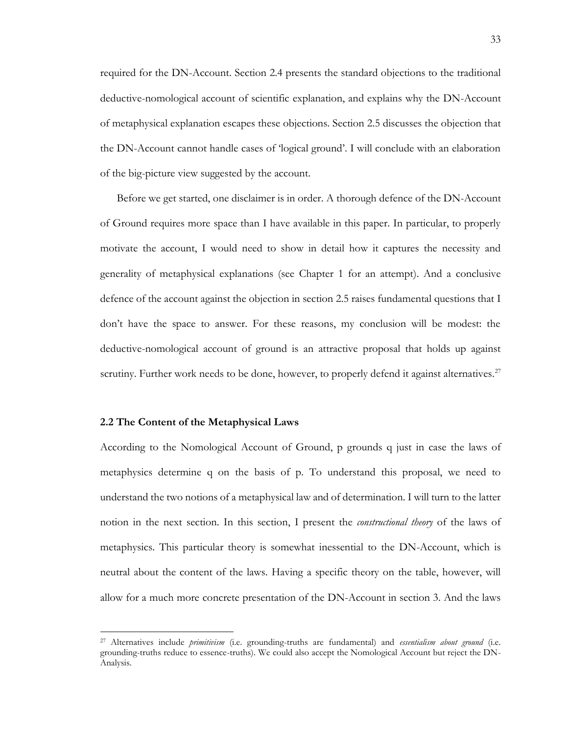required for the DN-Account. Section 2.4 presents the standard objections to the traditional deductive-nomological account of scientific explanation, and explains why the DN-Account of metaphysical explanation escapes these objections. Section 2.5 discusses the objection that the DN-Account cannot handle cases of 'logical ground'. I will conclude with an elaboration of the big-picture view suggested by the account.

Before we get started, one disclaimer is in order. A thorough defence of the DN-Account of Ground requires more space than I have available in this paper. In particular, to properly motivate the account, I would need to show in detail how it captures the necessity and generality of metaphysical explanations (see Chapter 1 for an attempt). And a conclusive defence of the account against the objection in section 2.5 raises fundamental questions that I don't have the space to answer. For these reasons, my conclusion will be modest: the deductive-nomological account of ground is an attractive proposal that holds up against scrutiny. Further work needs to be done, however, to properly defend it against alternatives.<sup>27</sup>

#### **2.2 The Content of the Metaphysical Laws**

l

According to the Nomological Account of Ground, p grounds q just in case the laws of metaphysics determine q on the basis of p. To understand this proposal, we need to understand the two notions of a metaphysical law and of determination. I will turn to the latter notion in the next section. In this section, I present the *constructional theory* of the laws of metaphysics. This particular theory is somewhat inessential to the DN-Account, which is neutral about the content of the laws. Having a specific theory on the table, however, will allow for a much more concrete presentation of the DN-Account in section 3. And the laws

<sup>27</sup> Alternatives include *primitivism* (i.e. grounding-truths are fundamental) and *essentialism about ground* (i.e. grounding-truths reduce to essence-truths). We could also accept the Nomological Account but reject the DN-Analysis.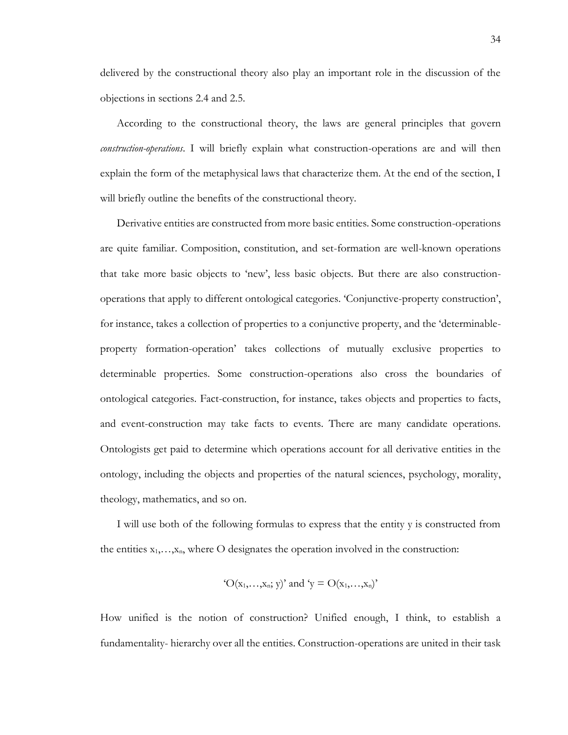delivered by the constructional theory also play an important role in the discussion of the objections in sections 2.4 and 2.5.

According to the constructional theory, the laws are general principles that govern *construction-operations*. I will briefly explain what construction-operations are and will then explain the form of the metaphysical laws that characterize them. At the end of the section, I will briefly outline the benefits of the constructional theory.

Derivative entities are constructed from more basic entities. Some construction-operations are quite familiar. Composition, constitution, and set-formation are well-known operations that take more basic objects to 'new', less basic objects. But there are also constructionoperations that apply to different ontological categories. 'Conjunctive-property construction', for instance, takes a collection of properties to a conjunctive property, and the 'determinableproperty formation-operation' takes collections of mutually exclusive properties to determinable properties. Some construction-operations also cross the boundaries of ontological categories. Fact-construction, for instance, takes objects and properties to facts, and event-construction may take facts to events. There are many candidate operations. Ontologists get paid to determine which operations account for all derivative entities in the ontology, including the objects and properties of the natural sciences, psychology, morality, theology, mathematics, and so on.

I will use both of the following formulas to express that the entity y is constructed from the entities  $x_1, \ldots, x_n$ , where O designates the operation involved in the construction:

$$
^{\circ}O(x_1,...,x_n; y)
$$
 and  $\circ$  y =  $O(x_1,...,x_n)$ 

How unified is the notion of construction? Unified enough, I think, to establish a fundamentality- hierarchy over all the entities. Construction-operations are united in their task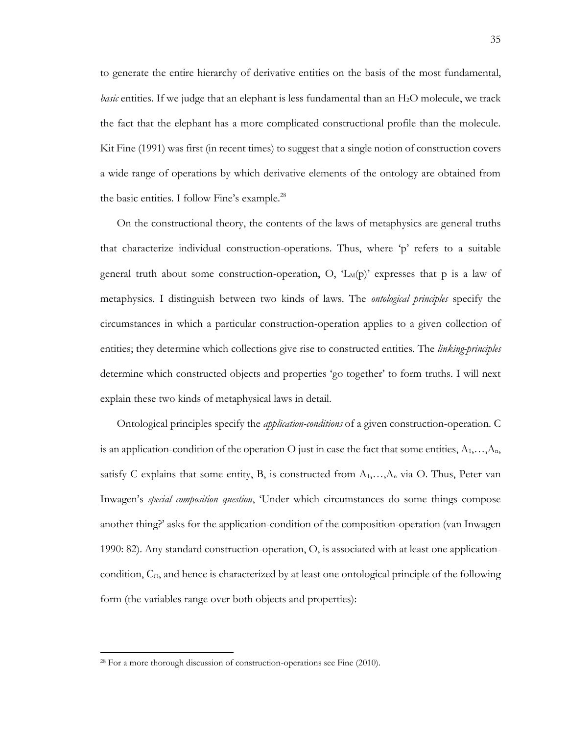to generate the entire hierarchy of derivative entities on the basis of the most fundamental, *basic* entities. If we judge that an elephant is less fundamental than an H<sub>2</sub>O molecule, we track the fact that the elephant has a more complicated constructional profile than the molecule. Kit Fine (1991) was first (in recent times) to suggest that a single notion of construction covers a wide range of operations by which derivative elements of the ontology are obtained from the basic entities. I follow Fine's example.<sup>28</sup>

On the constructional theory, the contents of the laws of metaphysics are general truths that characterize individual construction-operations. Thus, where 'p' refers to a suitable general truth about some construction-operation, O,  $\mathcal{L}_{M}(p)$  expresses that p is a law of metaphysics. I distinguish between two kinds of laws. The *ontological principles* specify the circumstances in which a particular construction-operation applies to a given collection of entities; they determine which collections give rise to constructed entities. The *linking-principles* determine which constructed objects and properties 'go together' to form truths. I will next explain these two kinds of metaphysical laws in detail.

Ontological principles specify the *application-conditions* of a given construction-operation. C is an application-condition of the operation O just in case the fact that some entities,  $A_1, \ldots, A_n$ , satisfy C explains that some entity, B, is constructed from  $A_1, \ldots, A_n$  via O. Thus, Peter van Inwagen's *special composition question*, 'Under which circumstances do some things compose another thing?' asks for the application-condition of the composition-operation (van Inwagen 1990: 82). Any standard construction-operation, O, is associated with at least one applicationcondition, C<sub>o</sub>, and hence is characterized by at least one ontological principle of the following form (the variables range over both objects and properties):

 $\overline{a}$ 

<sup>&</sup>lt;sup>28</sup> For a more thorough discussion of construction-operations see Fine (2010).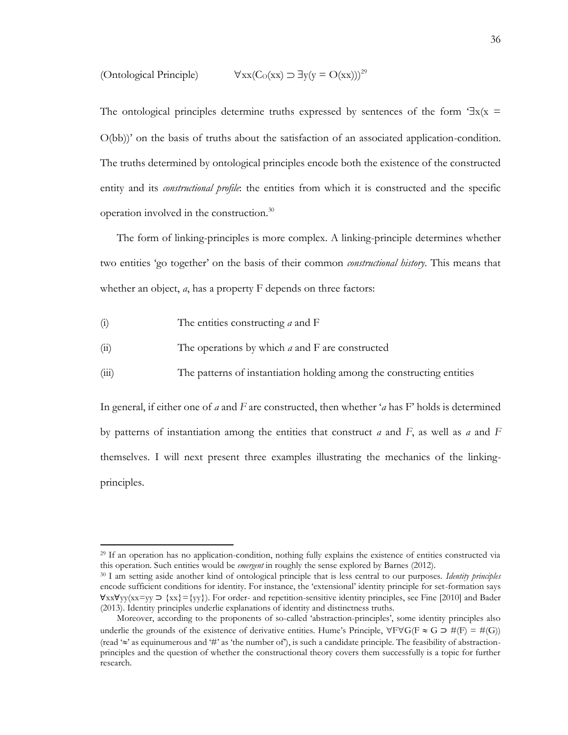(Ontological Principle) 
$$
\forall xx(C_O(xx) \supset \exists y(y = O(xx)))^{29}
$$

The ontological principles determine truths expressed by sentences of the form  $\exists x(x)$ O(bb))' on the basis of truths about the satisfaction of an associated application-condition. The truths determined by ontological principles encode both the existence of the constructed entity and its *constructional profile*: the entities from which it is constructed and the specific operation involved in the construction.<sup>30</sup>

The form of linking-principles is more complex. A linking-principle determines whether two entities 'go together' on the basis of their common *constructional history*. This means that whether an object, *a*, has a property F depends on three factors:

(i) The entities constructing *a* and F

 $\overline{\phantom{a}}$ 

- (ii) The operations by which *a* and F are constructed
- (iii) The patterns of instantiation holding among the constructing entities

In general, if either one of *a* and *F* are constructed, then whether '*a* has F' holds is determined by patterns of instantiation among the entities that construct *a* and *F*, as well as *a* and *F* themselves. I will next present three examples illustrating the mechanics of the linkingprinciples.

<sup>&</sup>lt;sup>29</sup> If an operation has no application-condition, nothing fully explains the existence of entities constructed via this operation. Such entities would be *emergent* in roughly the sense explored by Barnes (2012).

<sup>30</sup> I am setting aside another kind of ontological principle that is less central to our purposes. *Identity principles* encode sufficient conditions for identity. For instance, the 'extensional' identity principle for set-formation says ∀xx∀yy(xx=yy ⊃ {xx}={yy}). For order- and repetition-sensitive identity principles, see Fine [2010] and Bader (2013). Identity principles underlie explanations of identity and distinctness truths.

Moreover, according to the proponents of so-called 'abstraction-principles', some identity principles also underlie the grounds of the existence of derivative entities. Hume's Principle,  $\forall F \forall G(F \approx G \supset \#(F) = \#(G))$ (read ' $\approx$ ' as equinumerous and '#' as 'the number of'), is such a candidate principle. The feasibility of abstractionprinciples and the question of whether the constructional theory covers them successfully is a topic for further research.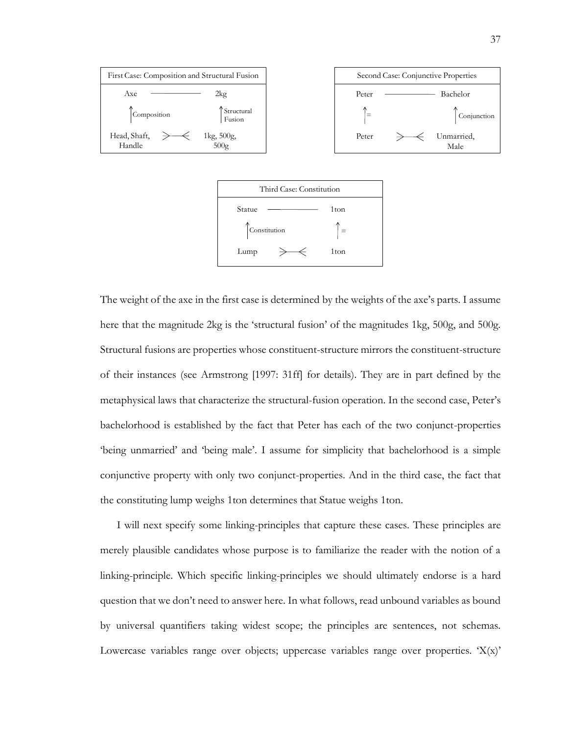



here that the magnitude 2kg is the 'structural fusion' of the magnitudes 1kg, 500g, and 500g. Structural fusions are properties whose constituent-structure mirrors the constituent-structure of their instances (see Armstrong [1997: 31ff] for details). They are in part defined by the metaphysical laws that characterize the structural-fusion operation. In the second case, Peter's bachelorhood is established by the fact that Peter has each of the two conjunct-properties 'being unmarried' and 'being male'. I assume for simplicity that bachelorhood is a simple conjunctive property with only two conjunct-properties. And in the third case, the fact that the constituting lump weighs 1ton determines that Statue weighs 1ton.

I will next specify some linking-principles that capture these cases. These principles are merely plausible candidates whose purpose is to familiarize the reader with the notion of a linking-principle. Which specific linking-principles we should ultimately endorse is a hard question that we don't need to answer here. In what follows, read unbound variables as bound by universal quantifiers taking widest scope; the principles are sentences, not schemas. Lowercase variables range over objects; uppercase variables range over properties.  $X(x)$ '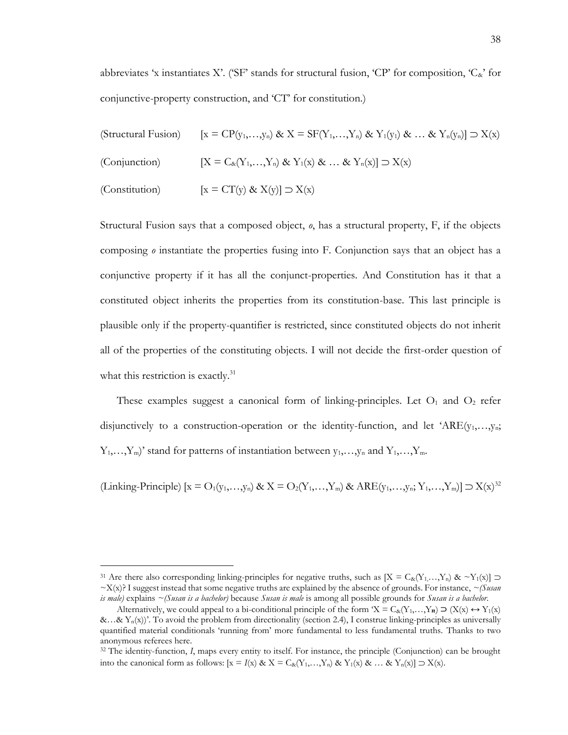abbreviates 'x instantiates X'. ('SF' stands for structural fusion, 'CP' for composition, 'C<sub>&</sub>' for conjunctive-property construction, and 'CT' for constitution.)

(Structural Fusion)

\n
$$
[x = CP(y_1, \ldots, y_n) \& X = SF(Y_1, \ldots, Y_n) \& Y_1(y_1) \& \ldots \& Y_n(y_n)] \supset X(x)
$$
\n(Conjunction)

\n
$$
[X = C_{\& Y_1, \ldots, Y_n) \& Y_1(x) \& \ldots \& Y_n(x)] \supset X(x)
$$
\n(Construction)

\n
$$
[x = CT(y) \& X(y)] \supset X(x)
$$

Structural Fusion says that a composed object, *o*, has a structural property, F, if the objects composing *o* instantiate the properties fusing into F. Conjunction says that an object has a conjunctive property if it has all the conjunct-properties. And Constitution has it that a constituted object inherits the properties from its constitution-base. This last principle is plausible only if the property-quantifier is restricted, since constituted objects do not inherit all of the properties of the constituting objects. I will not decide the first-order question of what this restriction is exactly.<sup>31</sup>

These examples suggest a canonical form of linking-principles. Let  $O_1$  and  $O_2$  refer disjunctively to a construction-operation or the identity-function, and let 'ARE $(y_1,...,y_n;$  $Y_1,...,Y_m$ )' stand for patterns of instantiation between  $y_1,...,y_n$  and  $Y_1,...,Y_m$ .

 $(Linking-Principle) [x = O_1(y_1,...,y_n) & X = O_2(Y_1,...,Y_m) & ARE(y_1,...,y_n; Y_1,...,Y_m)] \supset X(x)^{32}$ 

<sup>&</sup>lt;sup>31</sup> Are there also corresponding linking-principles for negative truths, such as  $[X = C_{\alpha}(Y_1,...,Y_n) \& \sim Y_1(x)]$ ~X(x)? I suggest instead that some negative truths are explained by the absence of grounds. For instance, *~(Susan is male)* explains *~(Susan is a bachelor)* because *Susan is male* is among all possible grounds for *Susan is a bachelor*.

Alternatively, we could appeal to a bi-conditional principle of the form  $X = C_{\alpha}(Y_1,...,Y_n) \supset (X(x) \leftrightarrow Y_1(x))$ &...&  $Y_n(x)$ . To avoid the problem from directionality (section 2.4), I construe linking-principles as universally quantified material conditionals 'running from' more fundamental to less fundamental truths. Thanks to two anonymous referees here.

<sup>32</sup> The identity-function, *I*, maps every entity to itself. For instance, the principle (Conjunction) can be brought into the canonical form as follows:  $[x = I(x) \& X = C_{\alpha}(Y_1,...,Y_n) \& Y_1(x) \& ... \& Y_n(x)] \supseteq X(x)$ .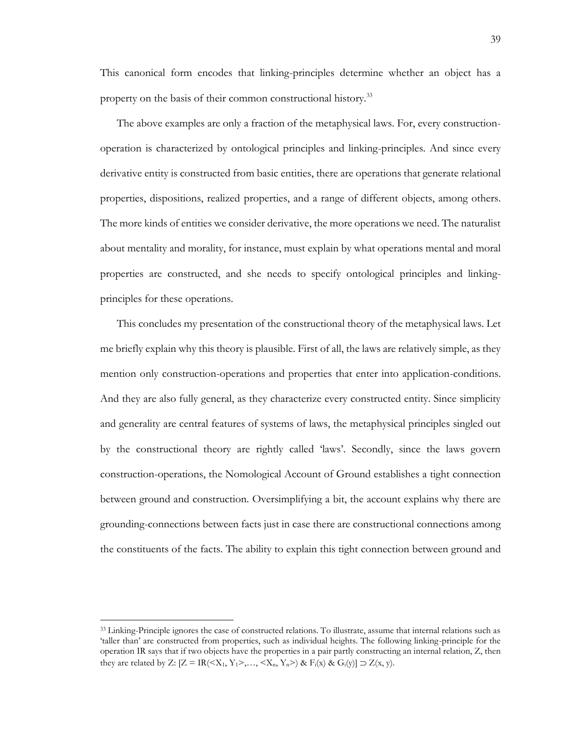This canonical form encodes that linking-principles determine whether an object has a property on the basis of their common constructional history.<sup>33</sup>

The above examples are only a fraction of the metaphysical laws. For, every constructionoperation is characterized by ontological principles and linking-principles. And since every derivative entity is constructed from basic entities, there are operations that generate relational properties, dispositions, realized properties, and a range of different objects, among others. The more kinds of entities we consider derivative, the more operations we need. The naturalist about mentality and morality, for instance, must explain by what operations mental and moral properties are constructed, and she needs to specify ontological principles and linkingprinciples for these operations.

This concludes my presentation of the constructional theory of the metaphysical laws. Let me briefly explain why this theory is plausible. First of all, the laws are relatively simple, as they mention only construction-operations and properties that enter into application-conditions. And they are also fully general, as they characterize every constructed entity. Since simplicity and generality are central features of systems of laws, the metaphysical principles singled out by the constructional theory are rightly called 'laws'. Secondly, since the laws govern construction-operations, the Nomological Account of Ground establishes a tight connection between ground and construction. Oversimplifying a bit, the account explains why there are grounding-connections between facts just in case there are constructional connections among the constituents of the facts. The ability to explain this tight connection between ground and

 $\overline{\phantom{a}}$ 

<sup>33</sup> Linking-Principle ignores the case of constructed relations. To illustrate, assume that internal relations such as 'taller than' are constructed from properties, such as individual heights. The following linking-principle for the operation IR says that if two objects have the properties in a pair partly constructing an internal relation, Z, then they are related by Z:  $[Z = IR(\langle X_1, Y_1 \rangle, \ldots, \langle X_n, Y_n \rangle) \& F_i(x) \& G_i(y)] \supset Z(x, y)$ .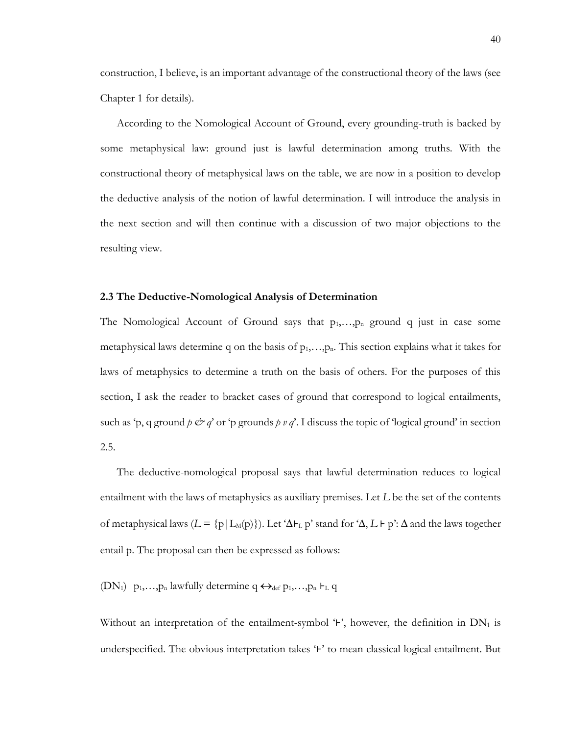construction, I believe, is an important advantage of the constructional theory of the laws (see Chapter 1 for details).

According to the Nomological Account of Ground, every grounding-truth is backed by some metaphysical law: ground just is lawful determination among truths. With the constructional theory of metaphysical laws on the table, we are now in a position to develop the deductive analysis of the notion of lawful determination. I will introduce the analysis in the next section and will then continue with a discussion of two major objections to the resulting view.

## **2.3 The Deductive-Nomological Analysis of Determination**

The Nomological Account of Ground says that  $p_1, \ldots, p_n$  ground q just in case some metaphysical laws determine q on the basis of  $p_1, \ldots, p_n$ . This section explains what it takes for laws of metaphysics to determine a truth on the basis of others. For the purposes of this section, I ask the reader to bracket cases of ground that correspond to logical entailments, such as 'p, q ground  $p \circ q$ ' or 'p grounds  $p \circ q'$ . I discuss the topic of 'logical ground' in section 2.5.

The deductive-nomological proposal says that lawful determination reduces to logical entailment with the laws of metaphysics as auxiliary premises. Let *L* be the set of the contents of metaphysical laws ( $L = \{p | L_M(p)\}$ ). Let ' $\Delta F_L p$ ' stand for ' $\Delta, L \vdash p$ ':  $\Delta$  and the laws together entail p. The proposal can then be expressed as follows:

 $(DN_1)$  p<sub>1</sub>,…, p<sub>n</sub> lawfully determine q  $\leftrightarrow$ <sub>def</sub> p<sub>1</sub>,…, p<sub>n</sub> ⊦<sub>L</sub> q

Without an interpretation of the entailment-symbol '⊦', however, the definition in  $DN_1$  is underspecified. The obvious interpretation takes '⊦' to mean classical logical entailment. But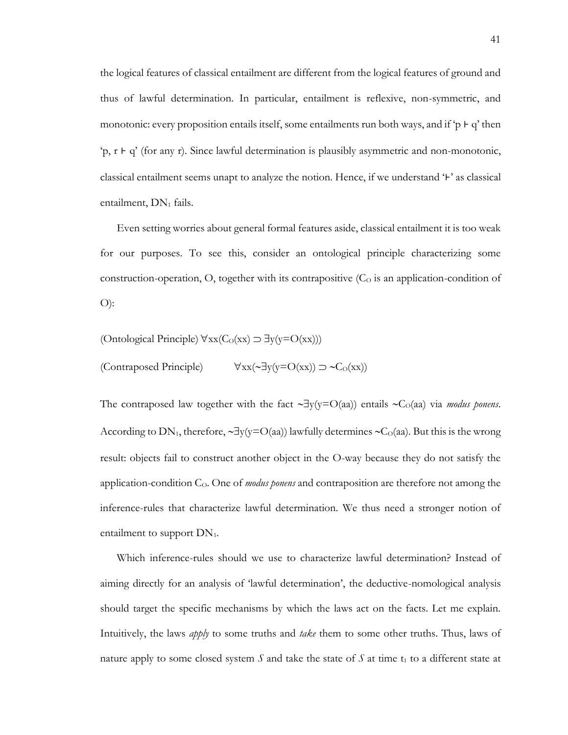the logical features of classical entailment are different from the logical features of ground and thus of lawful determination. In particular, entailment is reflexive, non-symmetric, and monotonic: every proposition entails itself, some entailments run both ways, and if 'p ⊦ q' then 'p, r ⊦ q' (for any r). Since lawful determination is plausibly asymmetric and non-monotonic, classical entailment seems unapt to analyze the notion. Hence, if we understand '⊦' as classical entailment, DN1 fails.

Even setting worries about general formal features aside, classical entailment it is too weak for our purposes. To see this, consider an ontological principle characterizing some construction-operation, O, together with its contrapositive  $(C<sub>o</sub>$  is an application-condition of O):

(Ontological Principle) 
$$
\forall xx(C_0(xx) \supset \exists y(y=O(xx)))
$$

\n(Contraposed Principle)  $\forall xx(\sim\exists y(y=O(xx)) \supset \sim C_0(xx))$ 

The contraposed law together with the fact  $\sim \exists y(y=O(aa))$  entails  $\sim C_O(aa)$  via *modus ponens*. According to DN<sub>1</sub>, therefore,  $\sim\exists y(y=O(aa))$  lawfully determines  $\sim\text{C}_O(aa)$ . But this is the wrong result: objects fail to construct another object in the O-way because they do not satisfy the application-condition C<sub>0</sub>. One of *modus ponens* and contraposition are therefore not among the inference-rules that characterize lawful determination. We thus need a stronger notion of entailment to support  $DN_1$ .

Which inference-rules should we use to characterize lawful determination? Instead of aiming directly for an analysis of 'lawful determination', the deductive-nomological analysis should target the specific mechanisms by which the laws act on the facts. Let me explain. Intuitively, the laws *apply* to some truths and *take* them to some other truths. Thus, laws of nature apply to some closed system *S* and take the state of *S* at time  $t_1$  to a different state at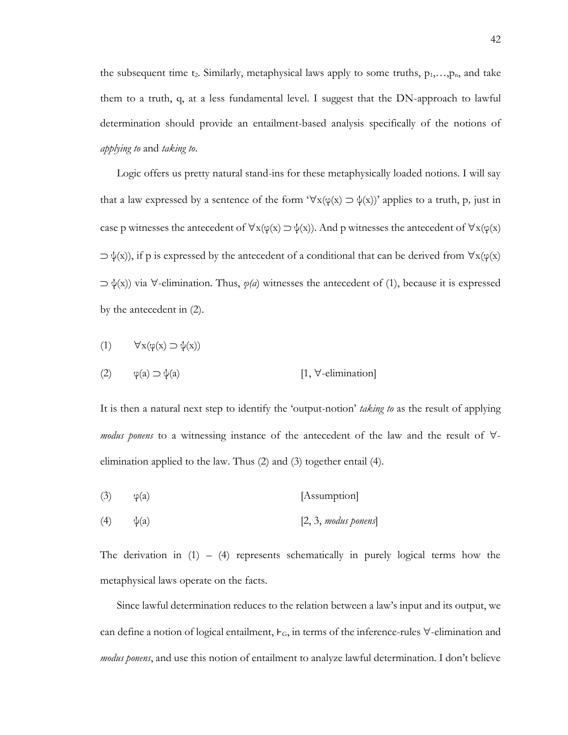the subsequent time t<sub>2</sub>. Similarly, metaphysical laws apply to some truths,  $p_1, \ldots, p_n$ , and take them to a truth, q, at a less fundamental level. I suggest that the DN-approach to lawful determination should provide an entailment-based analysis specifically of the notions of *applying to* and *taking to*.

Logic offers us pretty natural stand-ins for these metaphysically loaded notions. I will say that a law expressed by a sentence of the form  $\forall x(\varphi(x) \supset \psi(x))'$  applies to a truth, p, just in case p witnesses the antecedent of  $\forall x(\varphi(x) \supset \psi(x))$ . And p witnesses the antecedent of  $\forall x(\varphi(x))$  $\supset \psi(x)$ , if p is expressed by the antecedent of a conditional that can be derived from  $\forall x (\varphi(x))$  $\supset \psi(x)$ ) via  $\forall$ -elimination. Thus,  $\varphi(a)$  witnesses the antecedent of (1), because it is expressed by the antecedent in (2).

(1) 
$$
\forall x(\phi(x) \supset \psi(x))
$$

(2) 
$$
\varphi(a) \supset \psi(a)
$$
 [1,  $\forall$ -elimination]

It is then a natural next step to identify the 'output-notion' *taking to* as the result of applying *modus ponens* to a witnessing instance of the antecedent of the law and the result of  $\forall$ elimination applied to the law. Thus (2) and (3) together entail (4).

- (3)  $\varphi(a)$  [Assumption]
- (4) ψ(a) [2, 3, *modus ponens*]

The derivation in  $(1)$  –  $(4)$  represents schematically in purely logical terms how the metaphysical laws operate on the facts.

Since lawful determination reduces to the relation between a law's input and its output, we can define a notion of logical entailment,  $\vdash$ <sub>G</sub>, in terms of the inference-rules  $\forall$ -elimination and *modus ponens*, and use this notion of entailment to analyze lawful determination. I don't believe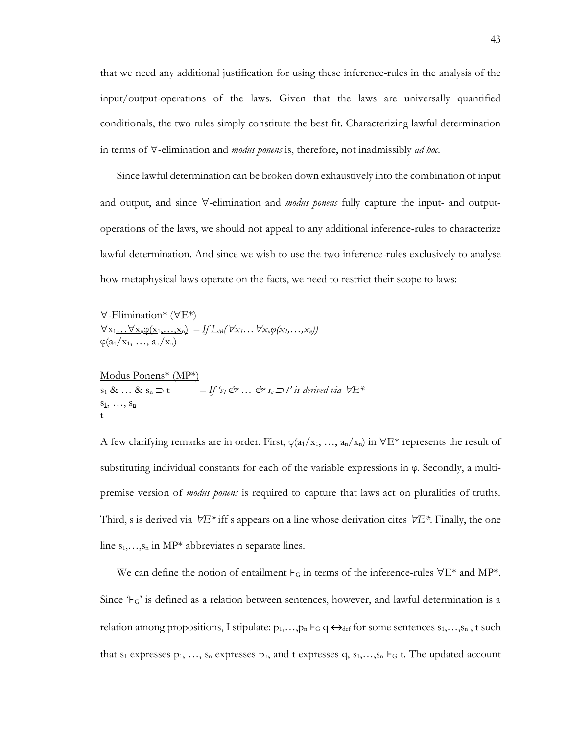that we need any additional justification for using these inference-rules in the analysis of the input/output-operations of the laws. Given that the laws are universally quantified conditionals, the two rules simply constitute the best fit. Characterizing lawful determination in terms of  $\forall$ -elimination and *modus ponens* is, therefore, not inadmissibly *ad hoc*.

Since lawful determination can be broken down exhaustively into the combination of input and output, and since  $\forall$ -elimination and *modus ponens* fully capture the input- and outputoperations of the laws, we should not appeal to any additional inference-rules to characterize lawful determination. And since we wish to use the two inference-rules exclusively to analyse how metaphysical laws operate on the facts, we need to restrict their scope to laws:

 $\forall$ -Elimination\* ( $\forall E^*$ )  $\forall x_1 \dots \forall x_n \varphi(x_1, \dots, x_n) - \text{If } L_M(\forall x_1 \dots \forall x_n \varphi(x_1, \dots, x_n))$  $\varphi(a_1/x_1, ..., a_n/x_n)$ 

Modus Ponens\* (MP\*)  $s_1$  & ... &  $s_n \supset t$  – *If 's<sub>1</sub>*  $\circledcirc$  ...  $\circledcirc s_n \supset t$ ' *is derived via*  $\forall E^*$  $S_1, \ldots, S_n$ t

A few clarifying remarks are in order. First,  $\varphi$ (a<sub>1</sub>/x<sub>1</sub>, ..., a<sub>n</sub>/x<sub>n</sub>) in  $\forall E^*$  represents the result of substituting individual constants for each of the variable expressions in  $\varphi$ . Secondly, a multipremise version of *modus ponens* is required to capture that laws act on pluralities of truths. Third, s is derived via  $\forall E^*$  iff s appears on a line whose derivation cites  $\forall E^*$ . Finally, the one line  $s_1, \ldots, s_n$  in MP\* abbreviates n separate lines.

We can define the notion of entailment  $\vdash_G$  in terms of the inference-rules  $\forall E^*$  and MP\*. Since ' $\epsilon$ <sub>G</sub>' is defined as a relation between sentences, however, and lawful determination is a relation among propositions, I stipulate:  $p_1,...,p_n$   $\vdash_G q \leftrightarrow_{def}$  for some sentences  $s_1,...,s_n$ , t such that s<sub>1</sub> expresses  $p_1, ..., s_n$  expresses  $p_n$ , and t expresses q, s<sub>1</sub>,…,s<sub>n</sub>  $\vdash_G$  t. The updated account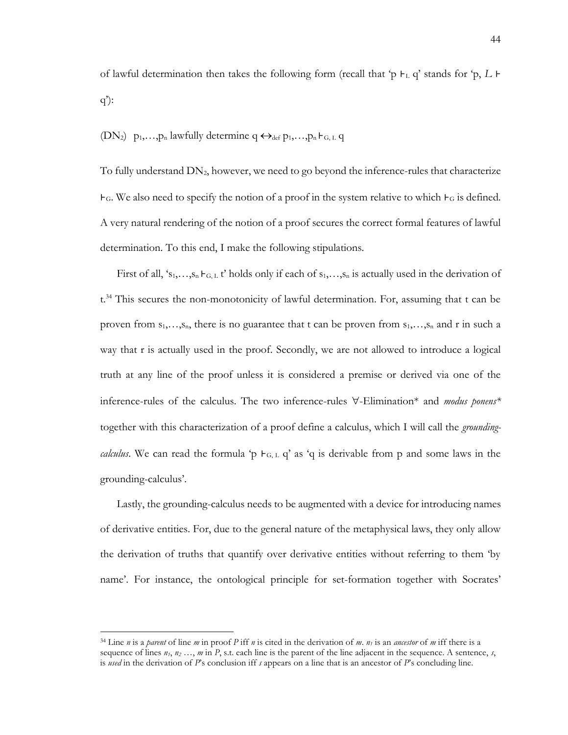of lawful determination then takes the following form (recall that 'p ⊦<sup>L</sup> q' stands for 'p, *L* ⊦ q'):

 $(DN_2)$  p<sub>1</sub>,…,p<sub>n</sub> lawfully determine q  $\leftrightarrow$ <sub>def</sub> p<sub>1</sub>,…,p<sub>n</sub>  $\vdash$ <sub>G, L</sub> q

To fully understand DN2, however, we need to go beyond the inference-rules that characterize  $\epsilon_{\rm G}$ . We also need to specify the notion of a proof in the system relative to which  $\epsilon_{\rm G}$  is defined. A very natural rendering of the notion of a proof secures the correct formal features of lawful determination. To this end, I make the following stipulations.

First of all, 's<sub>1</sub>,…,s<sub>n</sub>  $\vdash_{G,L} t$ ' holds only if each of s<sub>1</sub>,…,s<sub>n</sub> is actually used in the derivation of t.<sup>34</sup> This secures the non-monotonicity of lawful determination. For, assuming that t can be proven from  $s_1,...,s_n$ , there is no guarantee that t can be proven from  $s_1,...,s_n$  and r in such a way that r is actually used in the proof. Secondly, we are not allowed to introduce a logical truth at any line of the proof unless it is considered a premise or derived via one of the inference-rules of the calculus. The two inference-rules  $\forall$ -Elimination<sup>\*</sup> and *modus ponens*<sup>\*</sup> together with this characterization of a proof define a calculus, which I will call the *groundingcalculus*. We can read the formula 'p ⊦<sub>G, L</sub> q' as 'q is derivable from p and some laws in the grounding-calculus'.

Lastly, the grounding-calculus needs to be augmented with a device for introducing names of derivative entities. For, due to the general nature of the metaphysical laws, they only allow the derivation of truths that quantify over derivative entities without referring to them 'by name'. For instance, the ontological principle for set-formation together with Socrates'

<sup>34</sup> Line *n* is a *parent* of line *m* in proof *P* iff *n* is cited in the derivation of *m*. *n<sup>1</sup>* is an *ancestor* of *m* iff there is a sequence of lines *n1*, *n<sup>2</sup>* …, *m* in *P*, s.t. each line is the parent of the line adjacent in the sequence. A sentence, *s*, is *used* in the derivation of *P*'s conclusion iff *s* appears on a line that is an ancestor of *P*'s concluding line.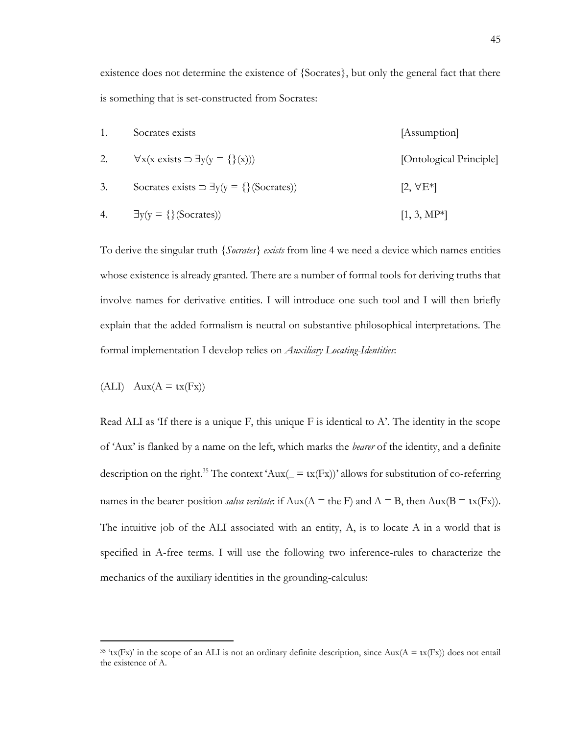existence does not determine the existence of {Socrates}, but only the general fact that there is something that is set-constructed from Socrates:

| 1. | Socrates exists                                               | [Assumption]            |
|----|---------------------------------------------------------------|-------------------------|
| 2. | $\forall x(x \text{ exists } \supset \exists y(y = \{\}(x)))$ | [Ontological Principle] |
| 3. | Socrates exists $\supset \exists y(y = \{\}(Socrates))$       | $[2, \forall E^*]$      |
| 4. | $\exists y(y = \{\}(\text{Socrates})\)$                       | $[1, 3, MP^*]$          |

To derive the singular truth *{Socrates} exists* from line 4 we need a device which names entities whose existence is already granted. There are a number of formal tools for deriving truths that involve names for derivative entities. I will introduce one such tool and I will then briefly explain that the added formalism is neutral on substantive philosophical interpretations. The formal implementation I develop relies on *Auxiliary Locating-Identities*:

$$
(ALI) \quad Aux(A = tx(Fx))
$$

 $\overline{\phantom{a}}$ 

Read ALI as 'If there is a unique F, this unique F is identical to A'. The identity in the scope of 'Aux' is flanked by a name on the left, which marks the *bearer* of the identity, and a definite description on the right.<sup>35</sup> The context 'Aux( $=$  tx(Fx))' allows for substitution of co-referring names in the bearer-position *salva veritate*: if  $Aux(A =$  the F) and  $A = B$ , then  $Aux(B = tx(Fx))$ . The intuitive job of the ALI associated with an entity, A, is to locate A in a world that is specified in A-free terms. I will use the following two inference-rules to characterize the mechanics of the auxiliary identities in the grounding-calculus:

<sup>&</sup>lt;sup>35</sup> ' $x(Fx)'$  in the scope of an ALI is not an ordinary definite description, since Aux(A =  $tx(Fx)$ ) does not entail the existence of A.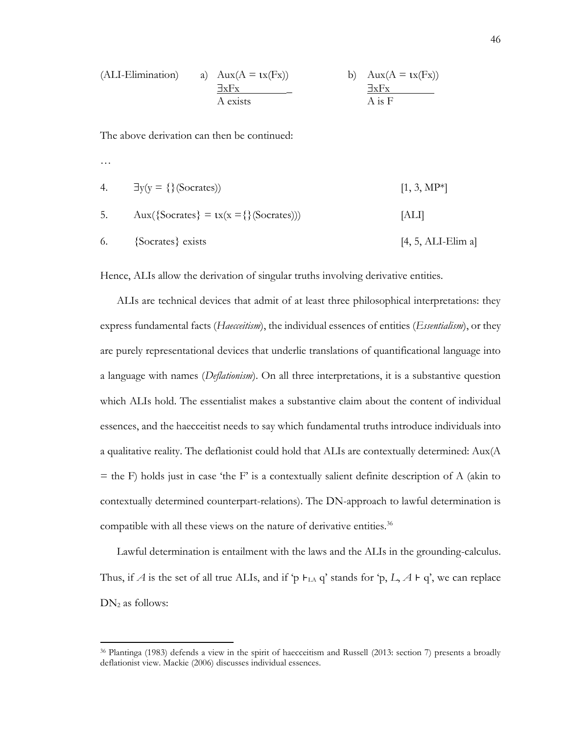| (ALI-Elimination) a) $Aux(A = tx(Fx))$ |                         | b) $Aux(A = tx(Fx))$     |  |
|----------------------------------------|-------------------------|--------------------------|--|
|                                        | $\exists x \mathbf{Ex}$ | $\exists x \mathsf{F} x$ |  |
|                                        | A exists                | $A$ is $F$               |  |

The above derivation can then be continued:

 $\overline{\phantom{a}}$ 

| $\cdots$ |                                                                 |                      |
|----------|-----------------------------------------------------------------|----------------------|
| 4.       | $\exists y(y = \{\}(Socrates))$                                 | $[1, 3, MP^*]$       |
| 5.       | $Aux({\text{Socrates}}) = \text{tx}(x = \{\}(\text{Socrates}))$ | [ALI]                |
| 6.       | {Socrates} exists                                               | $[4, 5, ALL-Elim a]$ |

Hence, ALIs allow the derivation of singular truths involving derivative entities.

ALIs are technical devices that admit of at least three philosophical interpretations: they express fundamental facts (*Haecceitism*), the individual essences of entities (*Essentialism*), or they are purely representational devices that underlie translations of quantificational language into a language with names (*Deflationism*). On all three interpretations, it is a substantive question which ALIs hold. The essentialist makes a substantive claim about the content of individual essences, and the haecceitist needs to say which fundamental truths introduce individuals into a qualitative reality. The deflationist could hold that ALIs are contextually determined: Aux(A  $=$  the F) holds just in case 'the F' is a contextually salient definite description of A (akin to contextually determined counterpart-relations). The DN-approach to lawful determination is compatible with all these views on the nature of derivative entities.<sup>36</sup>

Lawful determination is entailment with the laws and the ALIs in the grounding-calculus. Thus, if *A* is the set of all true ALIs, and if 'p  $\vdash_{LA} q$ ' stands for 'p, *L*, *A*  $\vdash q$ ', we can replace  $DN_2$  as follows:

<sup>36</sup> Plantinga (1983) defends a view in the spirit of haecceitism and Russell (2013: section 7) presents a broadly deflationist view. Mackie (2006) discusses individual essences.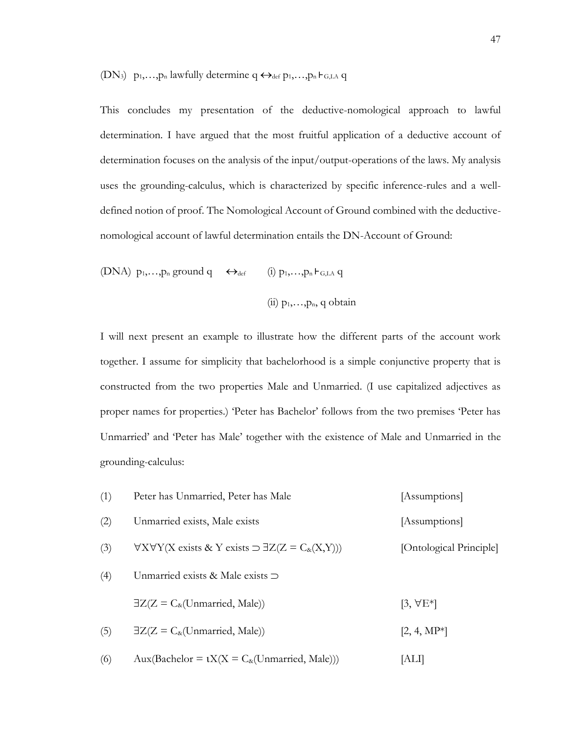(DN<sub>3</sub>) p<sub>1</sub>,...,p<sub>n</sub> lawfully determine q  $\leftrightarrow$ <sub>def</sub> p<sub>1</sub>,...,p<sub>n</sub>  $\vdash$ <sub>G,LA</sub> q

This concludes my presentation of the deductive-nomological approach to lawful determination. I have argued that the most fruitful application of a deductive account of determination focuses on the analysis of the input/output-operations of the laws. My analysis uses the grounding-calculus, which is characterized by specific inference-rules and a welldefined notion of proof. The Nomological Account of Ground combined with the deductivenomological account of lawful determination entails the DN-Account of Ground:

$$
(DNA)\ \ p_1,\ldots,p_n\ \textrm{ground}\ q \quad \leftrightarrow_{\textrm{def}}\quad \ \ \, (i)\ p_1,\ldots,p_n\ \mathsf{F}_{G,LA}\ q
$$

$$
(ii) p_1, \ldots, p_n, q \text{ obtain}
$$

I will next present an example to illustrate how the different parts of the account work together. I assume for simplicity that bachelorhood is a simple conjunctive property that is constructed from the two properties Male and Unmarried. (I use capitalized adjectives as proper names for properties.) 'Peter has Bachelor' follows from the two premises 'Peter has Unmarried' and 'Peter has Male' together with the existence of Male and Unmarried in the grounding-calculus:

| (1) | Peter has Unmarried, Peter has Male                                                | [Assumptions]           |
|-----|------------------------------------------------------------------------------------|-------------------------|
| (2) | Unmarried exists, Male exists                                                      | [Assumptions]           |
| (3) | $\forall$ X $\forall$ Y(X exists & Y exists $\supset \exists Z(Z = C_{\&}(X,Y))$ ) | [Ontological Principle] |
| (4) | Unmarried exists $\&$ Male exists $\supset$                                        |                         |
|     | $\exists Z(Z = C_{\alpha}(Unmarried, Male))$                                       | $[3, \forall E^*]$      |
| (5) | $\exists Z(Z = C_{\alpha}(\text{Unmarried}, \text{Male}))$                         | $[2, 4, MP^*]$          |
| (6) | Aux(Bachelor = $tX(X) = C_{\alpha}(Unmarried, Male))$ )                            | ALI                     |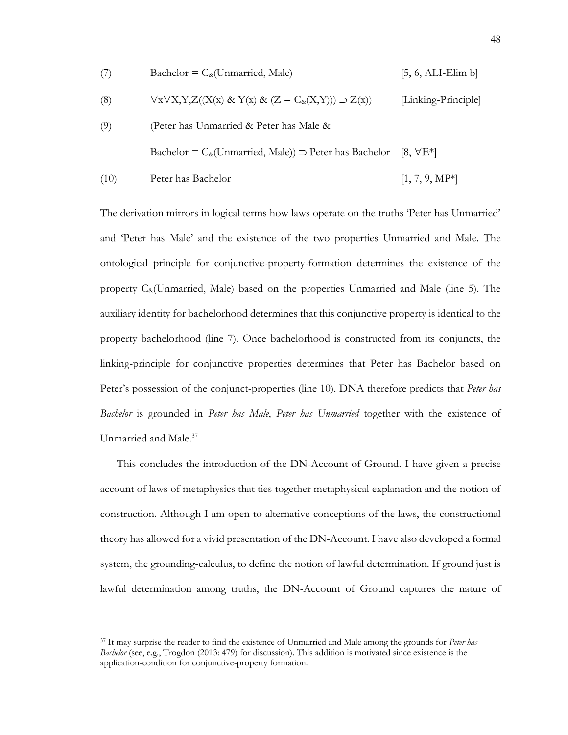| (7) | Bachelor = $C_{\alpha}$ (Unmarried, Male)                                                   | $[5, 6, ALL-Elim b]$ |
|-----|---------------------------------------------------------------------------------------------|----------------------|
| (8) | $\forall x \forall X, Y, Z((X(x) \& Y(x) \& (Z = C_{\&}(X,Y))) \supset Z(x))$               | [Linking-Principle]  |
| (9) | (Peter has Unmarried & Peter has Male &                                                     |                      |
|     | Bachelor = $C_{\alpha}$ (Unmarried, Male)) $\supset$ Peter has Bachelor [8, $\forall E^*$ ] |                      |

(10) Peter has Bachelor 
$$
[1, 7, 9, MP^*]
$$

The derivation mirrors in logical terms how laws operate on the truths 'Peter has Unmarried' and 'Peter has Male' and the existence of the two properties Unmarried and Male. The ontological principle for conjunctive-property-formation determines the existence of the property C&(Unmarried, Male) based on the properties Unmarried and Male (line 5). The auxiliary identity for bachelorhood determines that this conjunctive property is identical to the property bachelorhood (line 7). Once bachelorhood is constructed from its conjuncts, the linking-principle for conjunctive properties determines that Peter has Bachelor based on Peter's possession of the conjunct-properties (line 10). DNA therefore predicts that *Peter has Bachelor* is grounded in *Peter has Male*, *Peter has Unmarried* together with the existence of Unmarried and Male.<sup>37</sup>

This concludes the introduction of the DN-Account of Ground. I have given a precise account of laws of metaphysics that ties together metaphysical explanation and the notion of construction. Although I am open to alternative conceptions of the laws, the constructional theory has allowed for a vivid presentation of the DN-Account. I have also developed a formal system, the grounding-calculus, to define the notion of lawful determination. If ground just is lawful determination among truths, the DN-Account of Ground captures the nature of

<sup>37</sup> It may surprise the reader to find the existence of Unmarried and Male among the grounds for *Peter has Bachelor* (see, e.g., Trogdon (2013: 479) for discussion). This addition is motivated since existence is the application-condition for conjunctive-property formation.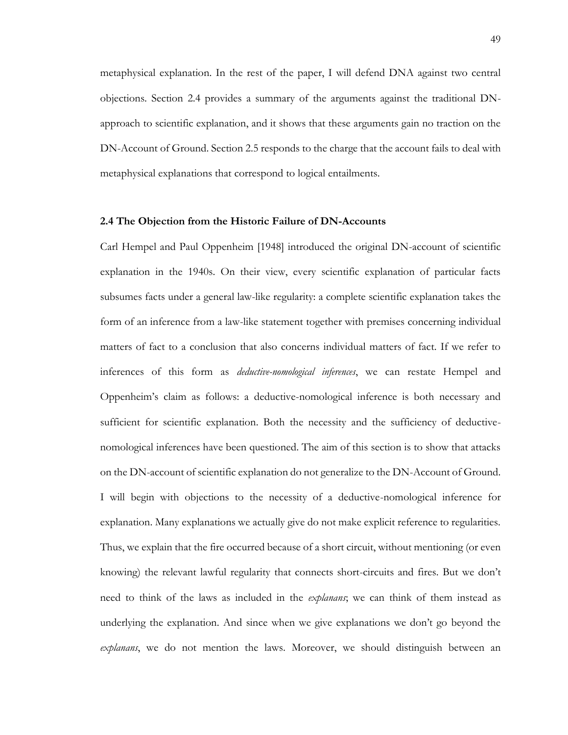metaphysical explanation. In the rest of the paper, I will defend DNA against two central objections. Section 2.4 provides a summary of the arguments against the traditional DNapproach to scientific explanation, and it shows that these arguments gain no traction on the DN-Account of Ground. Section 2.5 responds to the charge that the account fails to deal with metaphysical explanations that correspond to logical entailments.

#### **2.4 The Objection from the Historic Failure of DN-Accounts**

Carl Hempel and Paul Oppenheim [1948] introduced the original DN-account of scientific explanation in the 1940s. On their view, every scientific explanation of particular facts subsumes facts under a general law-like regularity: a complete scientific explanation takes the form of an inference from a law-like statement together with premises concerning individual matters of fact to a conclusion that also concerns individual matters of fact. If we refer to inferences of this form as *deductive-nomological inferences*, we can restate Hempel and Oppenheim's claim as follows: a deductive-nomological inference is both necessary and sufficient for scientific explanation. Both the necessity and the sufficiency of deductivenomological inferences have been questioned. The aim of this section is to show that attacks on the DN-account of scientific explanation do not generalize to the DN-Account of Ground. I will begin with objections to the necessity of a deductive-nomological inference for explanation. Many explanations we actually give do not make explicit reference to regularities. Thus, we explain that the fire occurred because of a short circuit, without mentioning (or even knowing) the relevant lawful regularity that connects short-circuits and fires. But we don't need to think of the laws as included in the *explanans*; we can think of them instead as underlying the explanation. And since when we give explanations we don't go beyond the *explanans*, we do not mention the laws. Moreover, we should distinguish between an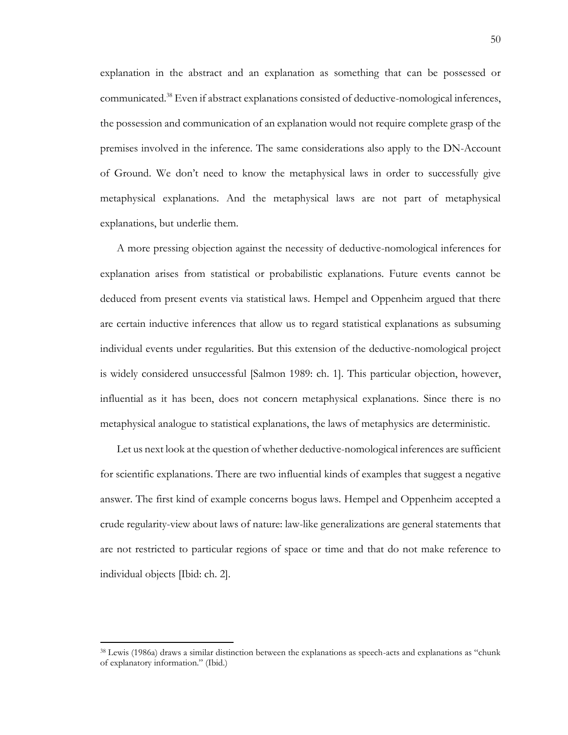explanation in the abstract and an explanation as something that can be possessed or communicated.<sup>38</sup> Even if abstract explanations consisted of deductive-nomological inferences, the possession and communication of an explanation would not require complete grasp of the premises involved in the inference. The same considerations also apply to the DN-Account of Ground. We don't need to know the metaphysical laws in order to successfully give metaphysical explanations. And the metaphysical laws are not part of metaphysical explanations, but underlie them.

A more pressing objection against the necessity of deductive-nomological inferences for explanation arises from statistical or probabilistic explanations. Future events cannot be deduced from present events via statistical laws. Hempel and Oppenheim argued that there are certain inductive inferences that allow us to regard statistical explanations as subsuming individual events under regularities. But this extension of the deductive-nomological project is widely considered unsuccessful [Salmon 1989: ch. 1]. This particular objection, however, influential as it has been, does not concern metaphysical explanations. Since there is no metaphysical analogue to statistical explanations, the laws of metaphysics are deterministic.

Let us next look at the question of whether deductive-nomological inferences are sufficient for scientific explanations. There are two influential kinds of examples that suggest a negative answer. The first kind of example concerns bogus laws. Hempel and Oppenheim accepted a crude regularity-view about laws of nature: law-like generalizations are general statements that are not restricted to particular regions of space or time and that do not make reference to individual objects [Ibid: ch. 2].

 $\overline{\phantom{a}}$ 

<sup>38</sup> Lewis (1986a) draws a similar distinction between the explanations as speech-acts and explanations as "chunk of explanatory information." (Ibid.)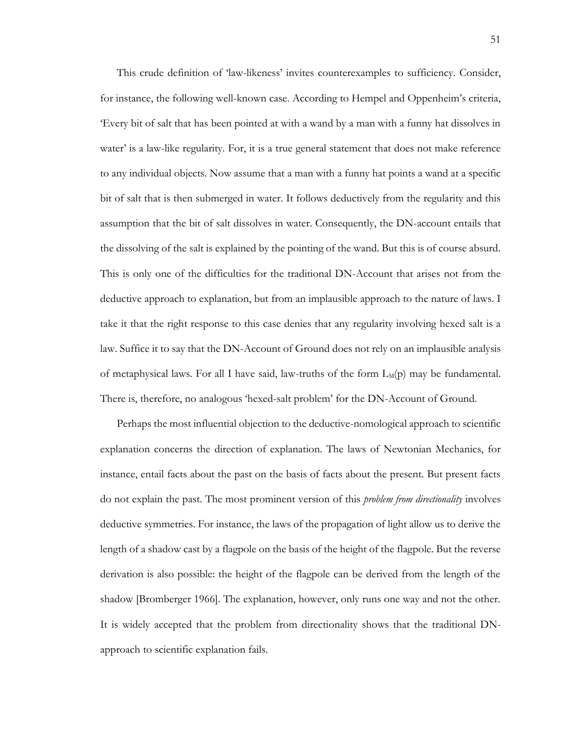This crude definition of 'law-likeness' invites counterexamples to sufficiency. Consider, for instance, the following well-known case. According to Hempel and Oppenheim's criteria, 'Every bit of salt that has been pointed at with a wand by a man with a funny hat dissolves in water' is a law-like regularity. For, it is a true general statement that does not make reference to any individual objects. Now assume that a man with a funny hat points a wand at a specific bit of salt that is then submerged in water. It follows deductively from the regularity and this assumption that the bit of salt dissolves in water. Consequently, the DN-account entails that the dissolving of the salt is explained by the pointing of the wand. But this is of course absurd. This is only one of the difficulties for the traditional DN-Account that arises not from the deductive approach to explanation, but from an implausible approach to the nature of laws. I take it that the right response to this case denies that any regularity involving hexed salt is a law. Suffice it to say that the DN-Account of Ground does not rely on an implausible analysis of metaphysical laws. For all I have said, law-truths of the form  $L_M(p)$  may be fundamental. There is, therefore, no analogous 'hexed-salt problem' for the DN-Account of Ground.

Perhaps the most influential objection to the deductive-nomological approach to scientific explanation concerns the direction of explanation. The laws of Newtonian Mechanics, for instance, entail facts about the past on the basis of facts about the present. But present facts do not explain the past. The most prominent version of this *problem from directionality* involves deductive symmetries. For instance, the laws of the propagation of light allow us to derive the length of a shadow cast by a flagpole on the basis of the height of the flagpole. But the reverse derivation is also possible: the height of the flagpole can be derived from the length of the shadow [Bromberger 1966]. The explanation, however, only runs one way and not the other. It is widely accepted that the problem from directionality shows that the traditional DNapproach to scientific explanation fails.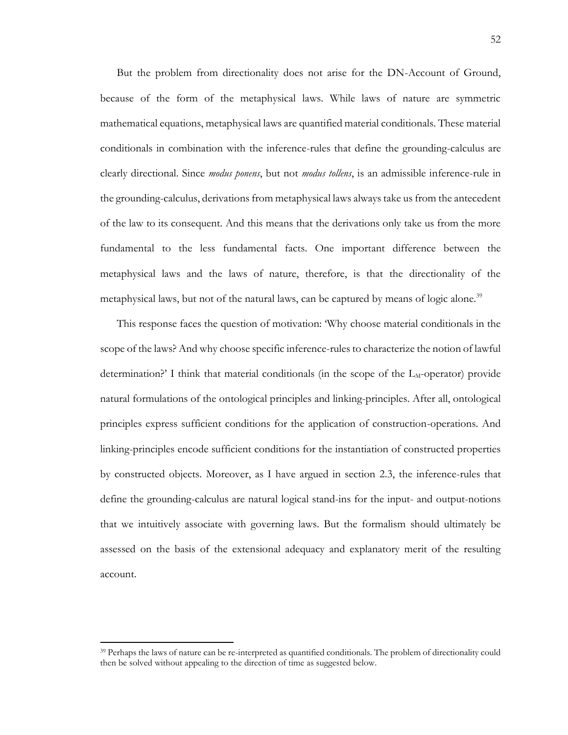But the problem from directionality does not arise for the DN-Account of Ground, because of the form of the metaphysical laws. While laws of nature are symmetric mathematical equations, metaphysical laws are quantified material conditionals. These material conditionals in combination with the inference-rules that define the grounding-calculus are clearly directional. Since *modus ponens*, but not *modus tollens*, is an admissible inference-rule in the grounding-calculus, derivations from metaphysical laws always take us from the antecedent of the law to its consequent. And this means that the derivations only take us from the more fundamental to the less fundamental facts. One important difference between the metaphysical laws and the laws of nature, therefore, is that the directionality of the metaphysical laws, but not of the natural laws, can be captured by means of logic alone.<sup>39</sup>

This response faces the question of motivation: 'Why choose material conditionals in the scope of the laws? And why choose specific inference-rules to characterize the notion of lawful determination?' I think that material conditionals (in the scope of the  $L_M$ -operator) provide natural formulations of the ontological principles and linking-principles. After all, ontological principles express sufficient conditions for the application of construction-operations. And linking-principles encode sufficient conditions for the instantiation of constructed properties by constructed objects. Moreover, as I have argued in section 2.3, the inference-rules that define the grounding-calculus are natural logical stand-ins for the input- and output-notions that we intuitively associate with governing laws. But the formalism should ultimately be assessed on the basis of the extensional adequacy and explanatory merit of the resulting account.

 $\overline{\phantom{a}}$ 

<sup>&</sup>lt;sup>39</sup> Perhaps the laws of nature can be re-interpreted as quantified conditionals. The problem of directionality could then be solved without appealing to the direction of time as suggested below.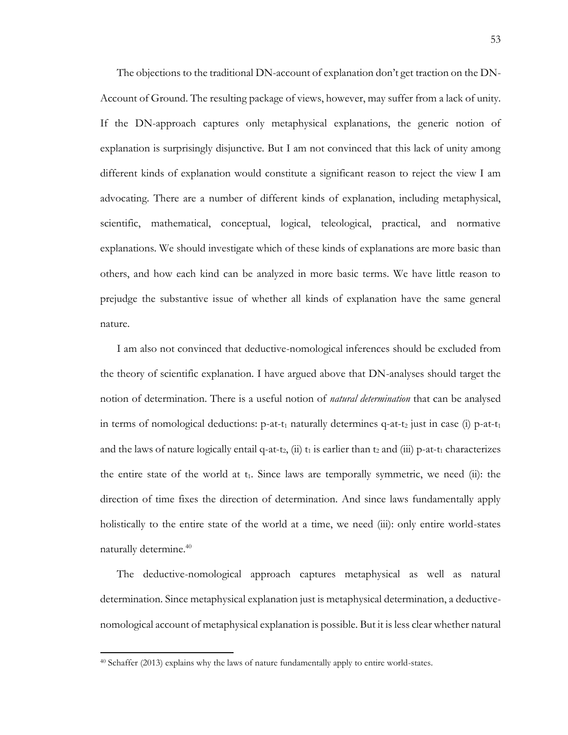The objections to the traditional DN-account of explanation don't get traction on the DN-Account of Ground. The resulting package of views, however, may suffer from a lack of unity. If the DN-approach captures only metaphysical explanations, the generic notion of explanation is surprisingly disjunctive. But I am not convinced that this lack of unity among different kinds of explanation would constitute a significant reason to reject the view I am advocating. There are a number of different kinds of explanation, including metaphysical, scientific, mathematical, conceptual, logical, teleological, practical, and normative explanations. We should investigate which of these kinds of explanations are more basic than others, and how each kind can be analyzed in more basic terms. We have little reason to prejudge the substantive issue of whether all kinds of explanation have the same general nature.

I am also not convinced that deductive-nomological inferences should be excluded from the theory of scientific explanation. I have argued above that DN-analyses should target the notion of determination. There is a useful notion of *natural determination* that can be analysed in terms of nomological deductions:  $p$ -at- $t_1$  naturally determines  $q$ -at- $t_2$  just in case (i)  $p$ -at- $t_1$ and the laws of nature logically entail q-at-t<sub>2</sub>, (ii) t<sub>1</sub> is earlier than t<sub>2</sub> and (iii) p-at-t<sub>1</sub> characterizes the entire state of the world at  $t_1$ . Since laws are temporally symmetric, we need (ii): the direction of time fixes the direction of determination. And since laws fundamentally apply holistically to the entire state of the world at a time, we need (iii): only entire world-states naturally determine.<sup>40</sup>

The deductive-nomological approach captures metaphysical as well as natural determination. Since metaphysical explanation just is metaphysical determination, a deductivenomological account of metaphysical explanation is possible. But it is less clear whether natural

 $\overline{a}$ 

 $40$  Schaffer (2013) explains why the laws of nature fundamentally apply to entire world-states.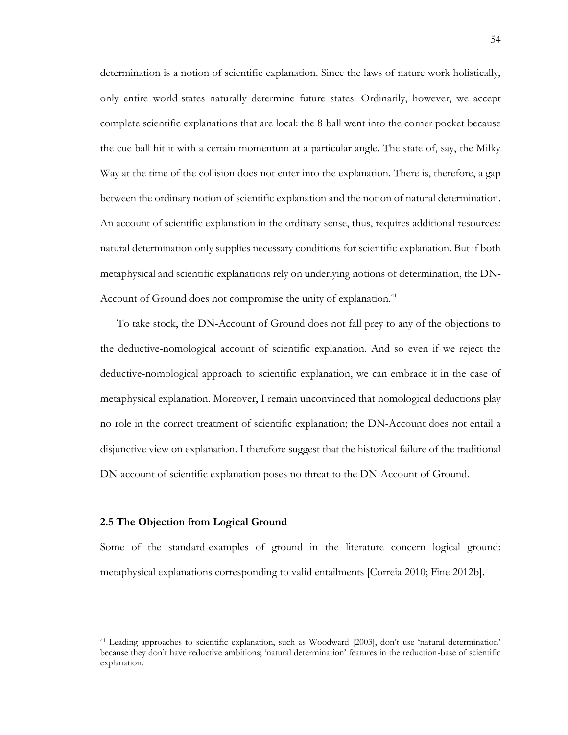determination is a notion of scientific explanation. Since the laws of nature work holistically, only entire world-states naturally determine future states. Ordinarily, however, we accept complete scientific explanations that are local: the 8-ball went into the corner pocket because the cue ball hit it with a certain momentum at a particular angle. The state of, say, the Milky Way at the time of the collision does not enter into the explanation. There is, therefore, a gap between the ordinary notion of scientific explanation and the notion of natural determination. An account of scientific explanation in the ordinary sense, thus, requires additional resources: natural determination only supplies necessary conditions for scientific explanation. But if both metaphysical and scientific explanations rely on underlying notions of determination, the DN-Account of Ground does not compromise the unity of explanation.<sup>41</sup>

To take stock, the DN-Account of Ground does not fall prey to any of the objections to the deductive-nomological account of scientific explanation. And so even if we reject the deductive-nomological approach to scientific explanation, we can embrace it in the case of metaphysical explanation. Moreover, I remain unconvinced that nomological deductions play no role in the correct treatment of scientific explanation; the DN-Account does not entail a disjunctive view on explanation. I therefore suggest that the historical failure of the traditional DN-account of scientific explanation poses no threat to the DN-Account of Ground.

#### **2.5 The Objection from Logical Ground**

l

Some of the standard-examples of ground in the literature concern logical ground: metaphysical explanations corresponding to valid entailments [Correia 2010; Fine 2012b].

<sup>41</sup> Leading approaches to scientific explanation, such as Woodward [2003], don't use 'natural determination' because they don't have reductive ambitions; 'natural determination' features in the reduction-base of scientific explanation.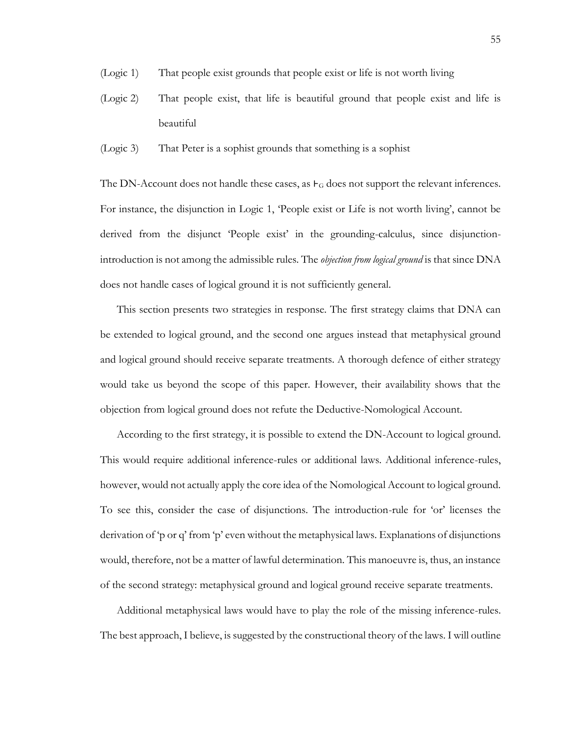- (Logic 1) That people exist grounds that people exist or life is not worth living
- (Logic 2) That people exist, that life is beautiful ground that people exist and life is beautiful
- (Logic 3) That Peter is a sophist grounds that something is a sophist

The DN-Account does not handle these cases, as  $\vdash_G$  does not support the relevant inferences. For instance, the disjunction in Logic 1, 'People exist or Life is not worth living', cannot be derived from the disjunct 'People exist' in the grounding-calculus, since disjunctionintroduction is not among the admissible rules. The *objection from logical ground* is that since DNA does not handle cases of logical ground it is not sufficiently general.

This section presents two strategies in response. The first strategy claims that DNA can be extended to logical ground, and the second one argues instead that metaphysical ground and logical ground should receive separate treatments. A thorough defence of either strategy would take us beyond the scope of this paper. However, their availability shows that the objection from logical ground does not refute the Deductive-Nomological Account.

According to the first strategy, it is possible to extend the DN-Account to logical ground. This would require additional inference-rules or additional laws. Additional inference-rules, however, would not actually apply the core idea of the Nomological Account to logical ground. To see this, consider the case of disjunctions. The introduction-rule for 'or' licenses the derivation of 'p or q' from 'p' even without the metaphysical laws. Explanations of disjunctions would, therefore, not be a matter of lawful determination. This manoeuvre is, thus, an instance of the second strategy: metaphysical ground and logical ground receive separate treatments.

Additional metaphysical laws would have to play the role of the missing inference-rules. The best approach, I believe, is suggested by the constructional theory of the laws. I will outline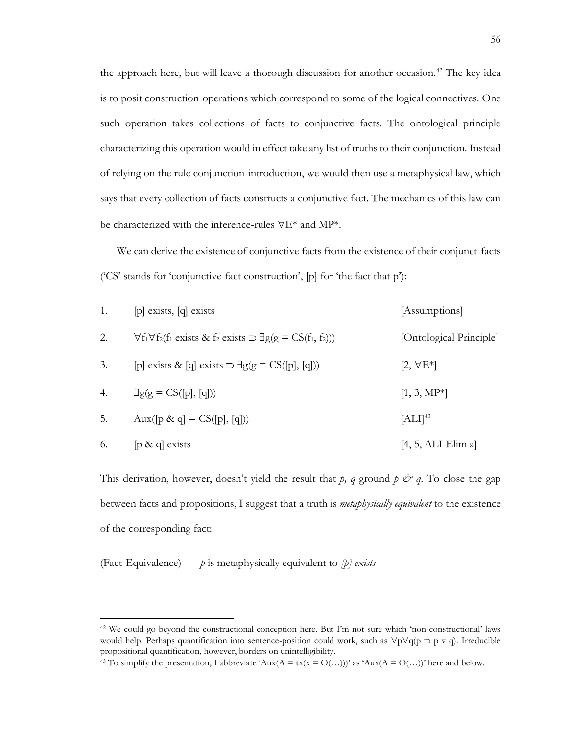the approach here, but will leave a thorough discussion for another occasion.<sup>42</sup> The key idea is to posit construction-operations which correspond to some of the logical connectives. One such operation takes collections of facts to conjunctive facts. The ontological principle characterizing this operation would in effect take any list of truths to their conjunction. Instead of relying on the rule conjunction-introduction, we would then use a metaphysical law, which says that every collection of facts constructs a conjunctive fact. The mechanics of this law can be characterized with the inference-rules  $\forall E^*$  and MP\*.

We can derive the existence of conjunctive facts from the existence of their conjunct-facts ('CS' stands for 'conjunctive-fact construction', [p] for 'the fact that p'):

| 1. | $[p]$ exists, $[q]$ exists                                                                               | [Assumptions]           |
|----|----------------------------------------------------------------------------------------------------------|-------------------------|
| 2. | $\forall f_1 \forall f_2(f_1 \text{ exists} \& f_2 \text{ exists } \supset \exists g(g = CS(f_1, f_2)))$ | [Ontological Principle] |
| 3. | [p] exists & [q] exists $\supset \exists g(g = CS([p], [q]))$                                            | $[2, \forall E^*]$      |
| 4. | $\exists$ g(g = CS([p], [q]))                                                                            | $[1, 3, MP^*]$          |
| 5. | Aux( $[p \& q] = CS([p], [q])$ )                                                                         | $[ALI]^{43}$            |
| 6. | $[p & q]$ exists                                                                                         | $[4, 5, ALL-Elim a]$    |

This derivation, however, doesn't yield the result that p, q ground  $p \ll q$ . To close the gap between facts and propositions, I suggest that a truth is *metaphysically equivalent* to the existence of the corresponding fact:

(Fact-Equivalence) *p* is metaphysically equivalent to *[p] exists*

 $\overline{\phantom{a}}$ 

<sup>42</sup> We could go beyond the constructional conception here. But I'm not sure which 'non-constructional' laws would help. Perhaps quantification into sentence-position could work, such as  $\forall p \forall q(p \supset p \vee q)$ . Irreducible propositional quantification, however, borders on unintelligibility.

<sup>&</sup>lt;sup>43</sup> To simplify the presentation, I abbreviate 'Aux( $A = \text{tx}(x = O(...))$ ' as 'Aux( $A = O(...)$ ' here and below.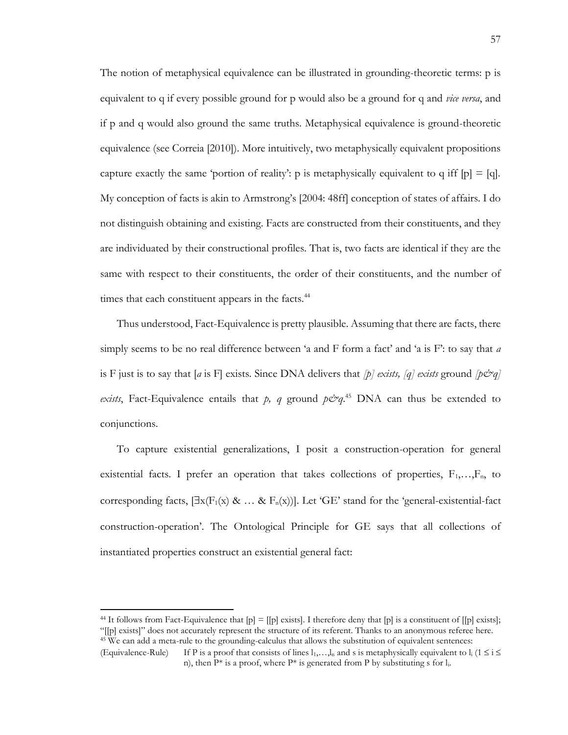The notion of metaphysical equivalence can be illustrated in grounding-theoretic terms: p is equivalent to q if every possible ground for p would also be a ground for q and *vice versa*, and if p and q would also ground the same truths. Metaphysical equivalence is ground-theoretic equivalence (see Correia [2010]). More intuitively, two metaphysically equivalent propositions capture exactly the same 'portion of reality': p is metaphysically equivalent to q iff  $[p] = [q]$ . My conception of facts is akin to Armstrong's [2004: 48ff] conception of states of affairs. I do not distinguish obtaining and existing. Facts are constructed from their constituents, and they are individuated by their constructional profiles. That is, two facts are identical if they are the same with respect to their constituents, the order of their constituents, and the number of times that each constituent appears in the facts.<sup>44</sup>

Thus understood, Fact-Equivalence is pretty plausible. Assuming that there are facts, there simply seems to be no real difference between 'a and F form a fact' and 'a is F': to say that *a* is F just is to say that [*a* is F] exists. Since DNA delivers that *[p] exists, [q] exists* ground  $[p \otimes q]$ *exists*, Fact-Equivalence entails that  $p$ ,  $q$  ground  $p C 3q$ .<sup>45</sup> DNA can thus be extended to conjunctions.

To capture existential generalizations, I posit a construction-operation for general existential facts. I prefer an operation that takes collections of properties,  $F_1, \ldots, F_n$ , to corresponding facts,  $[\exists x(F_1(x) \& \dots \& F_n(x)]]$ . Let 'GE' stand for the 'general-existential-fact construction-operation'. The Ontological Principle for GE says that all collections of instantiated properties construct an existential general fact:

<sup>&</sup>lt;sup>44</sup> It follows from Fact-Equivalence that  $[p] = [[p] \text{ exists}]$ . I therefore deny that  $[p]$  is a constituent of  $[[p] \text{ exists}]$ ; "[[p] exists]" does not accurately represent the structure of its referent. Thanks to an anonymous referee here. <sup>45</sup> We can add a meta-rule to the grounding-calculus that allows the substitution of equivalent sentences:

<sup>(</sup>Equivalence-Rule) If P is a proof that consists of lines  $l_1,...,l_n$  and s is metaphysically equivalent to  $l_i$  (1  $\le i \le n$ ) n), then  $P^*$  is a proof, where  $P^*$  is generated from P by substituting s for l<sub>i</sub>.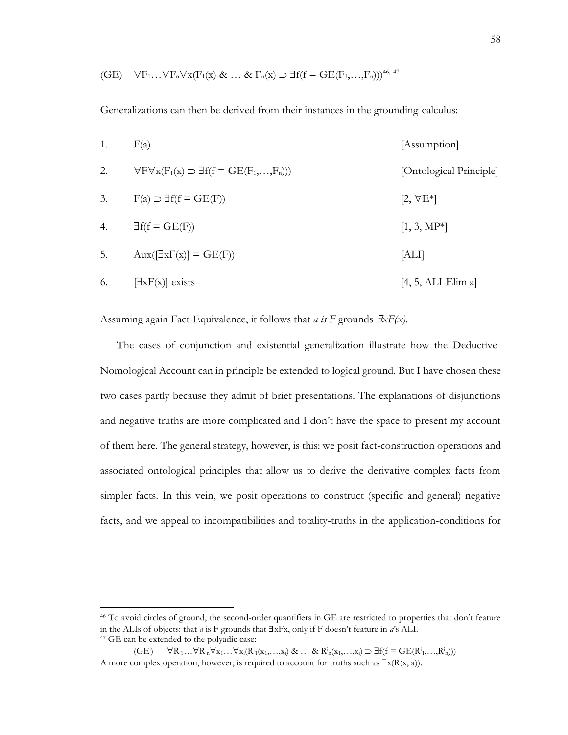$$
(\mathrm{GE}) \quad \forall F_1 \dots \forall F_n \forall x (F_1(x) \& \dots \& F_n(x) \supset \exists f (f = \mathrm{GE}(F_1, \dots, F_n)))^{46, 47}
$$

Generalizations can then be derived from their instances in the grounding-calculus:

| 1. | F(a)                                                                        | [Assumption]            |
|----|-----------------------------------------------------------------------------|-------------------------|
| 2. | $\forall F \forall x (F_1(x) \supset \exists f (f = GE(F_1, \ldots, F_n)))$ | [Ontological Principle] |
| 3. | $F(a) \supset \exists f(f = GE(F))$                                         | $[2, \forall E^*]$      |
| 4. | $\exists f(f = GE(F))$                                                      | $[1, 3, MP^*]$          |
| 5. | $Aux([ \exists x F(x) ] = GE(F))$                                           | [ALI]                   |
| 6. | $[\exists x F(x)]$ exists                                                   | $[4, 5, ALL-Elim a]$    |

Assuming again Fact-Equivalence, it follows that *a* is F grounds  $\exists x F(x)$ .

The cases of conjunction and existential generalization illustrate how the Deductive-Nomological Account can in principle be extended to logical ground. But I have chosen these two cases partly because they admit of brief presentations. The explanations of disjunctions and negative truths are more complicated and I don't have the space to present my account of them here. The general strategy, however, is this: we posit fact-construction operations and associated ontological principles that allow us to derive the derivative complex facts from simpler facts. In this vein, we posit operations to construct (specific and general) negative facts, and we appeal to incompatibilities and totality-truths in the application-conditions for

<sup>46</sup> To avoid circles of ground, the second-order quantifiers in GE are restricted to properties that don't feature in the ALIs of objects: that *a* is F grounds that ∃xFx, only if F doesn't feature in *a*'s ALI. <sup>47</sup> GE can be extended to the polyadic case:

 $(GE<sub>i</sub>)$  $\forall R^{i_1} \dots \forall R^{i_n} \forall x_1 \dots \forall x_i (R^{i_1}(x_1, ..., x_i) \& \dots \& R^{i_n}(x_1, ..., x_i) \supset \exists f(f = GE(R^{i_1}, ..., R^{i_n})))$ A more complex operation, however, is required to account for truths such as  $\exists x(R(x, a))$ .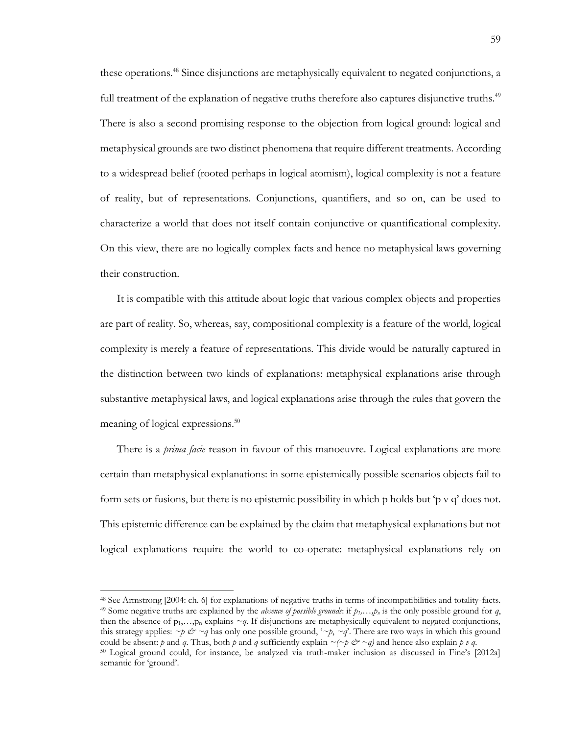these operations.<sup>48</sup> Since disjunctions are metaphysically equivalent to negated conjunctions, a full treatment of the explanation of negative truths therefore also captures disjunctive truths.<sup>49</sup> There is also a second promising response to the objection from logical ground: logical and metaphysical grounds are two distinct phenomena that require different treatments. According to a widespread belief (rooted perhaps in logical atomism), logical complexity is not a feature of reality, but of representations. Conjunctions, quantifiers, and so on, can be used to characterize a world that does not itself contain conjunctive or quantificational complexity. On this view, there are no logically complex facts and hence no metaphysical laws governing their construction.

It is compatible with this attitude about logic that various complex objects and properties are part of reality. So, whereas, say, compositional complexity is a feature of the world, logical complexity is merely a feature of representations. This divide would be naturally captured in the distinction between two kinds of explanations: metaphysical explanations arise through substantive metaphysical laws, and logical explanations arise through the rules that govern the meaning of logical expressions.<sup>50</sup>

There is a *prima facie* reason in favour of this manoeuvre. Logical explanations are more certain than metaphysical explanations: in some epistemically possible scenarios objects fail to form sets or fusions, but there is no epistemic possibility in which p holds but 'p v q' does not. This epistemic difference can be explained by the claim that metaphysical explanations but not logical explanations require the world to co-operate: metaphysical explanations rely on

<sup>48</sup> See Armstrong [2004: ch. 6] for explanations of negative truths in terms of incompatibilities and totality-facts. <sup>49</sup> Some negative truths are explained by the *absence of possible grounds*: if  $p_1, \ldots, p_n$  is the only possible ground for *q*, then the absence of  $p_1, \ldots, p_n$  explains  $\sim q$ . If disjunctions are metaphysically equivalent to negated conjunctions, this strategy applies:  $\sim p \mathcal{O} \sim q$  has only one possible ground,  $\sim p$ ,  $\sim q'$ . There are two ways in which this ground could be absent: *p* and *q*. Thus, both *p* and *q* sufficiently explain  $\sim$  ( $\sim$ *p* &  $\sim$ *q*) and hence also explain *p v q*. <sup>50</sup> Logical ground could, for instance, be analyzed via truth-maker inclusion as discussed in Fine's [2012a] semantic for 'ground'.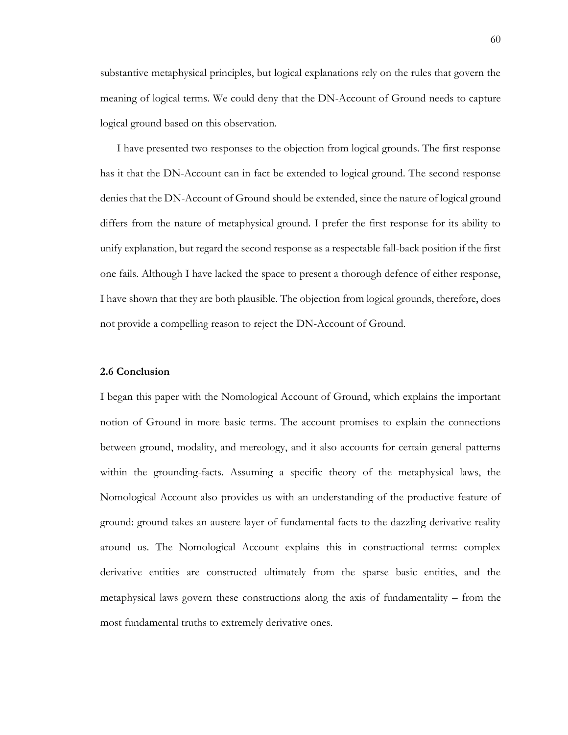substantive metaphysical principles, but logical explanations rely on the rules that govern the meaning of logical terms. We could deny that the DN-Account of Ground needs to capture logical ground based on this observation.

I have presented two responses to the objection from logical grounds. The first response has it that the DN-Account can in fact be extended to logical ground. The second response denies that the DN-Account of Ground should be extended, since the nature of logical ground differs from the nature of metaphysical ground. I prefer the first response for its ability to unify explanation, but regard the second response as a respectable fall-back position if the first one fails. Although I have lacked the space to present a thorough defence of either response, I have shown that they are both plausible. The objection from logical grounds, therefore, does not provide a compelling reason to reject the DN-Account of Ground.

## **2.6 Conclusion**

I began this paper with the Nomological Account of Ground, which explains the important notion of Ground in more basic terms. The account promises to explain the connections between ground, modality, and mereology, and it also accounts for certain general patterns within the grounding-facts. Assuming a specific theory of the metaphysical laws, the Nomological Account also provides us with an understanding of the productive feature of ground: ground takes an austere layer of fundamental facts to the dazzling derivative reality around us. The Nomological Account explains this in constructional terms: complex derivative entities are constructed ultimately from the sparse basic entities, and the metaphysical laws govern these constructions along the axis of fundamentality – from the most fundamental truths to extremely derivative ones.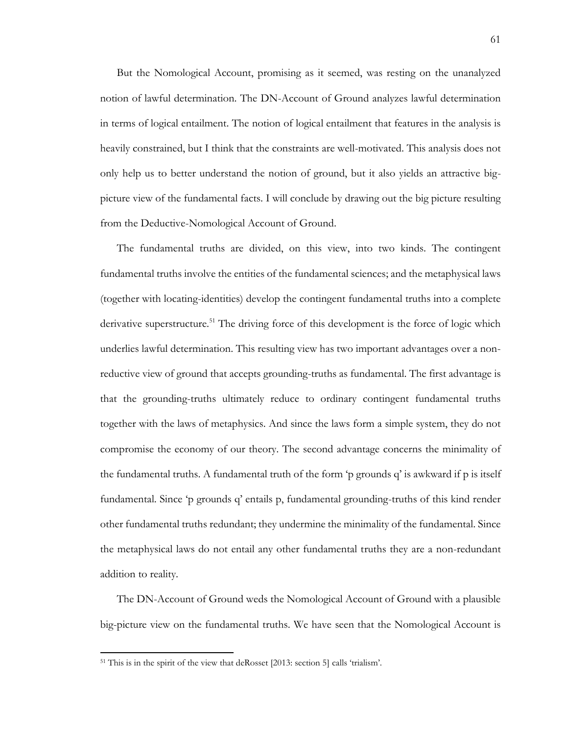But the Nomological Account, promising as it seemed, was resting on the unanalyzed notion of lawful determination. The DN-Account of Ground analyzes lawful determination in terms of logical entailment. The notion of logical entailment that features in the analysis is heavily constrained, but I think that the constraints are well-motivated. This analysis does not only help us to better understand the notion of ground, but it also yields an attractive bigpicture view of the fundamental facts. I will conclude by drawing out the big picture resulting from the Deductive-Nomological Account of Ground.

The fundamental truths are divided, on this view, into two kinds. The contingent fundamental truths involve the entities of the fundamental sciences; and the metaphysical laws (together with locating-identities) develop the contingent fundamental truths into a complete derivative superstructure.<sup>51</sup> The driving force of this development is the force of logic which underlies lawful determination. This resulting view has two important advantages over a nonreductive view of ground that accepts grounding-truths as fundamental. The first advantage is that the grounding-truths ultimately reduce to ordinary contingent fundamental truths together with the laws of metaphysics. And since the laws form a simple system, they do not compromise the economy of our theory. The second advantage concerns the minimality of the fundamental truths. A fundamental truth of the form 'p grounds q' is awkward if p is itself fundamental. Since 'p grounds q' entails p, fundamental grounding-truths of this kind render other fundamental truths redundant; they undermine the minimality of the fundamental. Since the metaphysical laws do not entail any other fundamental truths they are a non-redundant addition to reality.

The DN-Account of Ground weds the Nomological Account of Ground with a plausible big-picture view on the fundamental truths. We have seen that the Nomological Account is

 $\overline{a}$ 

<sup>51</sup> This is in the spirit of the view that deRosset [2013: section 5] calls 'trialism'.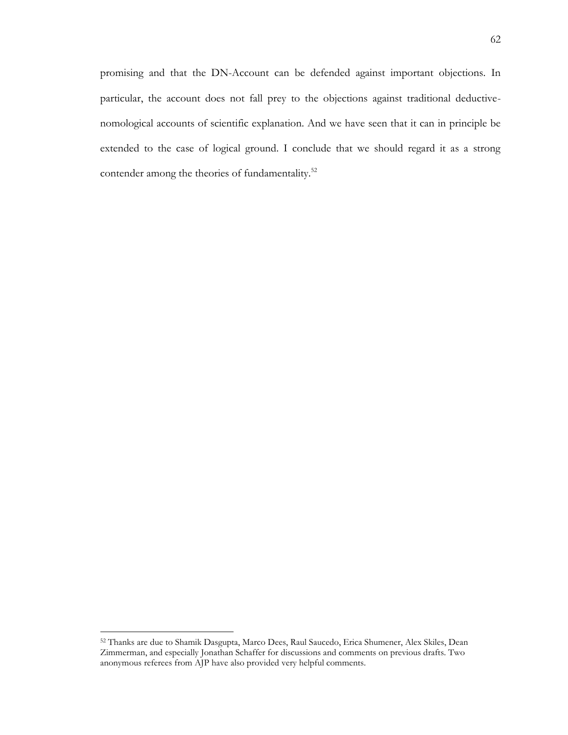promising and that the DN-Account can be defended against important objections. In particular, the account does not fall prey to the objections against traditional deductivenomological accounts of scientific explanation. And we have seen that it can in principle be extended to the case of logical ground. I conclude that we should regard it as a strong contender among the theories of fundamentality.<sup>52</sup>

<sup>52</sup> Thanks are due to Shamik Dasgupta, Marco Dees, Raul Saucedo, Erica Shumener, Alex Skiles, Dean Zimmerman, and especially Jonathan Schaffer for discussions and comments on previous drafts. Two anonymous referees from AJP have also provided very helpful comments.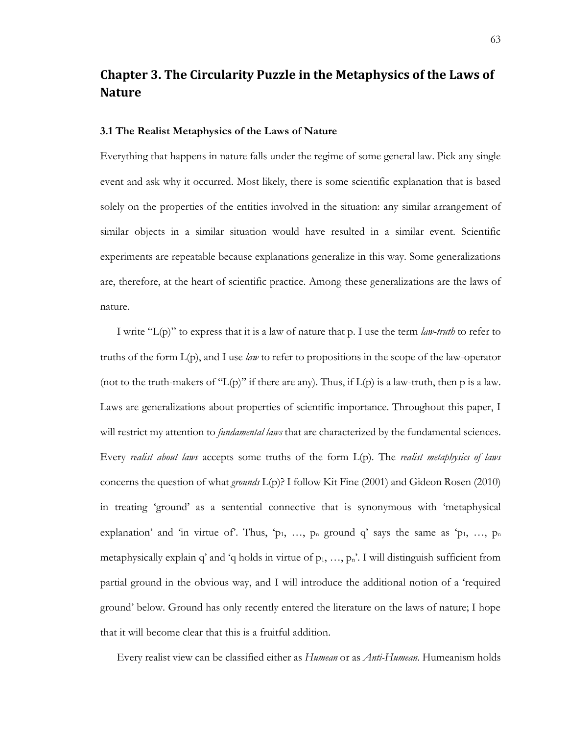# **Chapter 3. The Circularity Puzzle in the Metaphysics of the Laws of Nature**

# **3.1 The Realist Metaphysics of the Laws of Nature**

Everything that happens in nature falls under the regime of some general law. Pick any single event and ask why it occurred. Most likely, there is some scientific explanation that is based solely on the properties of the entities involved in the situation: any similar arrangement of similar objects in a similar situation would have resulted in a similar event. Scientific experiments are repeatable because explanations generalize in this way. Some generalizations are, therefore, at the heart of scientific practice. Among these generalizations are the laws of nature.

I write "L(p)" to express that it is a law of nature that p. I use the term *law-truth* to refer to truths of the form L(p), and I use *law* to refer to propositions in the scope of the law-operator (not to the truth-makers of "L(p)" if there are any). Thus, if  $L(p)$  is a law-truth, then p is a law. Laws are generalizations about properties of scientific importance. Throughout this paper, I will restrict my attention to *fundamental laws* that are characterized by the fundamental sciences. Every *realist about laws* accepts some truths of the form L(p). The *realist metaphysics of laws*  concerns the question of what *grounds* L(p)? I follow Kit Fine (2001) and Gideon Rosen (2010) in treating 'ground' as a sentential connective that is synonymous with 'metaphysical explanation' and 'in virtue of'. Thus, ' $p_1$ , ...,  $p_n$  ground q' says the same as ' $p_1$ , ...,  $p_n$ metaphysically explain q' and 'q holds in virtue of  $p_1, \ldots, p_n$ '. I will distinguish sufficient from partial ground in the obvious way, and I will introduce the additional notion of a 'required ground' below. Ground has only recently entered the literature on the laws of nature; I hope that it will become clear that this is a fruitful addition.

Every realist view can be classified either as *Humean* or as *Anti-Humean*. Humeanism holds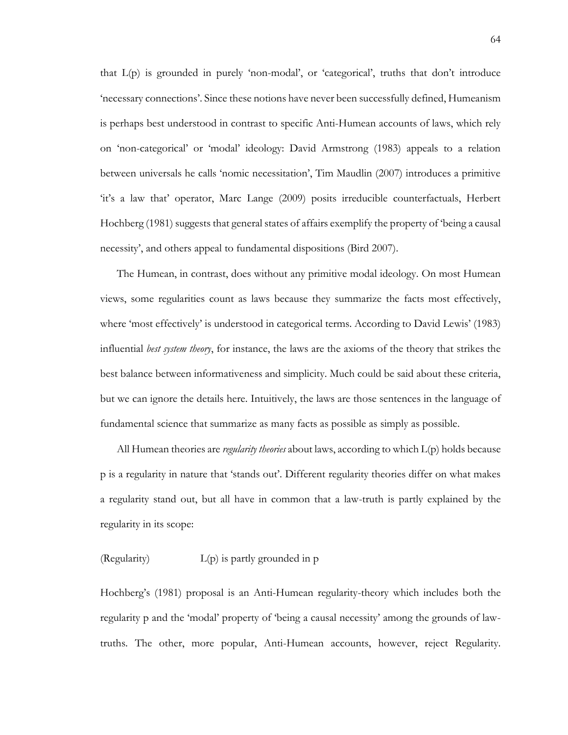that L(p) is grounded in purely 'non-modal', or 'categorical', truths that don't introduce 'necessary connections'. Since these notions have never been successfully defined, Humeanism is perhaps best understood in contrast to specific Anti-Humean accounts of laws, which rely on 'non-categorical' or 'modal' ideology: David Armstrong (1983) appeals to a relation between universals he calls 'nomic necessitation', Tim Maudlin (2007) introduces a primitive 'it's a law that' operator, Marc Lange (2009) posits irreducible counterfactuals, Herbert Hochberg (1981) suggests that general states of affairs exemplify the property of 'being a causal necessity', and others appeal to fundamental dispositions (Bird 2007).

The Humean, in contrast, does without any primitive modal ideology. On most Humean views, some regularities count as laws because they summarize the facts most effectively, where 'most effectively' is understood in categorical terms. According to David Lewis' (1983) influential *best system theory*, for instance, the laws are the axioms of the theory that strikes the best balance between informativeness and simplicity. Much could be said about these criteria, but we can ignore the details here. Intuitively, the laws are those sentences in the language of fundamental science that summarize as many facts as possible as simply as possible.

All Humean theories are *regularity theories* about laws, according to which L(p) holds because p is a regularity in nature that 'stands out'. Different regularity theories differ on what makes a regularity stand out, but all have in common that a law-truth is partly explained by the regularity in its scope:

# (Regularity) L(p) is partly grounded in p

Hochberg's (1981) proposal is an Anti-Humean regularity-theory which includes both the regularity p and the 'modal' property of 'being a causal necessity' among the grounds of lawtruths. The other, more popular, Anti-Humean accounts, however, reject Regularity.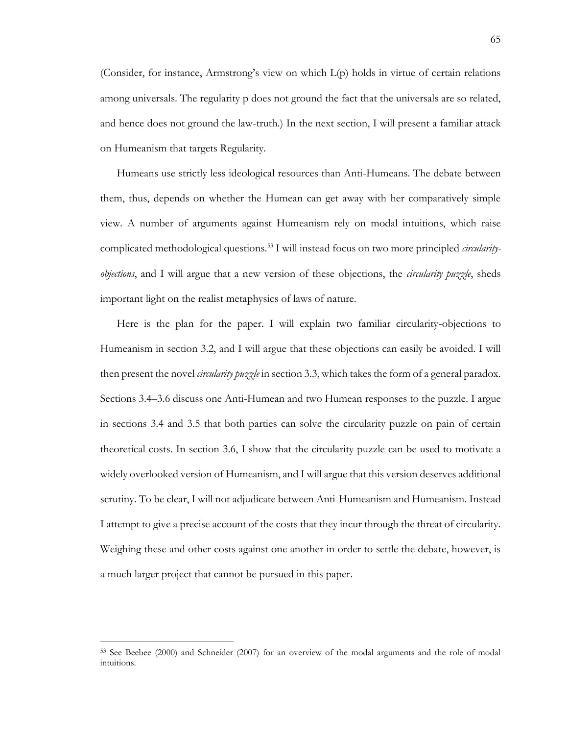(Consider, for instance, Armstrong's view on which L(p) holds in virtue of certain relations among universals. The regularity p does not ground the fact that the universals are so related, and hence does not ground the law-truth.) In the next section, I will present a familiar attack on Humeanism that targets Regularity.

Humeans use strictly less ideological resources than Anti-Humeans. The debate between them, thus, depends on whether the Humean can get away with her comparatively simple view. A number of arguments against Humeanism rely on modal intuitions, which raise complicated methodological questions.<sup>53</sup> I will instead focus on two more principled *circularityobjections*, and I will argue that a new version of these objections, the *circularity puzzle*, sheds important light on the realist metaphysics of laws of nature.

Here is the plan for the paper. I will explain two familiar circularity-objections to Humeanism in section 3.2, and I will argue that these objections can easily be avoided. I will then present the novel *circularity puzzle* in section 3.3, which takes the form of a general paradox. Sections 3.4–3.6 discuss one Anti-Humean and two Humean responses to the puzzle. I argue in sections 3.4 and 3.5 that both parties can solve the circularity puzzle on pain of certain theoretical costs. In section 3.6, I show that the circularity puzzle can be used to motivate a widely overlooked version of Humeanism, and I will argue that this version deserves additional scrutiny. To be clear, I will not adjudicate between Anti-Humeanism and Humeanism. Instead I attempt to give a precise account of the costs that they incur through the threat of circularity. Weighing these and other costs against one another in order to settle the debate, however, is a much larger project that cannot be pursued in this paper.

<sup>53</sup> See Beebee (2000) and Schneider (2007) for an overview of the modal arguments and the role of modal intuitions.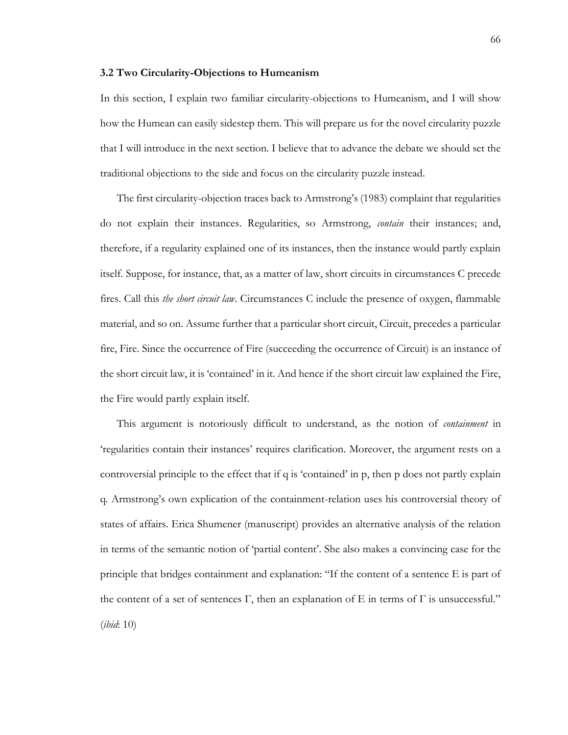#### **3.2 Two Circularity-Objections to Humeanism**

In this section, I explain two familiar circularity-objections to Humeanism, and I will show how the Humean can easily sidestep them. This will prepare us for the novel circularity puzzle that I will introduce in the next section. I believe that to advance the debate we should set the traditional objections to the side and focus on the circularity puzzle instead.

The first circularity-objection traces back to Armstrong's (1983) complaint that regularities do not explain their instances. Regularities, so Armstrong, *contain* their instances; and, therefore, if a regularity explained one of its instances, then the instance would partly explain itself. Suppose, for instance, that, as a matter of law, short circuits in circumstances C precede fires. Call this *the short circuit law*. Circumstances C include the presence of oxygen, flammable material, and so on. Assume further that a particular short circuit, Circuit, precedes a particular fire, Fire. Since the occurrence of Fire (succeeding the occurrence of Circuit) is an instance of the short circuit law, it is 'contained' in it. And hence if the short circuit law explained the Fire, the Fire would partly explain itself.

This argument is notoriously difficult to understand, as the notion of *containment* in 'regularities contain their instances' requires clarification. Moreover, the argument rests on a controversial principle to the effect that if q is 'contained' in p, then p does not partly explain q. Armstrong's own explication of the containment-relation uses his controversial theory of states of affairs. Erica Shumener (manuscript) provides an alternative analysis of the relation in terms of the semantic notion of 'partial content'. She also makes a convincing case for the principle that bridges containment and explanation: "If the content of a sentence E is part of the content of a set of sentences Γ, then an explanation of E in terms of  $\Gamma$  is unsuccessful." (*ibid*: 10)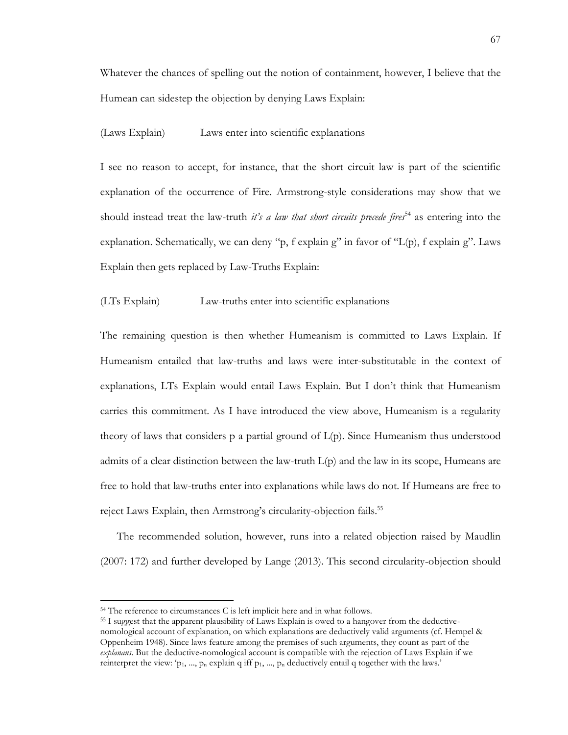Whatever the chances of spelling out the notion of containment, however, I believe that the Humean can sidestep the objection by denying Laws Explain:

(Laws Explain) Laws enter into scientific explanations

I see no reason to accept, for instance, that the short circuit law is part of the scientific explanation of the occurrence of Fire. Armstrong-style considerations may show that we should instead treat the law-truth *it's a law that short circuits precede fires*<sup>54</sup> as entering into the explanation. Schematically, we can deny "p, f explain g" in favor of " $L(p)$ , f explain g". Laws Explain then gets replaced by Law-Truths Explain:

(LTs Explain) Law-truths enter into scientific explanations

The remaining question is then whether Humeanism is committed to Laws Explain. If Humeanism entailed that law-truths and laws were inter-substitutable in the context of explanations, LTs Explain would entail Laws Explain. But I don't think that Humeanism carries this commitment. As I have introduced the view above, Humeanism is a regularity theory of laws that considers  $p$  a partial ground of  $L(p)$ . Since Humeanism thus understood admits of a clear distinction between the law-truth  $L(p)$  and the law in its scope, Humeans are free to hold that law-truths enter into explanations while laws do not. If Humeans are free to reject Laws Explain, then Armstrong's circularity-objection fails.<sup>55</sup>

The recommended solution, however, runs into a related objection raised by Maudlin (2007: 172) and further developed by Lange (2013). This second circularity-objection should

 $\overline{\phantom{a}}$ 

<sup>54</sup> The reference to circumstances C is left implicit here and in what follows.

<sup>&</sup>lt;sup>55</sup> I suggest that the apparent plausibility of Laws Explain is owed to a hangover from the deductivenomological account of explanation, on which explanations are deductively valid arguments (cf. Hempel & Oppenheim 1948). Since laws feature among the premises of such arguments, they count as part of the *explanans*. But the deductive-nomological account is compatible with the rejection of Laws Explain if we reinterpret the view: ' $p_1$ , ...,  $p_n$  explain q iff  $p_1$ , ...,  $p_n$  deductively entail q together with the laws.'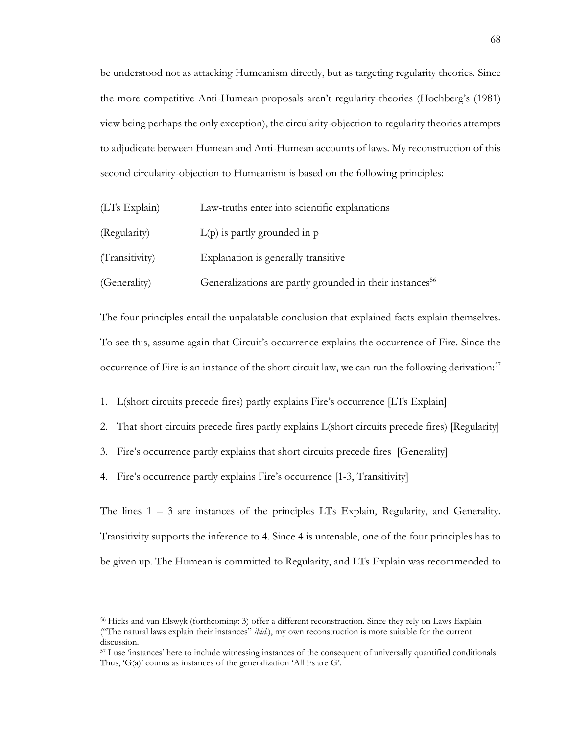be understood not as attacking Humeanism directly, but as targeting regularity theories. Since the more competitive Anti-Humean proposals aren't regularity-theories (Hochberg's (1981) view being perhaps the only exception), the circularity-objection to regularity theories attempts to adjudicate between Humean and Anti-Humean accounts of laws. My reconstruction of this second circularity-objection to Humeanism is based on the following principles:

| (LTs Explain)  | Law-truths enter into scientific explanations                        |
|----------------|----------------------------------------------------------------------|
| (Regularity)   | $L(p)$ is partly grounded in p                                       |
| (Transitivity) | Explanation is generally transitive                                  |
| (Generality)   | Generalizations are partly grounded in their instances <sup>56</sup> |

The four principles entail the unpalatable conclusion that explained facts explain themselves. To see this, assume again that Circuit's occurrence explains the occurrence of Fire. Since the occurrence of Fire is an instance of the short circuit law, we can run the following derivation:<sup>57</sup>

- 1. L(short circuits precede fires) partly explains Fire's occurrence [LTs Explain]
- 2. That short circuits precede fires partly explains L(short circuits precede fires) [Regularity]
- 3. Fire's occurrence partly explains that short circuits precede fires [Generality]
- 4. Fire's occurrence partly explains Fire's occurrence [1-3, Transitivity]

 $\overline{a}$ 

The lines 1 – 3 are instances of the principles LTs Explain, Regularity, and Generality. Transitivity supports the inference to 4. Since 4 is untenable, one of the four principles has to be given up. The Humean is committed to Regularity, and LTs Explain was recommended to

<sup>56</sup> Hicks and van Elswyk (forthcoming: 3) offer a different reconstruction. Since they rely on Laws Explain ("The natural laws explain their instances" *ibid*.), my own reconstruction is more suitable for the current discussion.

<sup>57</sup> I use 'instances' here to include witnessing instances of the consequent of universally quantified conditionals. Thus, 'G(a)' counts as instances of the generalization 'All Fs are G'.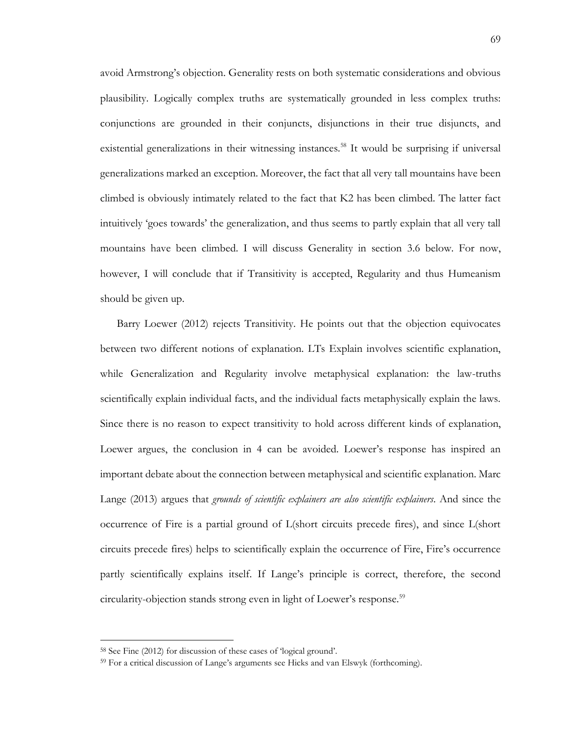avoid Armstrong's objection. Generality rests on both systematic considerations and obvious plausibility. Logically complex truths are systematically grounded in less complex truths: conjunctions are grounded in their conjuncts, disjunctions in their true disjuncts, and existential generalizations in their witnessing instances.<sup>58</sup> It would be surprising if universal generalizations marked an exception. Moreover, the fact that all very tall mountains have been climbed is obviously intimately related to the fact that K2 has been climbed. The latter fact intuitively 'goes towards' the generalization, and thus seems to partly explain that all very tall mountains have been climbed. I will discuss Generality in section 3.6 below. For now, however, I will conclude that if Transitivity is accepted, Regularity and thus Humeanism should be given up.

Barry Loewer (2012) rejects Transitivity. He points out that the objection equivocates between two different notions of explanation. LTs Explain involves scientific explanation, while Generalization and Regularity involve metaphysical explanation: the law-truths scientifically explain individual facts, and the individual facts metaphysically explain the laws. Since there is no reason to expect transitivity to hold across different kinds of explanation, Loewer argues, the conclusion in 4 can be avoided. Loewer's response has inspired an important debate about the connection between metaphysical and scientific explanation. Marc Lange (2013) argues that *grounds of scientific explainers are also scientific explainers*. And since the occurrence of Fire is a partial ground of L(short circuits precede fires), and since L(short circuits precede fires) helps to scientifically explain the occurrence of Fire, Fire's occurrence partly scientifically explains itself. If Lange's principle is correct, therefore, the second circularity-objection stands strong even in light of Loewer's response.<sup>59</sup>

<sup>58</sup> See Fine (2012) for discussion of these cases of 'logical ground'.

<sup>59</sup> For a critical discussion of Lange's arguments see Hicks and van Elswyk (forthcoming).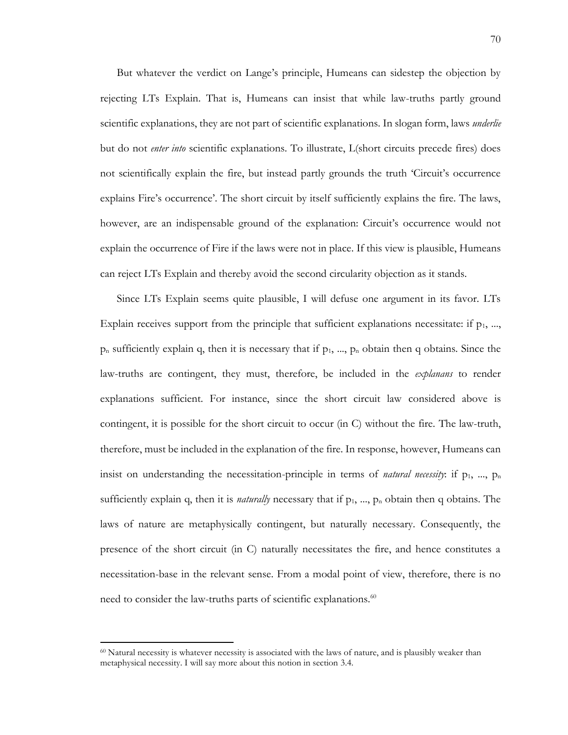But whatever the verdict on Lange's principle, Humeans can sidestep the objection by rejecting LTs Explain. That is, Humeans can insist that while law-truths partly ground scientific explanations, they are not part of scientific explanations. In slogan form, laws *underlie* but do not *enter into* scientific explanations. To illustrate, L(short circuits precede fires) does not scientifically explain the fire, but instead partly grounds the truth 'Circuit's occurrence explains Fire's occurrence'. The short circuit by itself sufficiently explains the fire. The laws, however, are an indispensable ground of the explanation: Circuit's occurrence would not explain the occurrence of Fire if the laws were not in place. If this view is plausible, Humeans can reject LTs Explain and thereby avoid the second circularity objection as it stands.

Since LTs Explain seems quite plausible, I will defuse one argument in its favor. LTs Explain receives support from the principle that sufficient explanations necessitate: if  $p_1$ , ...,  $p_n$  sufficiently explain q, then it is necessary that if  $p_1$ , ...,  $p_n$  obtain then q obtains. Since the law-truths are contingent, they must, therefore, be included in the *explanans* to render explanations sufficient. For instance, since the short circuit law considered above is contingent, it is possible for the short circuit to occur (in C) without the fire. The law-truth, therefore, must be included in the explanation of the fire. In response, however, Humeans can insist on understanding the necessitation-principle in terms of *natural necessity*: if p<sub>1</sub>, ..., p<sub>n</sub> sufficiently explain q, then it is *naturally* necessary that if p<sub>1</sub>, ..., p<sub>n</sub> obtain then q obtains. The laws of nature are metaphysically contingent, but naturally necessary. Consequently, the presence of the short circuit (in C) naturally necessitates the fire, and hence constitutes a necessitation-base in the relevant sense. From a modal point of view, therefore, there is no need to consider the law-truths parts of scientific explanations.<sup>60</sup>

 $\overline{\phantom{a}}$ 

<sup>60</sup> Natural necessity is whatever necessity is associated with the laws of nature, and is plausibly weaker than metaphysical necessity. I will say more about this notion in section 3.4.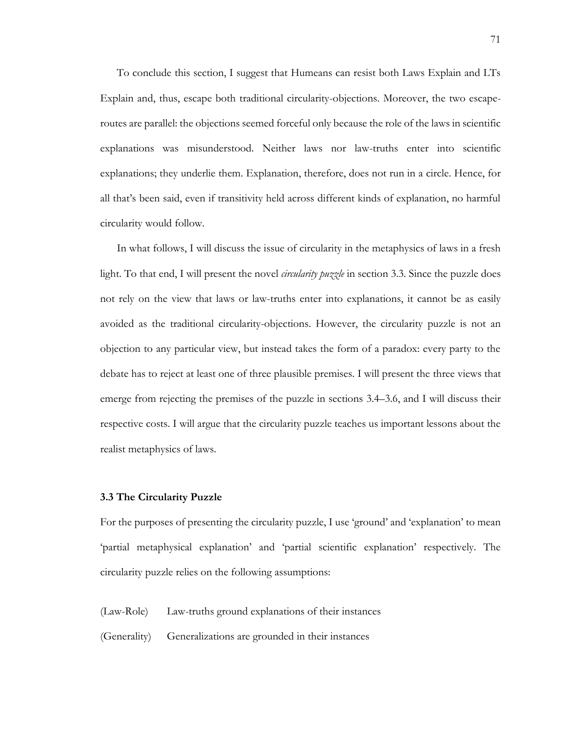To conclude this section, I suggest that Humeans can resist both Laws Explain and LTs Explain and, thus, escape both traditional circularity-objections. Moreover, the two escaperoutes are parallel: the objections seemed forceful only because the role of the laws in scientific explanations was misunderstood. Neither laws nor law-truths enter into scientific explanations; they underlie them. Explanation, therefore, does not run in a circle. Hence, for all that's been said, even if transitivity held across different kinds of explanation, no harmful circularity would follow.

In what follows, I will discuss the issue of circularity in the metaphysics of laws in a fresh light. To that end, I will present the novel *circularity puzzle* in section 3.3. Since the puzzle does not rely on the view that laws or law-truths enter into explanations, it cannot be as easily avoided as the traditional circularity-objections. However, the circularity puzzle is not an objection to any particular view, but instead takes the form of a paradox: every party to the debate has to reject at least one of three plausible premises. I will present the three views that emerge from rejecting the premises of the puzzle in sections 3.4–3.6, and I will discuss their respective costs. I will argue that the circularity puzzle teaches us important lessons about the realist metaphysics of laws.

#### **3.3 The Circularity Puzzle**

For the purposes of presenting the circularity puzzle, I use 'ground' and 'explanation' to mean 'partial metaphysical explanation' and 'partial scientific explanation' respectively. The circularity puzzle relies on the following assumptions:

- (Law-Role) Law-truths ground explanations of their instances
- (Generality) Generalizations are grounded in their instances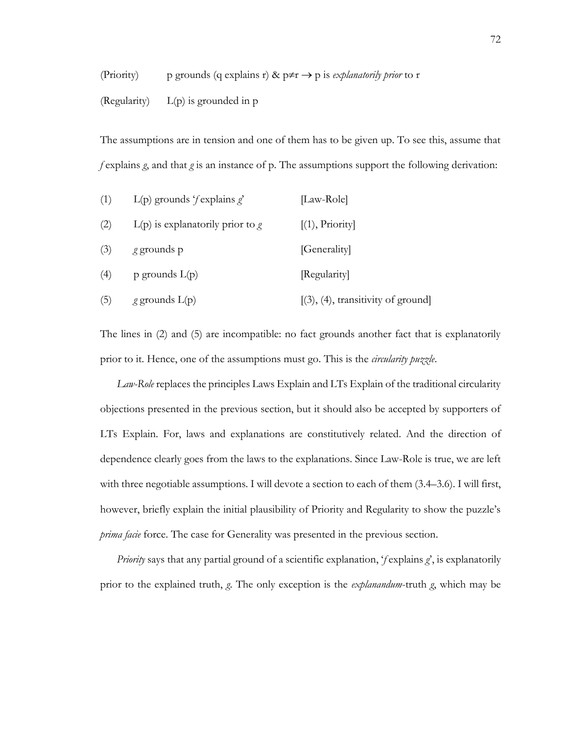- (Priority) p grounds (q explains r)  $\&$  p  $\neq$ r  $\rightarrow$  p is *explanatorily prior* to r
- (Regularity)  $L(p)$  is grounded in  $p$

The assumptions are in tension and one of them has to be given up. To see this, assume that *f* explains *g*, and that *g* is an instance of p. The assumptions support the following derivation:

| (1) | $L(p)$ grounds 'f explains g'      | [Law-Role]                         |
|-----|------------------------------------|------------------------------------|
| (2) | $L(p)$ is explanatorily prior to g | $[(1),$ Priority                   |
| (3) | g grounds p                        | [Generality]                       |
| (4) | $p$ grounds $L(p)$                 | [Regularity]                       |
| (5) | $g$ grounds $L(p)$                 | $[3, 4]$ , transitivity of ground] |

The lines in (2) and (5) are incompatible: no fact grounds another fact that is explanatorily prior to it. Hence, one of the assumptions must go. This is the *circularity puzzle*.

*Law-Role* replaces the principles Laws Explain and LTs Explain of the traditional circularity objections presented in the previous section, but it should also be accepted by supporters of LTs Explain. For, laws and explanations are constitutively related. And the direction of dependence clearly goes from the laws to the explanations. Since Law-Role is true, we are left with three negotiable assumptions. I will devote a section to each of them (3.4–3.6). I will first, however, briefly explain the initial plausibility of Priority and Regularity to show the puzzle's *prima facie* force. The case for Generality was presented in the previous section.

*Priority* says that any partial ground of a scientific explanation, '*f* explains *g*', is explanatorily prior to the explained truth, *g*. The only exception is the *explanandum*-truth *g*, which may be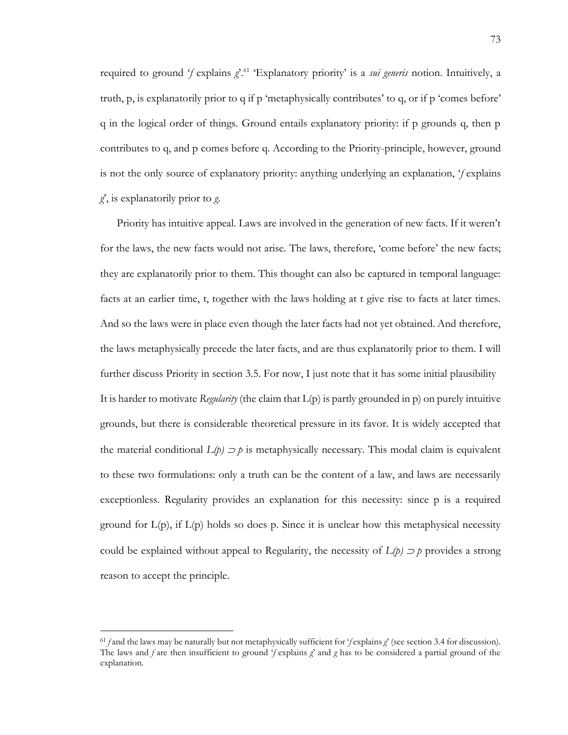required to ground '*f* explains *g*'.<sup>61</sup> 'Explanatory priority' is a *sui generis* notion. Intuitively, a truth, p, is explanatorily prior to q if p 'metaphysically contributes' to q, or if p 'comes before' q in the logical order of things. Ground entails explanatory priority: if p grounds q, then p contributes to q, and p comes before q. According to the Priority-principle, however, ground is not the only source of explanatory priority: anything underlying an explanation, '*f* explains *g*', is explanatorily prior to *g*.

Priority has intuitive appeal. Laws are involved in the generation of new facts. If it weren't for the laws, the new facts would not arise. The laws, therefore, 'come before' the new facts; they are explanatorily prior to them. This thought can also be captured in temporal language: facts at an earlier time, t, together with the laws holding at t give rise to facts at later times. And so the laws were in place even though the later facts had not yet obtained. And therefore, the laws metaphysically precede the later facts, and are thus explanatorily prior to them. I will further discuss Priority in section 3.5. For now, I just note that it has some initial plausibility It is harder to motivate *Regularity* (the claim that L(p) is partly grounded in p) on purely intuitive grounds, but there is considerable theoretical pressure in its favor. It is widely accepted that the material conditional  $L(p) \supset p$  is metaphysically necessary. This modal claim is equivalent to these two formulations: only a truth can be the content of a law, and laws are necessarily exceptionless. Regularity provides an explanation for this necessity: since p is a required ground for  $L(p)$ , if  $L(p)$  holds so does p. Since it is unclear how this metaphysical necessity could be explained without appeal to Regularity, the necessity of  $L(p) \supset p$  provides a strong reason to accept the principle.

 $\overline{a}$ 

<sup>&</sup>lt;sup>61</sup> *f* and the laws may be naturally but not metaphysically sufficient for '*f* explains  $g'$  (see section 3.4 for discussion). The laws and *f* are then insufficient to ground '*f* explains *g*' and *g* has to be considered a partial ground of the explanation.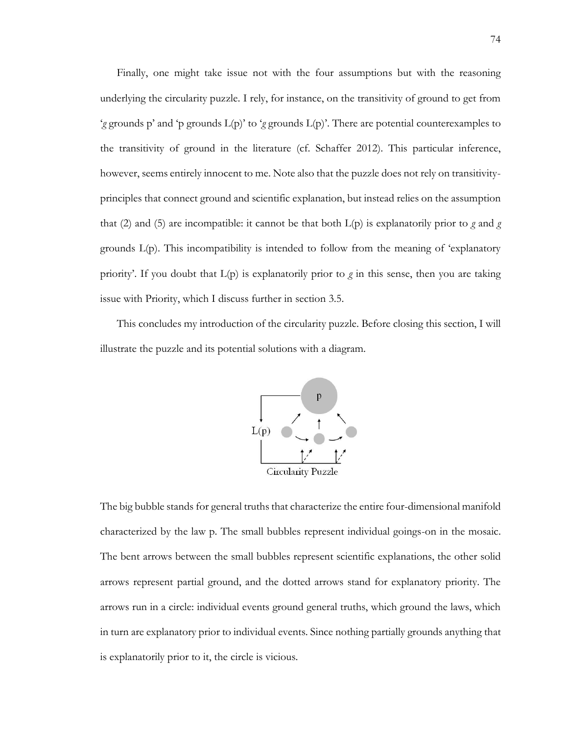Finally, one might take issue not with the four assumptions but with the reasoning underlying the circularity puzzle. I rely, for instance, on the transitivity of ground to get from '*g* grounds p' and 'p grounds L(p)' to '*g* grounds L(p)'. There are potential counterexamples to the transitivity of ground in the literature (cf. Schaffer 2012). This particular inference, however, seems entirely innocent to me. Note also that the puzzle does not rely on transitivityprinciples that connect ground and scientific explanation, but instead relies on the assumption that (2) and (5) are incompatible: it cannot be that both L(p) is explanatorily prior to *g* and *g* grounds L(p). This incompatibility is intended to follow from the meaning of 'explanatory priority'. If you doubt that  $L(p)$  is explanatorily prior to *g* in this sense, then you are taking issue with Priority, which I discuss further in section 3.5.

This concludes my introduction of the circularity puzzle. Before closing this section, I will illustrate the puzzle and its potential solutions with a diagram.



The big bubble stands for general truths that characterize the entire four-dimensional manifold characterized by the law p. The small bubbles represent individual goings-on in the mosaic. The bent arrows between the small bubbles represent scientific explanations, the other solid arrows represent partial ground, and the dotted arrows stand for explanatory priority. The arrows run in a circle: individual events ground general truths, which ground the laws, which in turn are explanatory prior to individual events. Since nothing partially grounds anything that is explanatorily prior to it, the circle is vicious.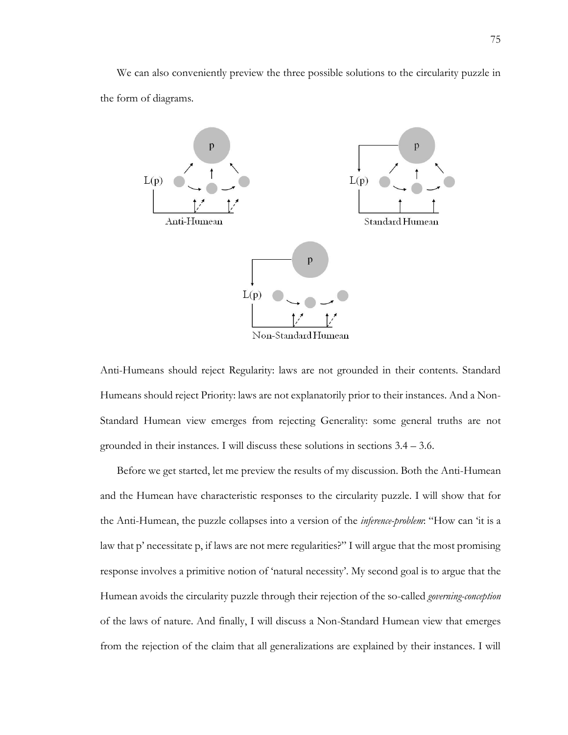We can also conveniently preview the three possible solutions to the circularity puzzle in the form of diagrams.



Anti-Humeans should reject Regularity: laws are not grounded in their contents. Standard Humeans should reject Priority: laws are not explanatorily prior to their instances. And a Non-Standard Humean view emerges from rejecting Generality: some general truths are not grounded in their instances. I will discuss these solutions in sections 3.4 – 3.6.

Before we get started, let me preview the results of my discussion. Both the Anti-Humean and the Humean have characteristic responses to the circularity puzzle. I will show that for the Anti-Humean, the puzzle collapses into a version of the *inference-problem*: "How can 'it is a law that p' necessitate p, if laws are not mere regularities?" I will argue that the most promising response involves a primitive notion of 'natural necessity'. My second goal is to argue that the Humean avoids the circularity puzzle through their rejection of the so-called *governing-conception* of the laws of nature. And finally, I will discuss a Non-Standard Humean view that emerges from the rejection of the claim that all generalizations are explained by their instances. I will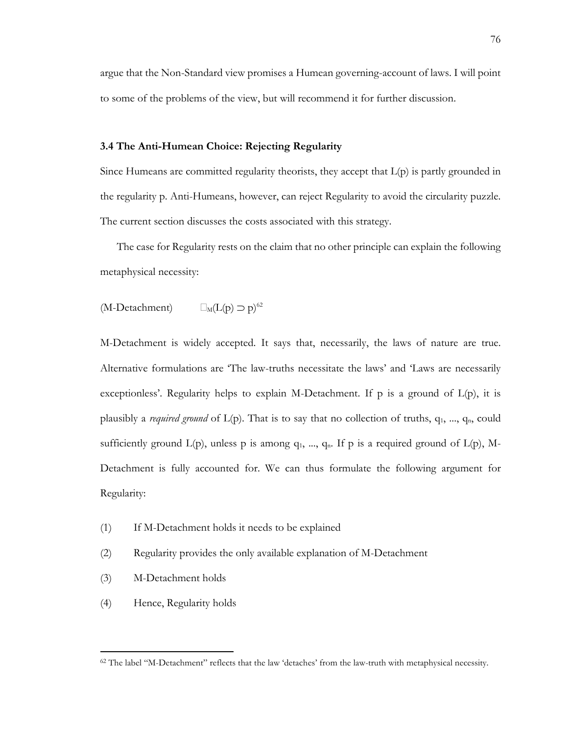argue that the Non-Standard view promises a Humean governing-account of laws. I will point to some of the problems of the view, but will recommend it for further discussion.

### **3.4 The Anti-Humean Choice: Rejecting Regularity**

Since Humeans are committed regularity theorists, they accept that  $L(p)$  is partly grounded in the regularity p. Anti-Humeans, however, can reject Regularity to avoid the circularity puzzle. The current section discusses the costs associated with this strategy.

The case for Regularity rests on the claim that no other principle can explain the following metaphysical necessity:

$$
(M\text{-}Detachment) \qquad \Box_M(L(p) \supset p)^{62}
$$

M-Detachment is widely accepted. It says that, necessarily, the laws of nature are true. Alternative formulations are 'The law-truths necessitate the laws' and 'Laws are necessarily exceptionless'. Regularity helps to explain M-Detachment. If  $p$  is a ground of  $L(p)$ , it is plausibly a *required ground* of  $L(p)$ . That is to say that no collection of truths,  $q_1$ , ...,  $q_n$ , could sufficiently ground  $L(p)$ , unless p is among  $q_1$ , ...,  $q_n$ . If p is a required ground of  $L(p)$ , M-Detachment is fully accounted for. We can thus formulate the following argument for Regularity:

- (1) If M-Detachment holds it needs to be explained
- (2) Regularity provides the only available explanation of M-Detachment
- (3) M-Detachment holds
- (4) Hence, Regularity holds

<sup>62</sup> The label "M-Detachment" reflects that the law 'detaches' from the law-truth with metaphysical necessity.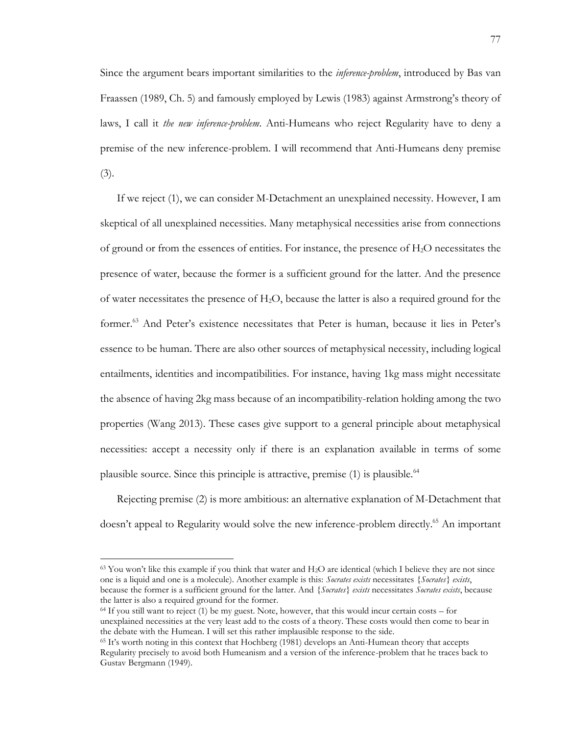Since the argument bears important similarities to the *inference-problem*, introduced by Bas van Fraassen (1989, Ch. 5) and famously employed by Lewis (1983) against Armstrong's theory of laws, I call it *the new inference-problem*. Anti-Humeans who reject Regularity have to deny a premise of the new inference-problem. I will recommend that Anti-Humeans deny premise (3).

If we reject (1), we can consider M-Detachment an unexplained necessity. However, I am skeptical of all unexplained necessities. Many metaphysical necessities arise from connections of ground or from the essences of entities. For instance, the presence of  $H_2O$  necessitates the presence of water, because the former is a sufficient ground for the latter. And the presence of water necessitates the presence of  $H_2O$ , because the latter is also a required ground for the former.<sup>63</sup> And Peter's existence necessitates that Peter is human, because it lies in Peter's essence to be human. There are also other sources of metaphysical necessity, including logical entailments, identities and incompatibilities. For instance, having 1kg mass might necessitate the absence of having 2kg mass because of an incompatibility-relation holding among the two properties (Wang 2013). These cases give support to a general principle about metaphysical necessities: accept a necessity only if there is an explanation available in terms of some plausible source. Since this principle is attractive, premise (1) is plausible.<sup>64</sup>

Rejecting premise (2) is more ambitious: an alternative explanation of M-Detachment that doesn't appeal to Regularity would solve the new inference-problem directly.<sup>65</sup> An important

 $\overline{\phantom{a}}$ 

 $63$  You won't like this example if you think that water and  $H<sub>2</sub>O$  are identical (which I believe they are not since one is a liquid and one is a molecule). Another example is this: *Socrates exists* necessitates *{Socrates} exists*, because the former is a sufficient ground for the latter. And *{Socrates} exists* necessitates *Socrates exists*, because the latter is also a required ground for the former.

<sup>64</sup> If you still want to reject (1) be my guest. Note, however, that this would incur certain costs – for unexplained necessities at the very least add to the costs of a theory. These costs would then come to bear in the debate with the Humean. I will set this rather implausible response to the side.

<sup>65</sup> It's worth noting in this context that Hochberg (1981) develops an Anti-Humean theory that accepts Regularity precisely to avoid both Humeanism and a version of the inference-problem that he traces back to Gustav Bergmann (1949).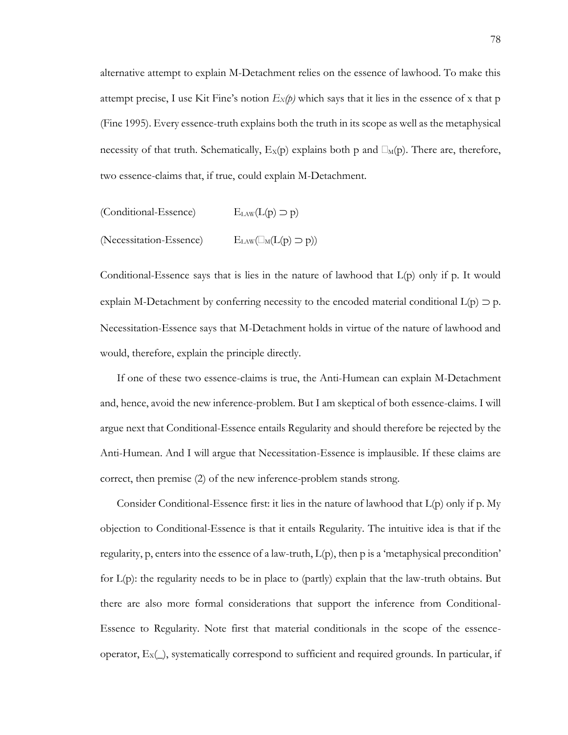alternative attempt to explain M-Detachment relies on the essence of lawhood. To make this attempt precise, I use Kit Fine's notion  $E_X(p)$  which says that it lies in the essence of x that p (Fine 1995). Every essence-truth explains both the truth in its scope as well as the metaphysical necessity of that truth. Schematically,  $E_X(p)$  explains both p and  $\Box_M(p)$ . There are, therefore, two essence-claims that, if true, could explain M-Detachment.

(Conditional-Essence)

\n
$$
E_{\text{Law}}(L(p) \supset p)
$$
\n(Necessitation-Essence)

\n
$$
E_{\text{Law}}(\Box_{\text{M}}(L(p) \supset p))
$$

Conditional-Essence says that is lies in the nature of lawhood that  $L(p)$  only if p. It would explain M-Detachment by conferring necessity to the encoded material conditional  $L(p) \supset p$ . Necessitation-Essence says that M-Detachment holds in virtue of the nature of lawhood and would, therefore, explain the principle directly.

If one of these two essence-claims is true, the Anti-Humean can explain M-Detachment and, hence, avoid the new inference-problem. But I am skeptical of both essence-claims. I will argue next that Conditional-Essence entails Regularity and should therefore be rejected by the Anti-Humean. And I will argue that Necessitation-Essence is implausible. If these claims are correct, then premise (2) of the new inference-problem stands strong.

Consider Conditional-Essence first: it lies in the nature of lawhood that  $L(p)$  only if p. My objection to Conditional-Essence is that it entails Regularity. The intuitive idea is that if the regularity, p, enters into the essence of a law-truth,  $L(p)$ , then p is a 'metaphysical precondition' for  $L(p)$ : the regularity needs to be in place to (partly) explain that the law-truth obtains. But there are also more formal considerations that support the inference from Conditional-Essence to Regularity. Note first that material conditionals in the scope of the essenceoperator,  $E_X(\_)$ , systematically correspond to sufficient and required grounds. In particular, if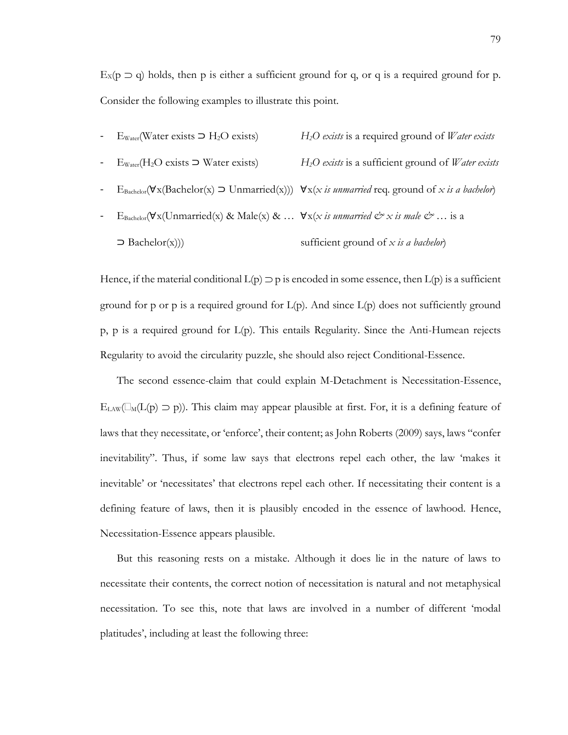$E_X(p \supset q)$  holds, then p is either a sufficient ground for q, or q is a required ground for p. Consider the following examples to illustrate this point.

- EWater(Water exists ⊃ H2O exists) *H2O exists* is a required ground of *Water exists* - EWater(H2O exists ⊃ Water exists) *H2O exists* is a sufficient ground of *Water exists* - EBachelor(∀x(Bachelor(x) ⊃ Unmarried(x))) ∀x(*x is unmarried* req. ground of *x is a bachelor*)  $E_{\text{Bachelor}}(\forall x(Unmarried(x) \& \text{Male}(x) \& \dots \forall x(x \text{ is unmarried } \&& x \text{ is male } \&& \dots \text{ is a})$ ⊃ Bachelor(x))) sufficient ground of *x is a bachelor*)

Hence, if the material conditional  $L(p) \supset p$  is encoded in some essence, then  $L(p)$  is a sufficient ground for p or p is a required ground for  $L(p)$ . And since  $L(p)$  does not sufficiently ground p, p is a required ground for L(p). This entails Regularity. Since the Anti-Humean rejects Regularity to avoid the circularity puzzle, she should also reject Conditional-Essence.

The second essence-claim that could explain M-Detachment is Necessitation-Essence,  $E_{\text{LAW}}(\Box_{M}(L(p) \supset p))$ . This claim may appear plausible at first. For, it is a defining feature of laws that they necessitate, or 'enforce', their content; as John Roberts (2009) says, laws "confer inevitability". Thus, if some law says that electrons repel each other, the law 'makes it inevitable' or 'necessitates' that electrons repel each other. If necessitating their content is a defining feature of laws, then it is plausibly encoded in the essence of lawhood. Hence, Necessitation-Essence appears plausible.

But this reasoning rests on a mistake. Although it does lie in the nature of laws to necessitate their contents, the correct notion of necessitation is natural and not metaphysical necessitation. To see this, note that laws are involved in a number of different 'modal platitudes', including at least the following three: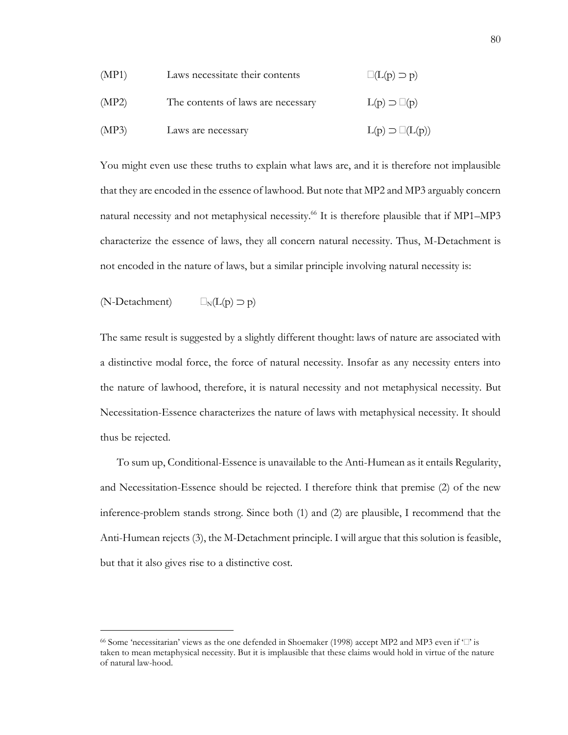| (MP1) | Laws necessitate their contents    | $\square(L(p) \supset p)$ |
|-------|------------------------------------|---------------------------|
| (MP2) | The contents of laws are necessary | $L(p) \supseteq \Box(p)$  |
| (MP3) | Laws are necessary                 | $L(p) \supset \Box(L(p))$ |

You might even use these truths to explain what laws are, and it is therefore not implausible that they are encoded in the essence of lawhood. But note that MP2 and MP3 arguably concern natural necessity and not metaphysical necessity.<sup>66</sup> It is therefore plausible that if MP1–MP3 characterize the essence of laws, they all concern natural necessity. Thus, M-Detachment is not encoded in the nature of laws, but a similar principle involving natural necessity is:

$$
(N\text{-}Detachment) \qquad \Box_N(L(p) \supset p)
$$

 $\overline{\phantom{a}}$ 

The same result is suggested by a slightly different thought: laws of nature are associated with a distinctive modal force, the force of natural necessity. Insofar as any necessity enters into the nature of lawhood, therefore, it is natural necessity and not metaphysical necessity. But Necessitation-Essence characterizes the nature of laws with metaphysical necessity. It should thus be rejected.

To sum up, Conditional-Essence is unavailable to the Anti-Humean as it entails Regularity, and Necessitation-Essence should be rejected. I therefore think that premise (2) of the new inference-problem stands strong. Since both (1) and (2) are plausible, I recommend that the Anti-Humean rejects (3), the M-Detachment principle. I will argue that this solution is feasible, but that it also gives rise to a distinctive cost.

<sup>66</sup> Some 'necessitarian' views as the one defended in Shoemaker (1998) accept MP2 and MP3 even if ' $\Box$ ' is taken to mean metaphysical necessity. But it is implausible that these claims would hold in virtue of the nature of natural law-hood.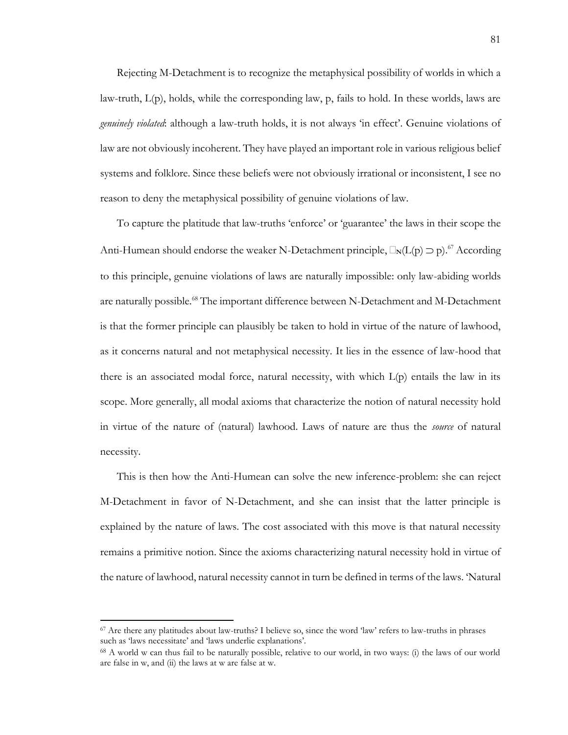Rejecting M-Detachment is to recognize the metaphysical possibility of worlds in which a law-truth,  $L(p)$ , holds, while the corresponding law, p, fails to hold. In these worlds, laws are *genuinely violated*: although a law-truth holds, it is not always 'in effect'. Genuine violations of law are not obviously incoherent. They have played an important role in various religious belief systems and folklore. Since these beliefs were not obviously irrational or inconsistent, I see no reason to deny the metaphysical possibility of genuine violations of law.

To capture the platitude that law-truths 'enforce' or 'guarantee' the laws in their scope the Anti-Humean should endorse the weaker N-Detachment principle,  $\Box_N(L(p) \supset p)$ .<sup>67</sup> According to this principle, genuine violations of laws are naturally impossible: only law-abiding worlds are naturally possible.<sup>68</sup> The important difference between N-Detachment and M-Detachment is that the former principle can plausibly be taken to hold in virtue of the nature of lawhood, as it concerns natural and not metaphysical necessity. It lies in the essence of law-hood that there is an associated modal force, natural necessity, with which  $L(p)$  entails the law in its scope. More generally, all modal axioms that characterize the notion of natural necessity hold in virtue of the nature of (natural) lawhood. Laws of nature are thus the *source* of natural necessity.

This is then how the Anti-Humean can solve the new inference-problem: she can reject M-Detachment in favor of N-Detachment, and she can insist that the latter principle is explained by the nature of laws. The cost associated with this move is that natural necessity remains a primitive notion. Since the axioms characterizing natural necessity hold in virtue of the nature of lawhood, natural necessity cannot in turn be defined in terms of the laws. 'Natural

<sup>67</sup> Are there any platitudes about law-truths? I believe so, since the word 'law' refers to law-truths in phrases such as 'laws necessitate' and 'laws underlie explanations'.

<sup>68</sup> A world w can thus fail to be naturally possible, relative to our world, in two ways: (i) the laws of our world are false in w, and (ii) the laws at w are false at w.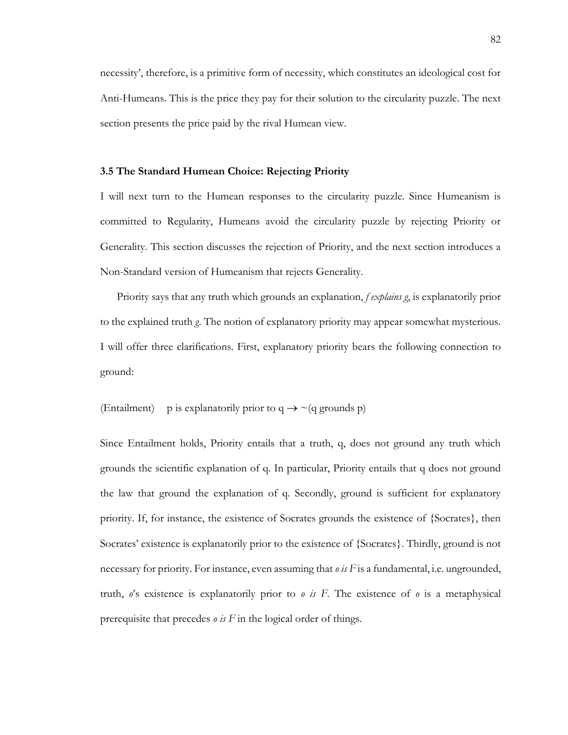necessity', therefore, is a primitive form of necessity, which constitutes an ideological cost for Anti-Humeans. This is the price they pay for their solution to the circularity puzzle. The next section presents the price paid by the rival Humean view.

### **3.5 The Standard Humean Choice: Rejecting Priority**

I will next turn to the Humean responses to the circularity puzzle. Since Humeanism is committed to Regularity, Humeans avoid the circularity puzzle by rejecting Priority or Generality. This section discusses the rejection of Priority, and the next section introduces a Non-Standard version of Humeanism that rejects Generality.

Priority says that any truth which grounds an explanation, *f explains g*, is explanatorily prior to the explained truth *g*. The notion of explanatory priority may appear somewhat mysterious. I will offer three clarifications. First, explanatory priority bears the following connection to ground:

(Entailment) p is explanatorily prior to  $q \rightarrow \sim (q \text{ grounds } p)$ 

Since Entailment holds, Priority entails that a truth, q, does not ground any truth which grounds the scientific explanation of q. In particular, Priority entails that q does not ground the law that ground the explanation of q. Secondly, ground is sufficient for explanatory priority. If, for instance, the existence of Socrates grounds the existence of {Socrates}, then Socrates' existence is explanatorily prior to the existence of {Socrates}. Thirdly, ground is not necessary for priority. For instance, even assuming that *o is F* is a fundamental, i.e. ungrounded, truth,  $\delta$ 's existence is explanatorily prior to  $\delta$  is F. The existence of  $\delta$  is a metaphysical prerequisite that precedes *o is F* in the logical order of things.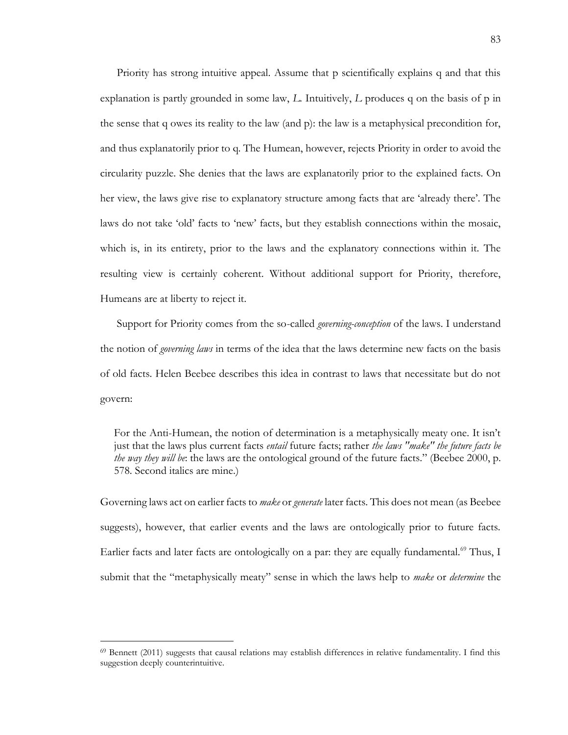Priority has strong intuitive appeal. Assume that p scientifically explains q and that this explanation is partly grounded in some law, *L*. Intuitively, *L* produces q on the basis of p in the sense that q owes its reality to the law (and p): the law is a metaphysical precondition for, and thus explanatorily prior to q. The Humean, however, rejects Priority in order to avoid the circularity puzzle. She denies that the laws are explanatorily prior to the explained facts. On her view, the laws give rise to explanatory structure among facts that are 'already there'. The laws do not take 'old' facts to 'new' facts, but they establish connections within the mosaic, which is, in its entirety, prior to the laws and the explanatory connections within it. The resulting view is certainly coherent. Without additional support for Priority, therefore, Humeans are at liberty to reject it.

Support for Priority comes from the so-called *governing-conception* of the laws. I understand the notion of *governing laws* in terms of the idea that the laws determine new facts on the basis of old facts. Helen Beebee describes this idea in contrast to laws that necessitate but do not govern:

 For the Anti-Humean, the notion of determination is a metaphysically meaty one. It isn't just that the laws plus current facts *entail* future facts; rather *the laws "make" the future facts be the way they will be*: the laws are the ontological ground of the future facts." (Beebee 2000, p. 578. Second italics are mine.)

Governing laws act on earlier facts to *make* or *generate* later facts. This does not mean (as Beebee suggests), however, that earlier events and the laws are ontologically prior to future facts. Earlier facts and later facts are ontologically on a par: they are equally fundamental.<sup>69</sup> Thus, I submit that the "metaphysically meaty" sense in which the laws help to *make* or *determine* the

<sup>69</sup> Bennett (2011) suggests that causal relations may establish differences in relative fundamentality. I find this suggestion deeply counterintuitive.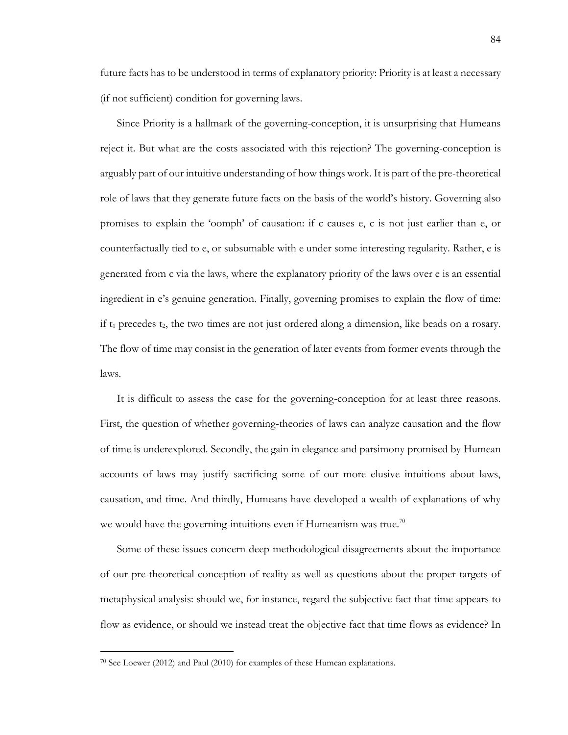future facts has to be understood in terms of explanatory priority: Priority is at least a necessary (if not sufficient) condition for governing laws.

Since Priority is a hallmark of the governing-conception, it is unsurprising that Humeans reject it. But what are the costs associated with this rejection? The governing-conception is arguably part of our intuitive understanding of how things work. It is part of the pre-theoretical role of laws that they generate future facts on the basis of the world's history. Governing also promises to explain the 'oomph' of causation: if c causes e, c is not just earlier than e, or counterfactually tied to e, or subsumable with e under some interesting regularity. Rather, e is generated from c via the laws, where the explanatory priority of the laws over e is an essential ingredient in e's genuine generation. Finally, governing promises to explain the flow of time: if  $t_1$  precedes  $t_2$ , the two times are not just ordered along a dimension, like beads on a rosary. The flow of time may consist in the generation of later events from former events through the laws.

It is difficult to assess the case for the governing-conception for at least three reasons. First, the question of whether governing-theories of laws can analyze causation and the flow of time is underexplored. Secondly, the gain in elegance and parsimony promised by Humean accounts of laws may justify sacrificing some of our more elusive intuitions about laws, causation, and time. And thirdly, Humeans have developed a wealth of explanations of why we would have the governing-intuitions even if Humeanism was true.<sup>70</sup>

Some of these issues concern deep methodological disagreements about the importance of our pre-theoretical conception of reality as well as questions about the proper targets of metaphysical analysis: should we, for instance, regard the subjective fact that time appears to flow as evidence, or should we instead treat the objective fact that time flows as evidence? In

<sup>70</sup> See Loewer (2012) and Paul (2010) for examples of these Humean explanations.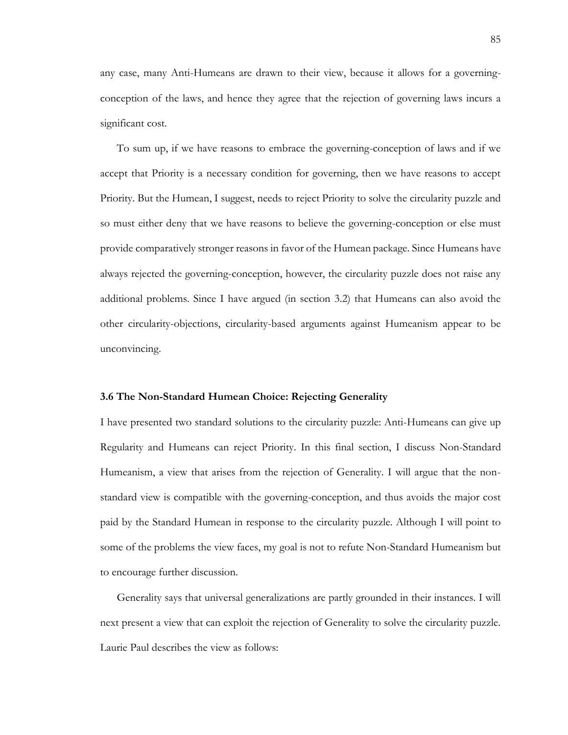any case, many Anti-Humeans are drawn to their view, because it allows for a governingconception of the laws, and hence they agree that the rejection of governing laws incurs a significant cost.

To sum up, if we have reasons to embrace the governing-conception of laws and if we accept that Priority is a necessary condition for governing, then we have reasons to accept Priority. But the Humean, I suggest, needs to reject Priority to solve the circularity puzzle and so must either deny that we have reasons to believe the governing-conception or else must provide comparatively stronger reasons in favor of the Humean package. Since Humeans have always rejected the governing-conception, however, the circularity puzzle does not raise any additional problems. Since I have argued (in section 3.2) that Humeans can also avoid the other circularity-objections, circularity-based arguments against Humeanism appear to be unconvincing.

## **3.6 The Non-Standard Humean Choice: Rejecting Generality**

I have presented two standard solutions to the circularity puzzle: Anti-Humeans can give up Regularity and Humeans can reject Priority. In this final section, I discuss Non-Standard Humeanism, a view that arises from the rejection of Generality. I will argue that the nonstandard view is compatible with the governing-conception, and thus avoids the major cost paid by the Standard Humean in response to the circularity puzzle. Although I will point to some of the problems the view faces, my goal is not to refute Non-Standard Humeanism but to encourage further discussion.

Generality says that universal generalizations are partly grounded in their instances. I will next present a view that can exploit the rejection of Generality to solve the circularity puzzle. Laurie Paul describes the view as follows: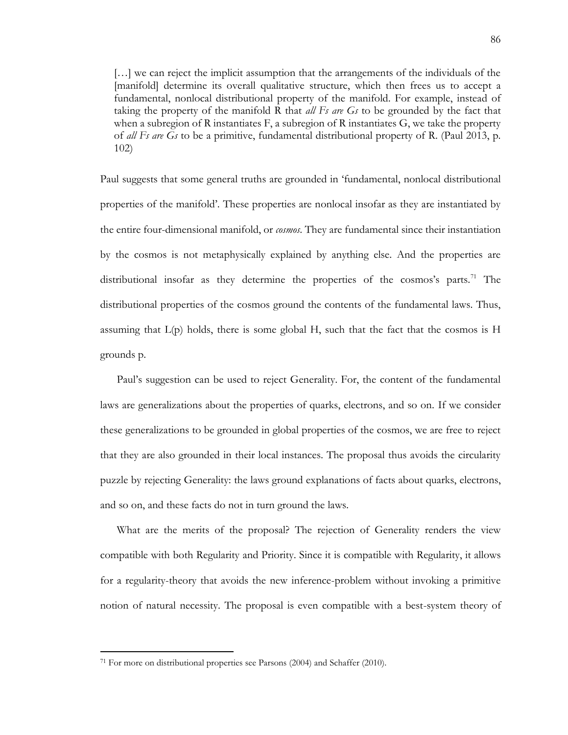[…] we can reject the implicit assumption that the arrangements of the individuals of the [manifold] determine its overall qualitative structure, which then frees us to accept a fundamental, nonlocal distributional property of the manifold. For example, instead of taking the property of the manifold R that *all Fs are Gs* to be grounded by the fact that when a subregion of R instantiates F, a subregion of R instantiates G, we take the property of *all Fs are Gs* to be a primitive, fundamental distributional property of R. (Paul 2013, p. 102)

Paul suggests that some general truths are grounded in 'fundamental, nonlocal distributional properties of the manifold'. These properties are nonlocal insofar as they are instantiated by the entire four-dimensional manifold, or *cosmos*. They are fundamental since their instantiation by the cosmos is not metaphysically explained by anything else. And the properties are distributional insofar as they determine the properties of the cosmos's parts.<sup>71</sup> The distributional properties of the cosmos ground the contents of the fundamental laws. Thus, assuming that  $L(p)$  holds, there is some global H, such that the fact that the cosmos is H grounds p.

Paul's suggestion can be used to reject Generality. For, the content of the fundamental laws are generalizations about the properties of quarks, electrons, and so on. If we consider these generalizations to be grounded in global properties of the cosmos, we are free to reject that they are also grounded in their local instances. The proposal thus avoids the circularity puzzle by rejecting Generality: the laws ground explanations of facts about quarks, electrons, and so on, and these facts do not in turn ground the laws.

What are the merits of the proposal? The rejection of Generality renders the view compatible with both Regularity and Priority. Since it is compatible with Regularity, it allows for a regularity-theory that avoids the new inference-problem without invoking a primitive notion of natural necessity. The proposal is even compatible with a best-system theory of

<sup>71</sup> For more on distributional properties see Parsons (2004) and Schaffer (2010).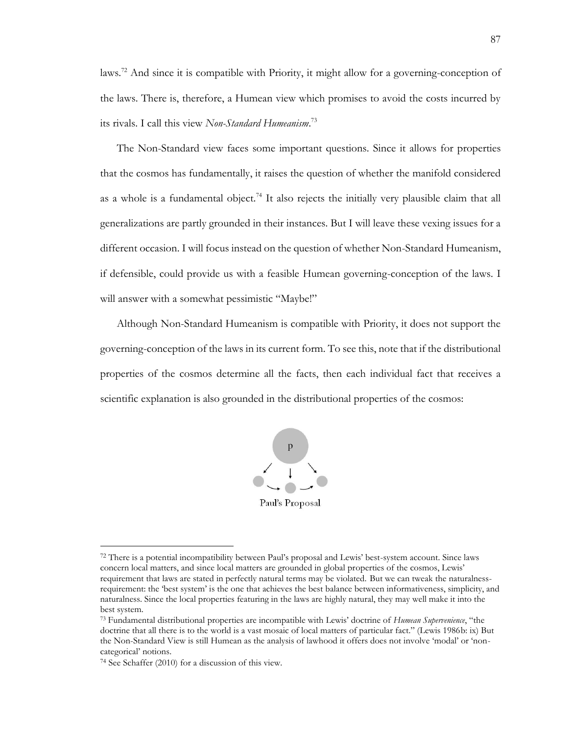laws.<sup>72</sup> And since it is compatible with Priority, it might allow for a governing-conception of the laws. There is, therefore, a Humean view which promises to avoid the costs incurred by its rivals. I call this view *Non-Standard Humeanism*. 73

The Non-Standard view faces some important questions. Since it allows for properties that the cosmos has fundamentally, it raises the question of whether the manifold considered as a whole is a fundamental object.<sup>74</sup> It also rejects the initially very plausible claim that all generalizations are partly grounded in their instances. But I will leave these vexing issues for a different occasion. I will focus instead on the question of whether Non-Standard Humeanism, if defensible, could provide us with a feasible Humean governing-conception of the laws. I will answer with a somewhat pessimistic "Maybe!"

Although Non-Standard Humeanism is compatible with Priority, it does not support the governing-conception of the laws in its current form. To see this, note that if the distributional properties of the cosmos determine all the facts, then each individual fact that receives a scientific explanation is also grounded in the distributional properties of the cosmos:



<sup>72</sup> There is a potential incompatibility between Paul's proposal and Lewis' best-system account. Since laws concern local matters, and since local matters are grounded in global properties of the cosmos, Lewis' requirement that laws are stated in perfectly natural terms may be violated. But we can tweak the naturalnessrequirement: the 'best system' is the one that achieves the best balance between informativeness, simplicity, and naturalness. Since the local properties featuring in the laws are highly natural, they may well make it into the best system.

<sup>73</sup> Fundamental distributional properties are incompatible with Lewis' doctrine of *Humean Supervenience*, "the doctrine that all there is to the world is a vast mosaic of local matters of particular fact." (Lewis 1986b: ix) But the Non-Standard View is still Humean as the analysis of lawhood it offers does not involve 'modal' or 'noncategorical' notions.

<sup>74</sup> See Schaffer (2010) for a discussion of this view.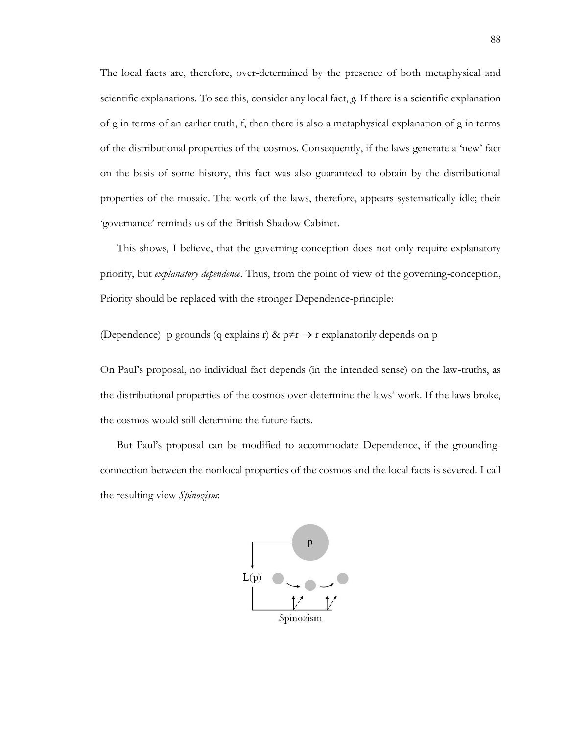The local facts are, therefore, over-determined by the presence of both metaphysical and scientific explanations. To see this, consider any local fact, *g*. If there is a scientific explanation of g in terms of an earlier truth, f, then there is also a metaphysical explanation of g in terms of the distributional properties of the cosmos. Consequently, if the laws generate a 'new' fact on the basis of some history, this fact was also guaranteed to obtain by the distributional properties of the mosaic. The work of the laws, therefore, appears systematically idle; their 'governance' reminds us of the British Shadow Cabinet.

This shows, I believe, that the governing-conception does not only require explanatory priority, but *explanatory dependence*. Thus, from the point of view of the governing-conception, Priority should be replaced with the stronger Dependence-principle:

(Dependence) p grounds (q explains r) &  $p \neq r \rightarrow r$  explanatorily depends on p

On Paul's proposal, no individual fact depends (in the intended sense) on the law-truths, as the distributional properties of the cosmos over-determine the laws' work. If the laws broke, the cosmos would still determine the future facts.

But Paul's proposal can be modified to accommodate Dependence, if the groundingconnection between the nonlocal properties of the cosmos and the local facts is severed. I call the resulting view *Spinozism*:

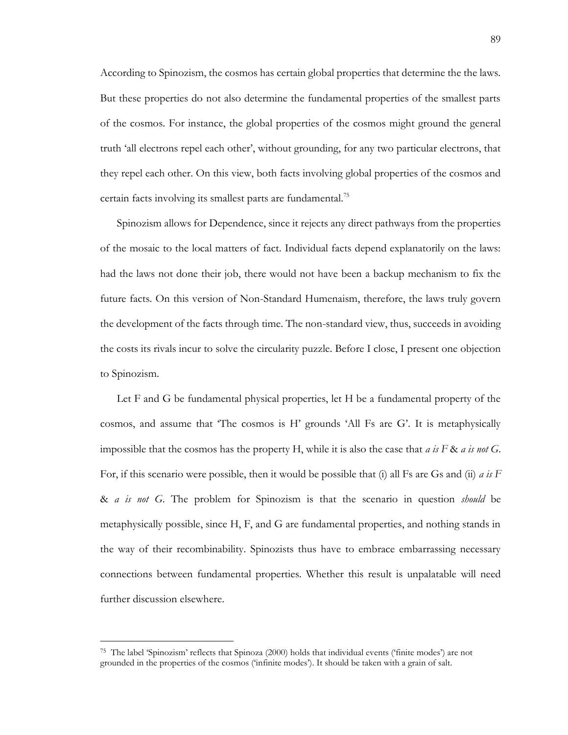According to Spinozism, the cosmos has certain global properties that determine the the laws. But these properties do not also determine the fundamental properties of the smallest parts of the cosmos. For instance, the global properties of the cosmos might ground the general truth 'all electrons repel each other', without grounding, for any two particular electrons, that they repel each other. On this view, both facts involving global properties of the cosmos and certain facts involving its smallest parts are fundamental.<sup>75</sup>

Spinozism allows for Dependence, since it rejects any direct pathways from the properties of the mosaic to the local matters of fact. Individual facts depend explanatorily on the laws: had the laws not done their job, there would not have been a backup mechanism to fix the future facts. On this version of Non-Standard Humenaism, therefore, the laws truly govern the development of the facts through time. The non-standard view, thus, succeeds in avoiding the costs its rivals incur to solve the circularity puzzle. Before I close, I present one objection to Spinozism.

Let F and G be fundamental physical properties, let H be a fundamental property of the cosmos, and assume that 'The cosmos is H' grounds 'All Fs are G'. It is metaphysically impossible that the cosmos has the property H, while it is also the case that *a is F* & *a is not G*. For, if this scenario were possible, then it would be possible that (i) all Fs are Gs and (ii) *a is F*  & *a is not G*. The problem for Spinozism is that the scenario in question *should* be metaphysically possible, since H, F, and G are fundamental properties, and nothing stands in the way of their recombinability. Spinozists thus have to embrace embarrassing necessary connections between fundamental properties. Whether this result is unpalatable will need further discussion elsewhere.

<sup>75</sup> The label 'Spinozism' reflects that Spinoza (2000) holds that individual events ('finite modes') are not grounded in the properties of the cosmos ('infinite modes'). It should be taken with a grain of salt.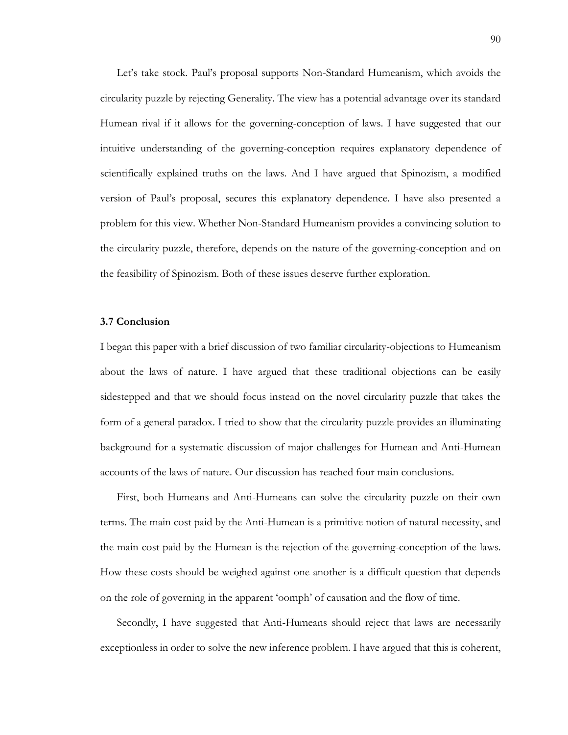Let's take stock. Paul's proposal supports Non-Standard Humeanism, which avoids the circularity puzzle by rejecting Generality. The view has a potential advantage over its standard Humean rival if it allows for the governing-conception of laws. I have suggested that our intuitive understanding of the governing-conception requires explanatory dependence of scientifically explained truths on the laws. And I have argued that Spinozism, a modified version of Paul's proposal, secures this explanatory dependence. I have also presented a problem for this view. Whether Non-Standard Humeanism provides a convincing solution to the circularity puzzle, therefore, depends on the nature of the governing-conception and on the feasibility of Spinozism. Both of these issues deserve further exploration.

# **3.7 Conclusion**

I began this paper with a brief discussion of two familiar circularity-objections to Humeanism about the laws of nature. I have argued that these traditional objections can be easily sidestepped and that we should focus instead on the novel circularity puzzle that takes the form of a general paradox. I tried to show that the circularity puzzle provides an illuminating background for a systematic discussion of major challenges for Humean and Anti-Humean accounts of the laws of nature. Our discussion has reached four main conclusions.

First, both Humeans and Anti-Humeans can solve the circularity puzzle on their own terms. The main cost paid by the Anti-Humean is a primitive notion of natural necessity, and the main cost paid by the Humean is the rejection of the governing-conception of the laws. How these costs should be weighed against one another is a difficult question that depends on the role of governing in the apparent 'oomph' of causation and the flow of time.

Secondly, I have suggested that Anti-Humeans should reject that laws are necessarily exceptionless in order to solve the new inference problem. I have argued that this is coherent,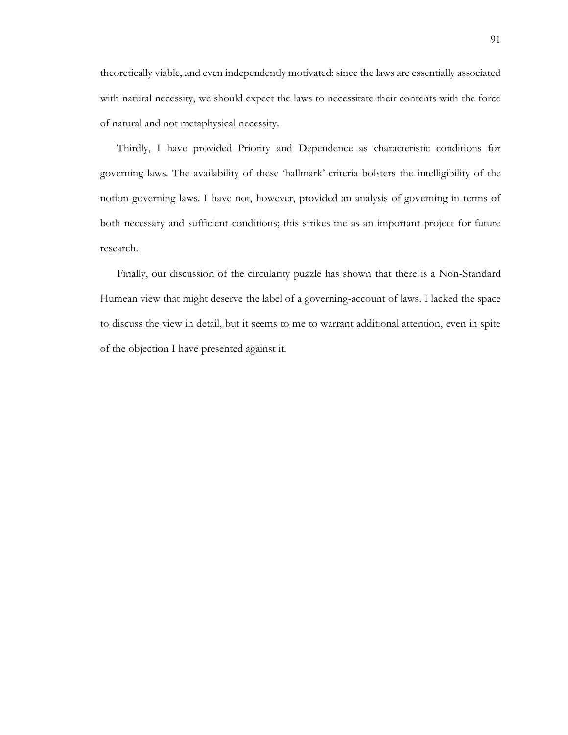theoretically viable, and even independently motivated: since the laws are essentially associated with natural necessity, we should expect the laws to necessitate their contents with the force of natural and not metaphysical necessity.

Thirdly, I have provided Priority and Dependence as characteristic conditions for governing laws. The availability of these 'hallmark'-criteria bolsters the intelligibility of the notion governing laws. I have not, however, provided an analysis of governing in terms of both necessary and sufficient conditions; this strikes me as an important project for future research.

Finally, our discussion of the circularity puzzle has shown that there is a Non-Standard Humean view that might deserve the label of a governing-account of laws. I lacked the space to discuss the view in detail, but it seems to me to warrant additional attention, even in spite of the objection I have presented against it.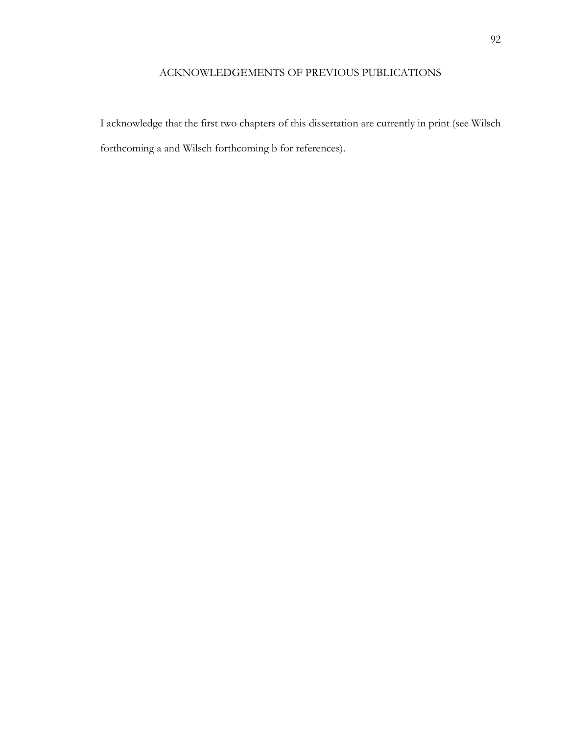# ACKNOWLEDGEMENTS OF PREVIOUS PUBLICATIONS

I acknowledge that the first two chapters of this dissertation are currently in print (see Wilsch forthcoming a and Wilsch forthcoming b for references).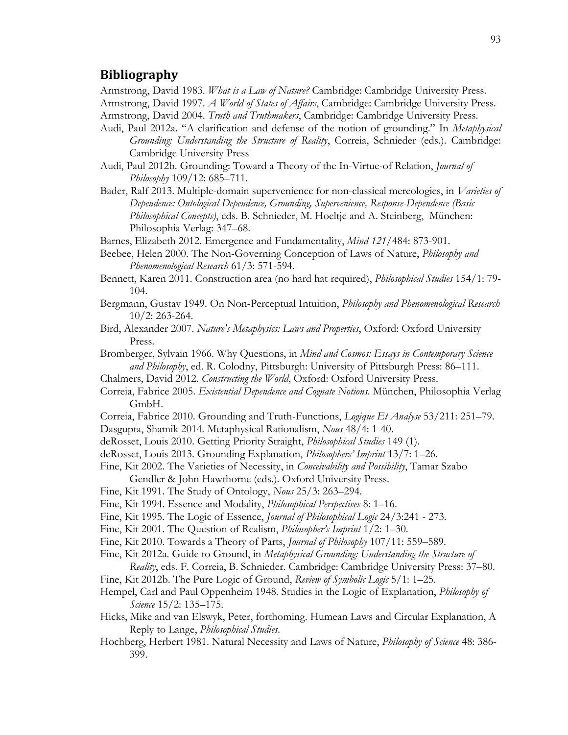# **Bibliography**

Armstrong, David 1983. *What [is a Law of Nature?](http://philpapers.org/rec/ARMWIA)* Cambridge: Cambridge University Press. Armstrong, David 1997. *A World of States of Affairs*, Cambridge: Cambridge University Press.

Armstrong, David 2004. *Truth and Truthmakers*, Cambridge: Cambridge University Press.

- Audi, Paul 2012a. "A clarification and defense of the notion of grounding." In *Metaphysical Grounding: Understanding the Structure of Reality*, Correia, Schnieder (eds.). Cambridge: Cambridge University Press
- Audi, Paul 2012b. [Grounding: Toward a Theory of the In-Virtue-of Relation,](http://philpapers.org/rec/AUDGTA) *Journal of Philosophy* 109/12: 685–711.
- Bader, Ralf 2013. Multiple-domain supervenience for non-classical mereologies, in *Varieties of Dependence: Ontological Dependence, Grounding, Supervenience, Response-Dependence (Basic Philosophical Concepts)*, eds. B. Schnieder, M. Hoeltje and A. Steinberg, München: Philosophia Verlag: 347–68.

Barnes, Elizabeth 2012. Emergence and Fundamentality, *Mind 121*/484: 873-901.

Beebee, Helen 2000. [The Non-Governing Conception of Laws of Nature,](http://philpapers.org/rec/BEETNC) *Philosophy and Phenomenological Research* 61/3: 571-594.

- Bennett, Karen 2011. Construction area (no hard hat required), *Philosophical Studies* 154/1: 79- 104.
- Bergmann, Gustav 1949. On Non-Perceptual Intuition, *Philosophy and Phenomenological Research* 10/2: 263-264.
- Bird, Alexander 2007. *Nature's [Metaphysics: Laws and Properties](http://philpapers.org/rec/BIRNML-2)*, Oxford: Oxford University Press.
- Bromberger, Sylvain 1966. Why Questions, in *Mind and Cosmos: Essays in Contemporary Science and Philosophy*, ed. R. Colodny, Pittsburgh: University of Pittsburgh Press: 86–111.
- Chalmers, David 2012. *Constructing the World*, Oxford: Oxford University Press.
- Correia, Fabrice 2005. *Existential Dependence and Cognate Notions*. München, Philosophia Verlag GmbH.
- Correia, Fabrice 2010. Grounding and Truth-Functions, *Logique Et Analyse* 53/211: 251–79.
- Dasgupta, Shamik 2014. Metaphysical Rationalism, *Nous* 48/4: 1-40.
- deRosset, Louis 2010. Getting Priority Straight, *Philosophical Studies* 149 (1).
- deRosset, Louis 2013. Grounding Explanation, *Philosophers' Imprint* 13/7: 1–26.
- Fine, Kit 2002. The Varieties of Necessity, in *Conceivability and Possibility*, Tamar Szabo Gendler & John Hawthorne (eds.). Oxford University Press.
- Fine, Kit 1991. The Study of Ontology, *Nous* 25/3: 263–294.
- Fine, Kit 1994. Essence and Modality, *Philosophical Perspectives* 8: 1–16.
- Fine, Kit 1995. The Logic of Essence, *Journal of Philosophical Logic* 24/3:241 273.
- Fine, Kit 2001. The Question of Realism, *Philosopher's Imprint* 1/2: 1–30.
- Fine, Kit 2010. Towards a Theory of Parts, *Journal of Philosophy* 107/11: 559–589.
- Fine, Kit 2012a. Guide to Ground, in *Metaphysical Grounding: Understanding the Structure of Reality*, eds. F. Correia, B. Schnieder. Cambridge: Cambridge University Press: 37–80.
- Fine, Kit 2012b. The Pure Logic of Ground, *Review of Symbolic Logic* 5/1: 1–25.
- Hempel, Carl and Paul Oppenheim 1948. Studies in the Logic of Explanation, *Philosophy of Science* 15/2: 135–175.
- Hicks, Mike and van Elswyk, Peter, forthoming. [Humean Laws and Circular Explanation, A](http://www.townsenhicks.com/s/Explanations_and_transitivity__a_reply_to_Lange-penultimate-draft.pdf)  [Reply to Lange,](http://www.townsenhicks.com/s/Explanations_and_transitivity__a_reply_to_Lange-penultimate-draft.pdf) *Philosophical Studies*.
- Hochberg, Herbert 1981. [Natural Necessity and Laws of Nature,](http://philpapers.org/rec/HOCNNA) *Philosophy of Science* 48: 386- 399.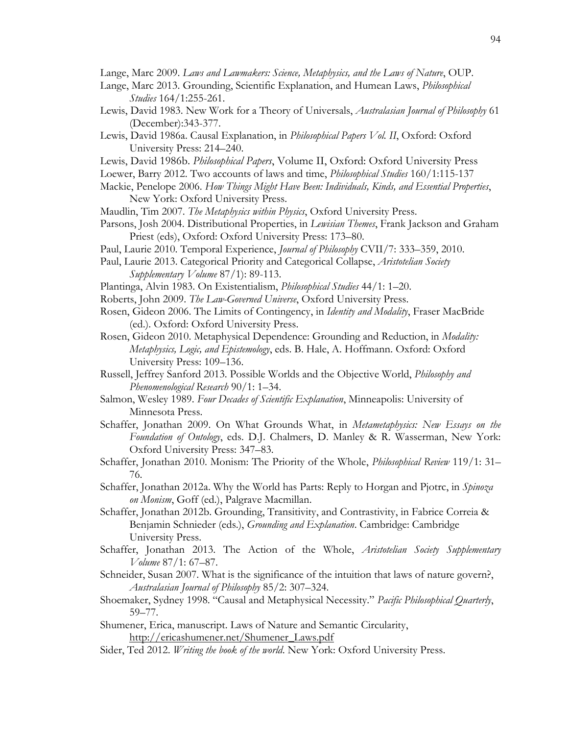Lange, Marc 2009. *[Laws and Lawmakers: Science, Metaphysics, and the Laws of Nature](http://philpapers.org/rec/LANLAL-2)*, OUP.

- Lange, Marc 2013. [Grounding, Scientific Explanation, and Humean Laws,](http://philpapers.org/rec/LANGSE) *Philosophical Studies* 164/1:255-261.
- Lewis, David 1983. New Work for a Theory of Universals, *Australasian Journal of Philosophy* 61 (December):343-377.
- Lewis, David 1986a. Causal Explanation, in *Philosophical Papers Vol. II*, Oxford: Oxford University Press: 214–240.
- Lewis, David 1986b. *Philosophical Papers*, Volume II, Oxford: Oxford University Press
- Loewer, Barry 2012. Two accounts of laws and time, *Philosophical Studies* 160/1:115-137
- Mackie, Penelope 2006. *[How Things Might Have Been: Individuals, Kinds, and Essential Properties](http://www.amazon.com/How-Things-Might-Have-Been/dp/0199562407/ref=la_B001H6NEYK_1_1?s=books&ie=UTF8&qid=1393272449&sr=1-1)*, New York: Oxford University Press.
- Maudlin, Tim 2007. *The Metaphysics [within Physics](http://philpapers.org/rec/MAUTMW)*, Oxford University Press.
- Parsons, Josh 2004. Distributional Properties, in *Lewisian Themes*, Frank Jackson and Graham Priest (eds), Oxford: Oxford University Press: 173–80.
- Paul, Laurie 2010. Temporal Experience, *Journal of Philosophy* CVII/7: 333–359, 2010.
- Paul, Laurie 2013. Categorical [Priority and](http://philpapers.org/rec/PAUCPA-4) Categorical Collapse, *Aristotelian Society Supplementary Volume* 87/1): 89-113.
- [Plantinga, Alvin](http://philpapers.org/rec/PLAOE) 1983. On Existentialism, *Philosophical Studies* 44/1: 1–20.
- Roberts, John 2009. *The Law-Governed Universe*, Oxford University Press.
- Rosen, Gideon 2006. The Limits of Contingency, in *Identity and Modality*, Fraser MacBride (ed.). Oxford: Oxford University Press.
- Rosen, Gideon 2010. Metaphysical Dependence: Grounding and Reduction, in *Modality: Metaphysics, Logic, and Epistemology*, eds. B. Hale, A. Hoffmann. Oxford: Oxford University Press: 109–136.
- Russell, Jeffrey Sanford 2013. [Possible Worlds and the Objective World,](http://philpapers.org/rec/RUSPWA) *Philosophy and Phenomenological Research* 90/1: 1–34.
- [Salmon, Wesley](http://philpapers.org/rec/SALSEA) 1989. *Four Decades of Scientific Explanation*, Minneapolis: University of Minnesota Press.
- Schaffer, Jonathan 2009. On What Grounds What, in *Metametaphysics: New Essays on the Foundation of Ontology*, eds. D.J. Chalmers, D. Manley & R. Wasserman, New York: Oxford University Press: 347–83.
- Schaffer, Jonathan 2010. Monism: The Priority of the Whole, *Philosophical Review* 119/1: 31– 76.
- Schaffer, Jonathan 2012a. Why the World has Parts: Reply to Horgan and Pjotrc, in *Spinoza on Monism*, Goff (ed.), Palgrave Macmillan.
- Schaffer, Jonathan 2012b. Grounding, [Transitivity, and Contrastivity,](http://philpapers.org/rec/SCHGTA-2) in Fabrice Correia & Benjamin Schnieder (eds.), *[Grounding and Explanation](http://philpapers.org/rec/CORGAE)*. Cambridge: Cambridge University Press.
- Schaffer, Jonathan 2013. The Action of the Whole, *Aristotelian Society Supplementary Volume* 87/1: 67–87.
- Schneider, Susan 2007. What is the significance of the intuition that laws of nature govern?, *Australasian Journal of Philosophy* 85/2: 307–324.
- Shoemaker, Sydney 1998. "Causal and Metaphysical Necessity." *Pacific Philosophical Quarterly*, 59–77.
- Shumener, Erica, manuscript. Laws of Nature and Semantic Circularity, [http://ericashumener.net/Shumener\\_Laws.pdf](http://ericashumener.net/Shumener_Laws.pdf)
- Sider, Ted 2012. *Writing the book of the world*. New York: Oxford University Press.